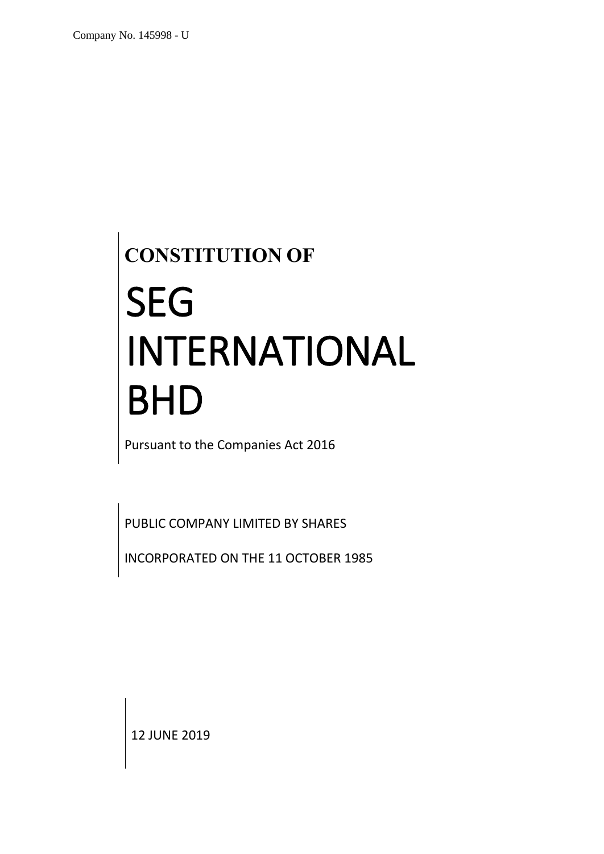# **CONSTITUTION OF** SEG INTERNATIONAL BHD

Pursuant to the Companies Act 2016

PUBLIC COMPANY LIMITED BY SHARES

INCORPORATED ON THE 11 OCTOBER 1985

12 JUNE 2019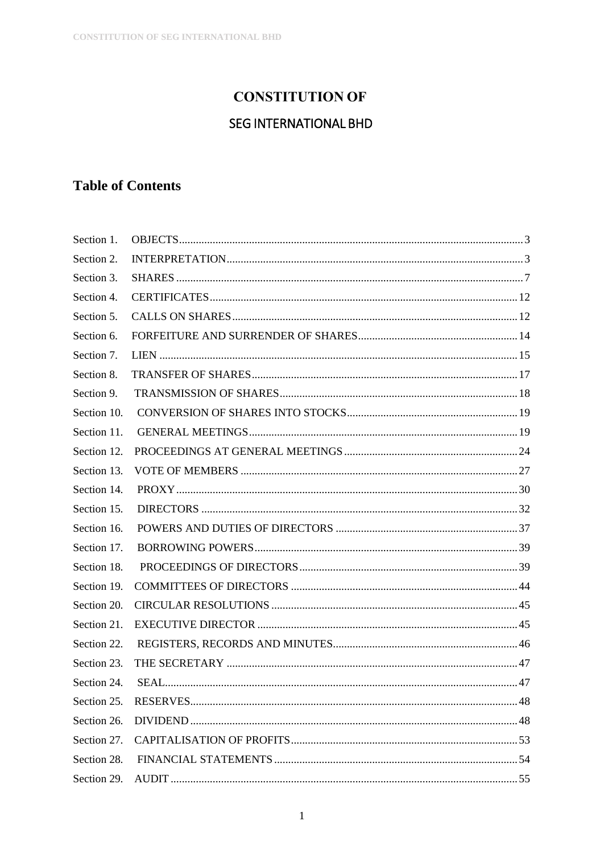## **CONSTITUTION OF**

## **SEG INTERNATIONAL BHD**

## **Table of Contents**

| Section 1.  |  |
|-------------|--|
| Section 2.  |  |
| Section 3.  |  |
| Section 4.  |  |
| Section 5.  |  |
| Section 6.  |  |
| Section 7.  |  |
| Section 8.  |  |
| Section 9.  |  |
| Section 10. |  |
| Section 11. |  |
| Section 12. |  |
| Section 13. |  |
| Section 14. |  |
| Section 15. |  |
| Section 16. |  |
| Section 17. |  |
| Section 18. |  |
| Section 19. |  |
| Section 20. |  |
| Section 21. |  |
| Section 22. |  |
| Section 23. |  |
| Section 24. |  |
| Section 25. |  |
| Section 26. |  |
| Section 27. |  |
| Section 28. |  |
|             |  |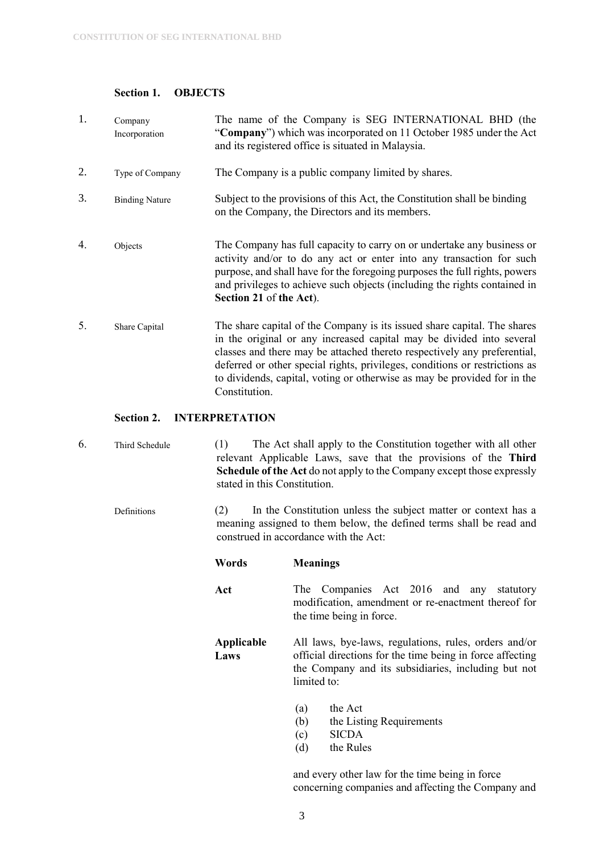#### <span id="page-3-0"></span>**Section 1. OBJECTS**

| 1. | Company<br>Incorporation | The name of the Company is SEG INTERNATIONAL BHD (the<br>"Company") which was incorporated on 11 October 1985 under the Act<br>and its registered office is situated in Malaysia.                                                                                                                                                                                                                        |
|----|--------------------------|----------------------------------------------------------------------------------------------------------------------------------------------------------------------------------------------------------------------------------------------------------------------------------------------------------------------------------------------------------------------------------------------------------|
| 2. | Type of Company          | The Company is a public company limited by shares.                                                                                                                                                                                                                                                                                                                                                       |
| 3. | <b>Binding Nature</b>    | Subject to the provisions of this Act, the Constitution shall be binding<br>on the Company, the Directors and its members.                                                                                                                                                                                                                                                                               |
| 4. | Objects                  | The Company has full capacity to carry on or undertake any business or<br>activity and/or to do any act or enter into any transaction for such<br>purpose, and shall have for the foregoing purposes the full rights, powers<br>and privileges to achieve such objects (including the rights contained in<br>Section 21 of the Act).                                                                     |
| 5. | Share Capital            | The share capital of the Company is its issued share capital. The shares<br>in the original or any increased capital may be divided into several<br>classes and there may be attached thereto respectively any preferential,<br>deferred or other special rights, privileges, conditions or restrictions as<br>to dividends, capital, voting or otherwise as may be provided for in the<br>Constitution. |

#### <span id="page-3-1"></span>**Section 2. INTERPRETATION**

- 6. Third Schedule (1) The Act shall apply to the Constitution together with all other relevant Applicable Laws, save that the provisions of the **Third Schedule of the Act** do not apply to the Company except those expressly stated in this Constitution.
	- Definitions (2) In the Constitution unless the subject matter or context has a meaning assigned to them below, the defined terms shall be read and construed in accordance with the Act:
		- **Words Meanings**
		- Act The Companies Act 2016 and any statutory modification, amendment or re-enactment thereof for the time being in force.

**Applicable Laws** All laws, bye-laws, regulations, rules, orders and/or official directions for the time being in force affecting the Company and its subsidiaries, including but not limited to:

- (a) the Act
- (b) the Listing Requirements
- (c) SICDA
- (d) the Rules

and every other law for the time being in force concerning companies and affecting the Company and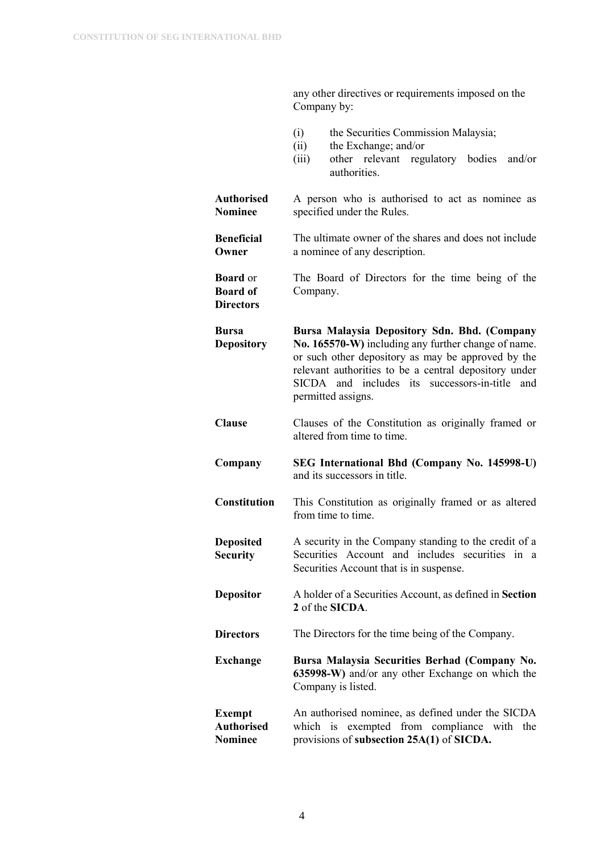|                                                        | Company by:                                                                                                                                                                                                                                                                                   |
|--------------------------------------------------------|-----------------------------------------------------------------------------------------------------------------------------------------------------------------------------------------------------------------------------------------------------------------------------------------------|
|                                                        | (i)<br>the Securities Commission Malaysia;<br>the Exchange; and/or<br>(ii)<br>other relevant regulatory bodies and/or<br>(iii)<br>authorities.                                                                                                                                                |
| <b>Authorised</b><br><b>Nominee</b>                    | A person who is authorised to act as nominee as<br>specified under the Rules.                                                                                                                                                                                                                 |
| <b>Beneficial</b><br>Owner                             | The ultimate owner of the shares and does not include<br>a nominee of any description.                                                                                                                                                                                                        |
| <b>Board</b> or<br><b>Board of</b><br><b>Directors</b> | The Board of Directors for the time being of the<br>Company.                                                                                                                                                                                                                                  |
| Bursa<br><b>Depository</b>                             | Bursa Malaysia Depository Sdn. Bhd. (Company<br>No. 165570-W) including any further change of name.<br>or such other depository as may be approved by the<br>relevant authorities to be a central depository under<br>SICDA and includes its successors-in-title<br>and<br>permitted assigns. |
| <b>Clause</b>                                          | Clauses of the Constitution as originally framed or<br>altered from time to time.                                                                                                                                                                                                             |
| Company                                                | SEG International Bhd (Company No. 145998-U)<br>and its successors in title.                                                                                                                                                                                                                  |
| <b>Constitution</b>                                    | This Constitution as originally framed or as altered<br>from time to time.                                                                                                                                                                                                                    |
| <b>Deposited</b><br><b>Security</b>                    | A security in the Company standing to the credit of a<br>Securities Account and includes securities in a<br>Securities Account that is in suspense.                                                                                                                                           |
| <b>Depositor</b>                                       | A holder of a Securities Account, as defined in Section<br>2 of the SICDA.                                                                                                                                                                                                                    |
| <b>Directors</b>                                       | The Directors for the time being of the Company.                                                                                                                                                                                                                                              |
| Exchange                                               | Bursa Malaysia Securities Berhad (Company No.<br>635998-W) and/or any other Exchange on which the<br>Company is listed.                                                                                                                                                                       |
| <b>Exempt</b><br><b>Authorised</b><br><b>Nominee</b>   | An authorised nominee, as defined under the SICDA<br>which is exempted from compliance with the<br>provisions of subsection 25A(1) of SICDA.                                                                                                                                                  |

any other directives or requirements imposed on the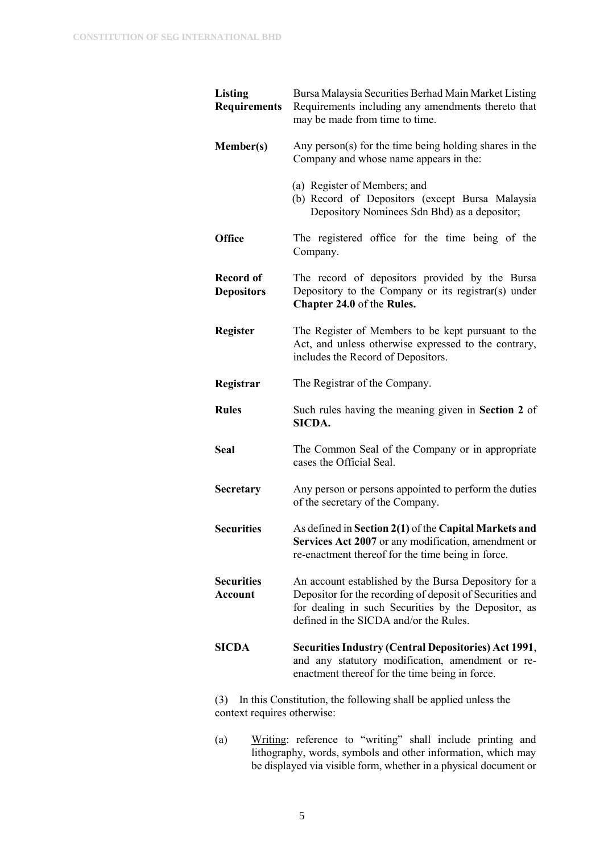| <b>Listing</b><br><b>Requirements</b> | Bursa Malaysia Securities Berhad Main Market Listing<br>Requirements including any amendments thereto that<br>may be made from time to time.                                                                      |
|---------------------------------------|-------------------------------------------------------------------------------------------------------------------------------------------------------------------------------------------------------------------|
| <b>Member(s)</b>                      | Any person(s) for the time being holding shares in the<br>Company and whose name appears in the:                                                                                                                  |
|                                       | (a) Register of Members; and<br>(b) Record of Depositors (except Bursa Malaysia<br>Depository Nominees Sdn Bhd) as a depositor;                                                                                   |
| <b>Office</b>                         | The registered office for the time being of the<br>Company.                                                                                                                                                       |
| <b>Record of</b><br><b>Depositors</b> | The record of depositors provided by the Bursa<br>Depository to the Company or its registrar(s) under<br>Chapter 24.0 of the Rules.                                                                               |
| <b>Register</b>                       | The Register of Members to be kept pursuant to the<br>Act, and unless otherwise expressed to the contrary,<br>includes the Record of Depositors.                                                                  |
| Registrar                             | The Registrar of the Company.                                                                                                                                                                                     |
| <b>Rules</b>                          | Such rules having the meaning given in Section 2 of<br>SICDA.                                                                                                                                                     |
| <b>Seal</b>                           | The Common Seal of the Company or in appropriate<br>cases the Official Seal.                                                                                                                                      |
| <b>Secretary</b>                      | Any person or persons appointed to perform the duties<br>of the secretary of the Company.                                                                                                                         |
| <b>Securities</b>                     | As defined in Section 2(1) of the Capital Markets and<br>Services Act 2007 or any modification, amendment or<br>re-enactment thereof for the time being in force.                                                 |
| <b>Securities</b><br>Account          | An account established by the Bursa Depository for a<br>Depositor for the recording of deposit of Securities and<br>for dealing in such Securities by the Depositor, as<br>defined in the SICDA and/or the Rules. |
| <b>SICDA</b>                          | <b>Securities Industry (Central Depositories) Act 1991,</b><br>and any statutory modification, amendment or re-<br>enactment thereof for the time being in force.                                                 |

(3) In this Constitution, the following shall be applied unless the context requires otherwise:

(a) Writing: reference to "writing" shall include printing and lithography, words, symbols and other information, which may be displayed via visible form, whether in a physical document or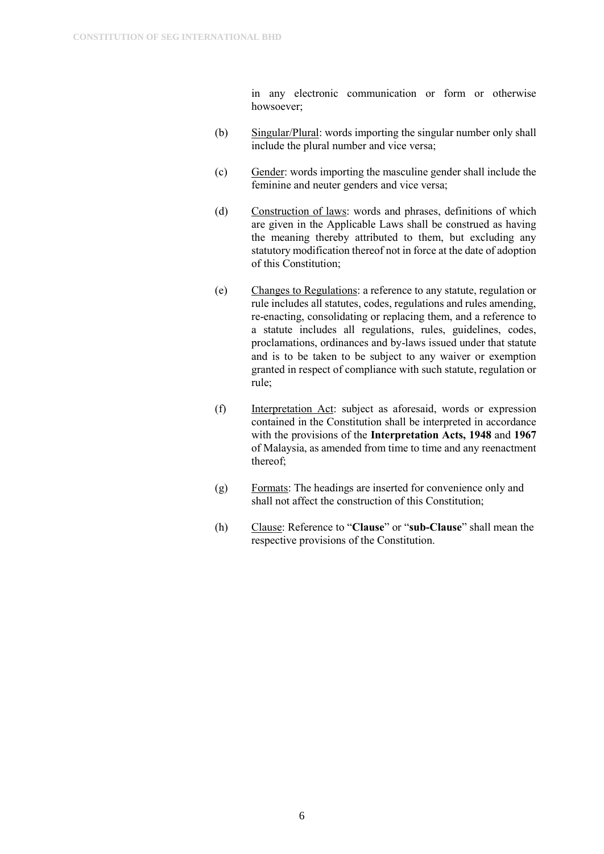in any electronic communication or form or otherwise howsoever;

- (b) Singular/Plural: words importing the singular number only shall include the plural number and vice versa;
- (c) Gender: words importing the masculine gender shall include the feminine and neuter genders and vice versa;
- (d) Construction of laws: words and phrases, definitions of which are given in the Applicable Laws shall be construed as having the meaning thereby attributed to them, but excluding any statutory modification thereof not in force at the date of adoption of this Constitution;
- (e) Changes to Regulations: a reference to any statute, regulation or rule includes all statutes, codes, regulations and rules amending, re-enacting, consolidating or replacing them, and a reference to a statute includes all regulations, rules, guidelines, codes, proclamations, ordinances and by-laws issued under that statute and is to be taken to be subject to any waiver or exemption granted in respect of compliance with such statute, regulation or rule;
- (f) Interpretation Act: subject as aforesaid, words or expression contained in the Constitution shall be interpreted in accordance with the provisions of the **Interpretation Acts, 1948** and **1967** of Malaysia, as amended from time to time and any reenactment thereof;
- (g) Formats: The headings are inserted for convenience only and shall not affect the construction of this Constitution;
- (h) Clause: Reference to "**Clause**" or "**sub-Clause**" shall mean the respective provisions of the Constitution.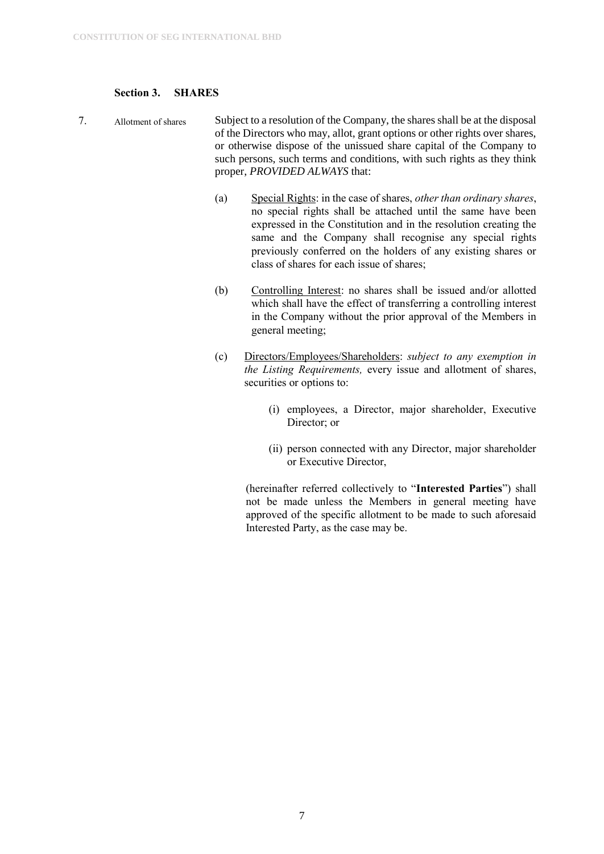#### <span id="page-7-0"></span>**Section 3. SHARES**

- 7. Allotment of shares Subject to a resolution of the Company, the shares shall be at the disposal of the Directors who may, allot, grant options or other rights over shares, or otherwise dispose of the unissued share capital of the Company to such persons, such terms and conditions, with such rights as they think proper, *PROVIDED ALWAYS* that:
	- (a) Special Rights: in the case of shares, *other than ordinary shares*, no special rights shall be attached until the same have been expressed in the Constitution and in the resolution creating the same and the Company shall recognise any special rights previously conferred on the holders of any existing shares or class of shares for each issue of shares;
	- (b) Controlling Interest: no shares shall be issued and/or allotted which shall have the effect of transferring a controlling interest in the Company without the prior approval of the Members in general meeting;
	- (c) Directors/Employees/Shareholders: *subject to any exemption in the Listing Requirements,* every issue and allotment of shares, securities or options to:
		- (i) employees, a Director, major shareholder, Executive Director; or
		- (ii) person connected with any Director, major shareholder or Executive Director,

(hereinafter referred collectively to "**Interested Parties**") shall not be made unless the Members in general meeting have approved of the specific allotment to be made to such aforesaid Interested Party, as the case may be.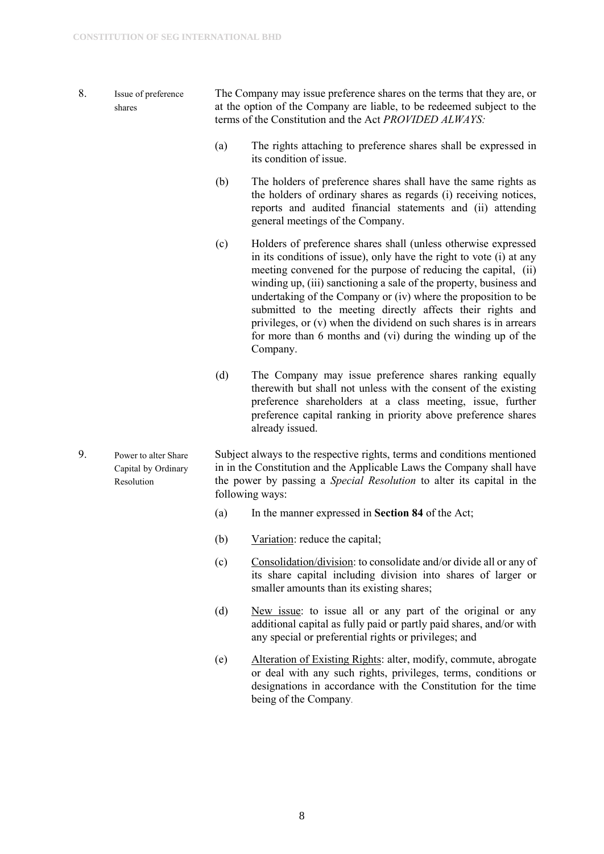- 8. Issue of preference shares The Company may issue preference shares on the terms that they are, or at the option of the Company are liable, to be redeemed subject to the terms of the Constitution and the Act *PROVIDED ALWAYS:* 
	- (a) The rights attaching to preference shares shall be expressed in its condition of issue.
	- (b) The holders of preference shares shall have the same rights as the holders of ordinary shares as regards (i) receiving notices, reports and audited financial statements and (ii) attending general meetings of the Company.
	- (c) Holders of preference shares shall (unless otherwise expressed in its conditions of issue), only have the right to vote (i) at any meeting convened for the purpose of reducing the capital, (ii) winding up, (iii) sanctioning a sale of the property, business and undertaking of the Company or (iv) where the proposition to be submitted to the meeting directly affects their rights and privileges, or (v) when the dividend on such shares is in arrears for more than 6 months and (vi) during the winding up of the Company.
	- (d) The Company may issue preference shares ranking equally therewith but shall not unless with the consent of the existing preference shareholders at a class meeting, issue, further preference capital ranking in priority above preference shares already issued.
- 9. Power to alter Share Capital by Ordinary Resolution Subject always to the respective rights, terms and conditions mentioned in in the Constitution and the Applicable Laws the Company shall have the power by passing a *Special Resolution* to alter its capital in the following ways:
	- (a) In the manner expressed in **Section 84** of the Act;
	- (b) Variation: reduce the capital;
	- (c) Consolidation/division: to consolidate and/or divide all or any of its share capital including division into shares of larger or smaller amounts than its existing shares;
	- (d) New issue: to issue all or any part of the original or any additional capital as fully paid or partly paid shares, and/or with any special or preferential rights or privileges; and
	- (e) Alteration of Existing Rights: alter, modify, commute, abrogate or deal with any such rights, privileges, terms, conditions or designations in accordance with the Constitution for the time being of the Company.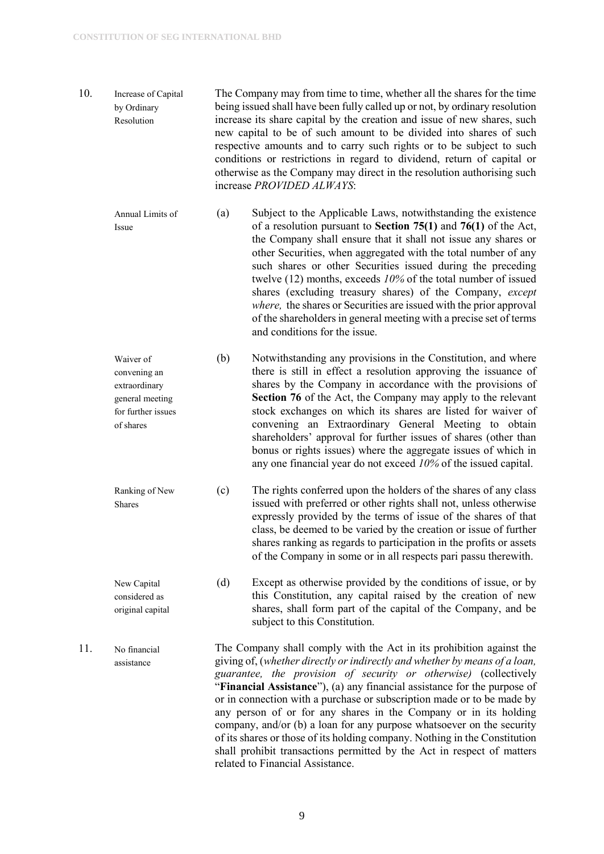- 10. Increase of Capital by Ordinary Resolution The Company may from time to time, whether all the shares for the time being issued shall have been fully called up or not, by ordinary resolution increase its share capital by the creation and issue of new shares, such new capital to be of such amount to be divided into shares of such respective amounts and to carry such rights or to be subject to such conditions or restrictions in regard to dividend, return of capital or otherwise as the Company may direct in the resolution authorising such increase *PROVIDED ALWAYS*:
	- Annual Limits of Issue (a) Subject to the Applicable Laws, notwithstanding the existence of a resolution pursuant to **Section 75(1)** and **76(1)** of the Act, the Company shall ensure that it shall not issue any shares or other Securities, when aggregated with the total number of any such shares or other Securities issued during the preceding twelve (12) months, exceeds *10%* of the total number of issued shares (excluding treasury shares) of the Company, *except where,* the shares or Securities are issued with the prior approval of the shareholders in general meeting with a precise set of terms and conditions for the issue.
	- Waiver of convening an extraordinary general meeting for further issues of shares (b) Notwithstanding any provisions in the Constitution, and where there is still in effect a resolution approving the issuance of shares by the Company in accordance with the provisions of **Section 76** of the Act, the Company may apply to the relevant stock exchanges on which its shares are listed for waiver of convening an Extraordinary General Meeting to obtain shareholders' approval for further issues of shares (other than bonus or rights issues) where the aggregate issues of which in any one financial year do not exceed *10%* of the issued capital.
	- Ranking of New Shares (c) The rights conferred upon the holders of the shares of any class issued with preferred or other rights shall not, unless otherwise expressly provided by the terms of issue of the shares of that class, be deemed to be varied by the creation or issue of further shares ranking as regards to participation in the profits or assets of the Company in some or in all respects pari passu therewith.
	- New Capital considered as original capital (d) Except as otherwise provided by the conditions of issue, or by this Constitution, any capital raised by the creation of new shares, shall form part of the capital of the Company, and be subject to this Constitution.
- 11. No financial assistance The Company shall comply with the Act in its prohibition against the giving of, (*whether directly or indirectly and whether by means of a loan, guarantee, the provision of security or otherwise)* (collectively "**Financial Assistance**"), (a) any financial assistance for the purpose of or in connection with a purchase or subscription made or to be made by any person of or for any shares in the Company or in its holding company, and/or (b) a loan for any purpose whatsoever on the security of its shares or those of its holding company. Nothing in the Constitution shall prohibit transactions permitted by the Act in respect of matters related to Financial Assistance.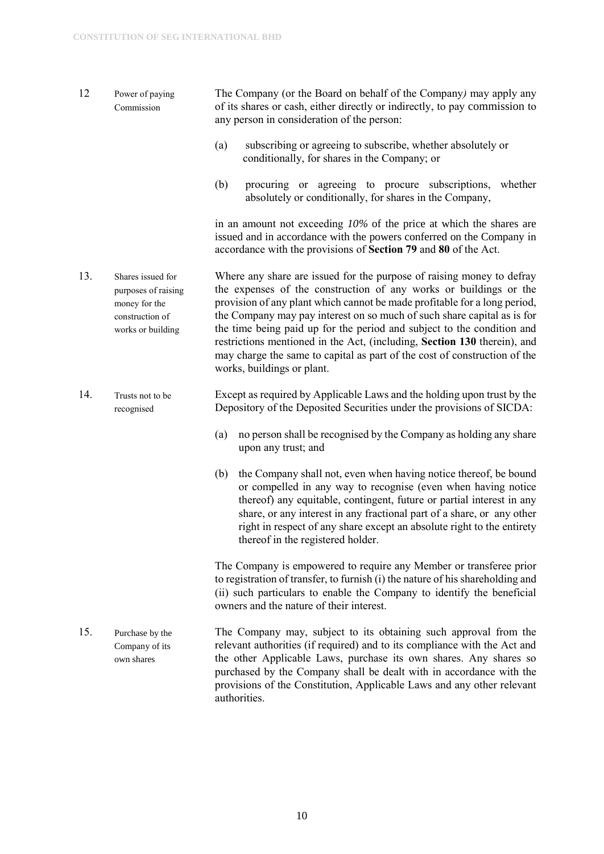- 12 Power of paying Commission The Company (or the Board on behalf of the Company*)* may apply any of its shares or cash, either directly or indirectly, to pay commission to any person in consideration of the person:
	- (a) subscribing or agreeing to subscribe, whether absolutely or conditionally, for shares in the Company; or
	- (b) procuring or agreeing to procure subscriptions, whether absolutely or conditionally, for shares in the Company,

in an amount not exceeding *10%* of the price at which the shares are issued and in accordance with the powers conferred on the Company in accordance with the provisions of **Section 79** and **80** of the Act.

- 13. Shares issued for purposes of raising money for the construction of works or building Where any share are issued for the purpose of raising money to defray the expenses of the construction of any works or buildings or the provision of any plant which cannot be made profitable for a long period, the Company may pay interest on so much of such share capital as is for the time being paid up for the period and subject to the condition and restrictions mentioned in the Act, (including, **Section 130** therein), and may charge the same to capital as part of the cost of construction of the works, buildings or plant.
- 14. Trusts not to be recognised Except as required by Applicable Laws and the holding upon trust by the Depository of the Deposited Securities under the provisions of SICDA:
	- (a) no person shall be recognised by the Company as holding any share upon any trust; and
	- (b) the Company shall not, even when having notice thereof, be bound or compelled in any way to recognise (even when having notice thereof) any equitable, contingent, future or partial interest in any share, or any interest in any fractional part of a share, or any other right in respect of any share except an absolute right to the entirety thereof in the registered holder.

The Company is empowered to require any Member or transferee prior to registration of transfer, to furnish (i) the nature of his shareholding and (ii) such particulars to enable the Company to identify the beneficial owners and the nature of their interest.

15. Purchase by the Company of its own shares The Company may, subject to its obtaining such approval from the relevant authorities (if required) and to its compliance with the Act and the other Applicable Laws, purchase its own shares. Any shares so purchased by the Company shall be dealt with in accordance with the provisions of the Constitution, Applicable Laws and any other relevant authorities.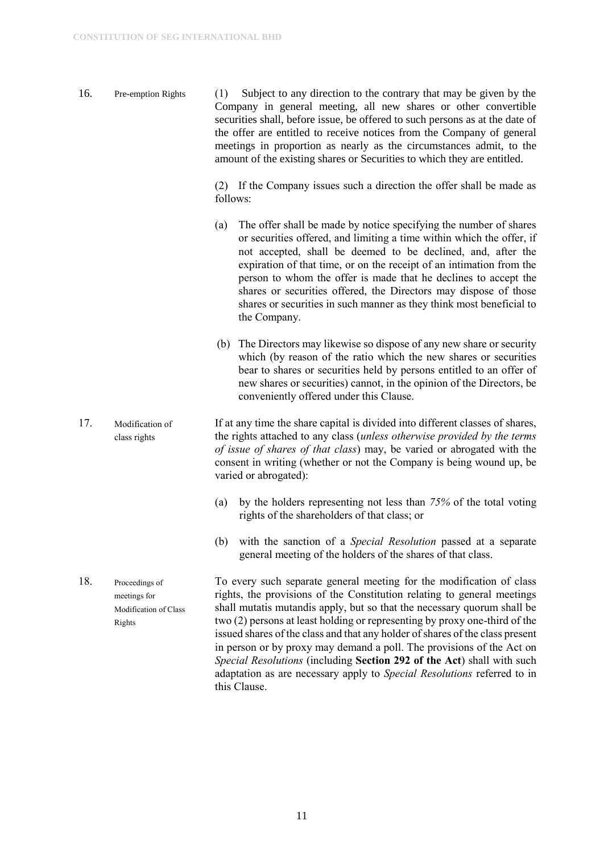16. Pre-emption Rights (1)Subject to any direction to the contrary that may be given by the Company in general meeting, all new shares or other convertible securities shall, before issue, be offered to such persons as at the date of the offer are entitled to receive notices from the Company of general meetings in proportion as nearly as the circumstances admit, to the amount of the existing shares or Securities to which they are entitled.

> (2) If the Company issues such a direction the offer shall be made as follows:

- (a) The offer shall be made by notice specifying the number of shares or securities offered, and limiting a time within which the offer, if not accepted, shall be deemed to be declined, and, after the expiration of that time, or on the receipt of an intimation from the person to whom the offer is made that he declines to accept the shares or securities offered, the Directors may dispose of those shares or securities in such manner as they think most beneficial to the Company.
- (b) The Directors may likewise so dispose of any new share or security which (by reason of the ratio which the new shares or securities bear to shares or securities held by persons entitled to an offer of new shares or securities) cannot, in the opinion of the Directors, be conveniently offered under this Clause.
- 17. Modification of class rights If at any time the share capital is divided into different classes of shares, the rights attached to any class (*unless otherwise provided by the terms of issue of shares of that class*) may, be varied or abrogated with the consent in writing (whether or not the Company is being wound up, be varied or abrogated):
	- (a) by the holders representing not less than *75%* of the total voting rights of the shareholders of that class; or
	- (b) with the sanction of a *Special Resolution* passed at a separate general meeting of the holders of the shares of that class.
- 18. Proceedings of meetings for Modification of Class Rights To every such separate general meeting for the modification of class rights, the provisions of the Constitution relating to general meetings shall mutatis mutandis apply, but so that the necessary quorum shall be two (2) persons at least holding or representing by proxy one-third of the issued shares of the class and that any holder of shares of the class present in person or by proxy may demand a poll. The provisions of the Act on *Special Resolutions* (including **Section 292 of the Act**) shall with such adaptation as are necessary apply to *Special Resolutions* referred to in this Clause.

11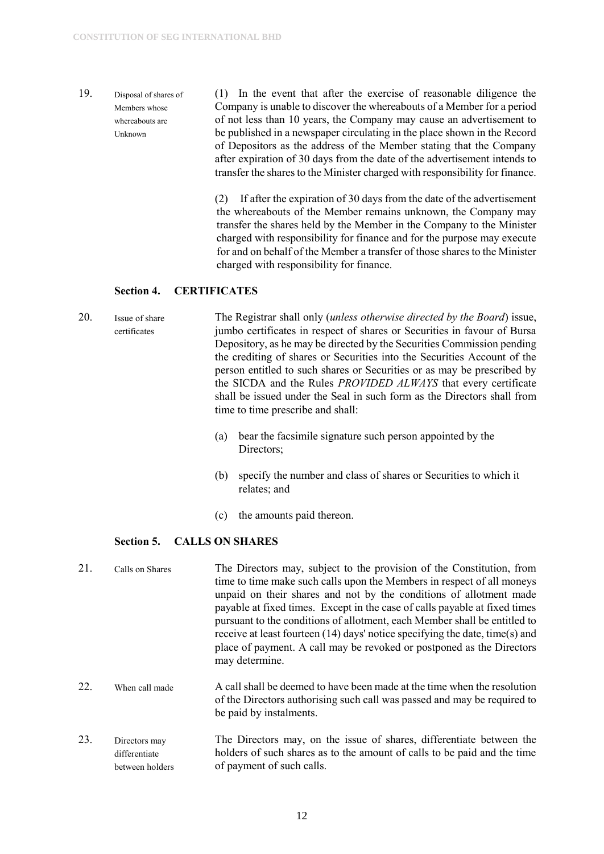19. Disposal of shares of Members whose whereabouts are Unknown (1) In the event that after the exercise of reasonable diligence the Company is unable to discover the whereabouts of a Member for a period of not less than 10 years, the Company may cause an advertisement to be published in a newspaper circulating in the place shown in the Record of Depositors as the address of the Member stating that the Company after expiration of 30 days from the date of the advertisement intends to transfer the shares to the Minister charged with responsibility for finance.

> (2) If after the expiration of 30 days from the date of the advertisement the whereabouts of the Member remains unknown, the Company may transfer the shares held by the Member in the Company to the Minister charged with responsibility for finance and for the purpose may execute for and on behalf of the Member a transfer of those shares to the Minister charged with responsibility for finance.

#### <span id="page-12-0"></span>**Section 4. CERTIFICATES**

20. Issue of share certificates The Registrar shall only (*unless otherwise directed by the Board*) issue, jumbo certificates in respect of shares or Securities in favour of Bursa Depository, as he may be directed by the Securities Commission pending the crediting of shares or Securities into the Securities Account of the person entitled to such shares or Securities or as may be prescribed by the SICDA and the Rules *PROVIDED ALWAYS* that every certificate shall be issued under the Seal in such form as the Directors shall from time to time prescribe and shall:

- (a) bear the facsimile signature such person appointed by the Directors;
- (b) specify the number and class of shares or Securities to which it relates; and
- (c) the amounts paid thereon.

#### <span id="page-12-1"></span>**Section 5. CALLS ON SHARES**

| 21. | Calls on Shares                                   | The Directors may, subject to the provision of the Constitution, from<br>time to time make such calls upon the Members in respect of all moneys<br>unpaid on their shares and not by the conditions of allotment made<br>payable at fixed times. Except in the case of calls payable at fixed times<br>pursuant to the conditions of allotment, each Member shall be entitled to<br>receive at least fourteen (14) days' notice specifying the date, time(s) and<br>place of payment. A call may be revoked or postponed as the Directors<br>may determine. |
|-----|---------------------------------------------------|-------------------------------------------------------------------------------------------------------------------------------------------------------------------------------------------------------------------------------------------------------------------------------------------------------------------------------------------------------------------------------------------------------------------------------------------------------------------------------------------------------------------------------------------------------------|
| 22. | When call made                                    | A call shall be deemed to have been made at the time when the resolution<br>of the Directors authorising such call was passed and may be required to<br>be paid by instalments.                                                                                                                                                                                                                                                                                                                                                                             |
| 23. | Directors may<br>differentiate<br>between holders | The Directors may, on the issue of shares, differentiate between the<br>holders of such shares as to the amount of calls to be paid and the time<br>of payment of such calls.                                                                                                                                                                                                                                                                                                                                                                               |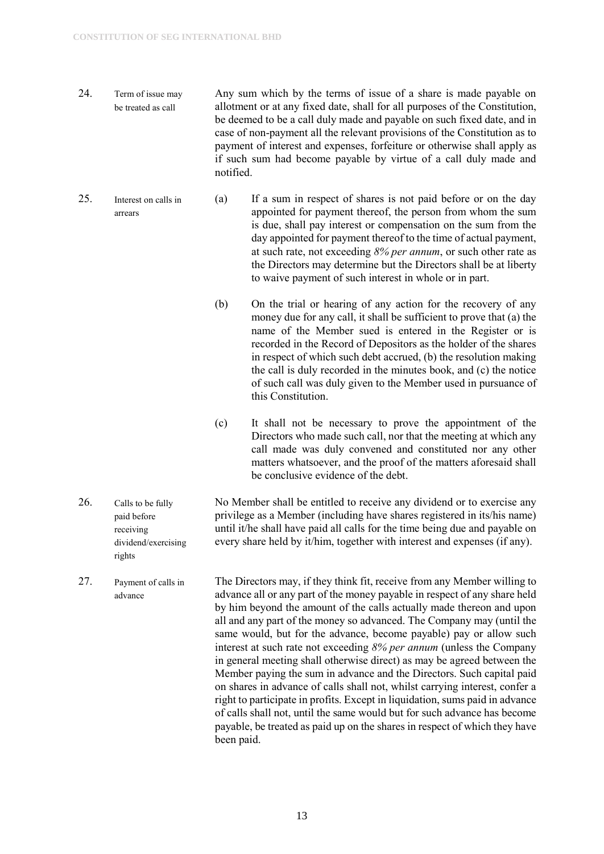rights

- 24. Term of issue may be treated as call Any sum which by the terms of issue of a share is made payable on allotment or at any fixed date, shall for all purposes of the Constitution, be deemed to be a call duly made and payable on such fixed date, and in case of non-payment all the relevant provisions of the Constitution as to payment of interest and expenses, forfeiture or otherwise shall apply as if such sum had become payable by virtue of a call duly made and notified.
- 25. Interest on calls in arrears (a) If a sum in respect of shares is not paid before or on the day appointed for payment thereof, the person from whom the sum is due, shall pay interest or compensation on the sum from the day appointed for payment thereof to the time of actual payment, at such rate, not exceeding *8% per annum*, or such other rate as the Directors may determine but the Directors shall be at liberty to waive payment of such interest in whole or in part.
	- (b) On the trial or hearing of any action for the recovery of any money due for any call, it shall be sufficient to prove that (a) the name of the Member sued is entered in the Register or is recorded in the Record of Depositors as the holder of the shares in respect of which such debt accrued, (b) the resolution making the call is duly recorded in the minutes book, and (c) the notice of such call was duly given to the Member used in pursuance of this Constitution.
	- (c) It shall not be necessary to prove the appointment of the Directors who made such call, nor that the meeting at which any call made was duly convened and constituted nor any other matters whatsoever, and the proof of the matters aforesaid shall be conclusive evidence of the debt.
- 26. Calls to be fully paid before receiving dividend/exercising No Member shall be entitled to receive any dividend or to exercise any privilege as a Member (including have shares registered in its/his name) until it/he shall have paid all calls for the time being due and payable on every share held by it/him, together with interest and expenses (if any).
- 27. Payment of calls in advance The Directors may, if they think fit, receive from any Member willing to advance all or any part of the money payable in respect of any share held by him beyond the amount of the calls actually made thereon and upon all and any part of the money so advanced. The Company may (until the same would, but for the advance, become payable) pay or allow such interest at such rate not exceeding *8% per annum* (unless the Company in general meeting shall otherwise direct) as may be agreed between the Member paying the sum in advance and the Directors. Such capital paid on shares in advance of calls shall not, whilst carrying interest, confer a right to participate in profits. Except in liquidation, sums paid in advance of calls shall not, until the same would but for such advance has become payable, be treated as paid up on the shares in respect of which they have been paid.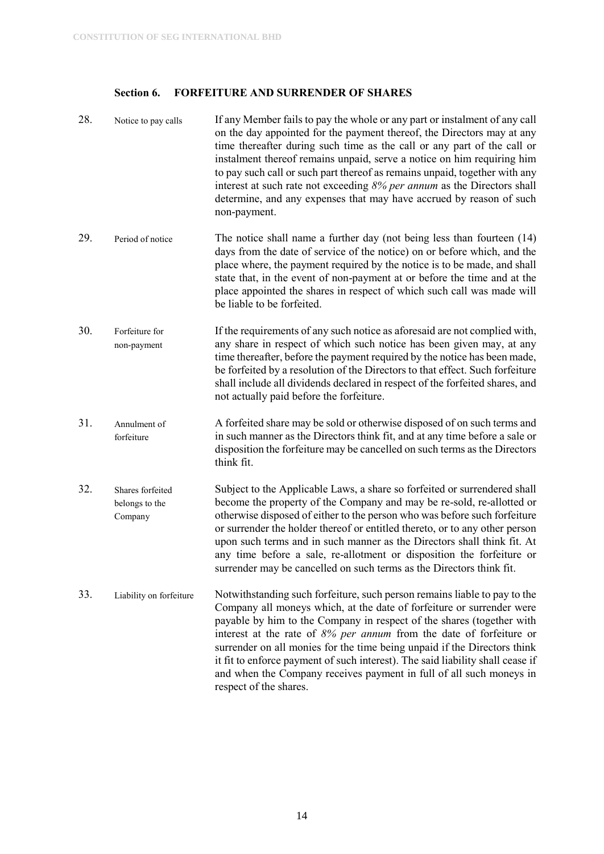### <span id="page-14-0"></span>**Section 6. FORFEITURE AND SURRENDER OF SHARES**

| 28. | Notice to pay calls                           | If any Member fails to pay the whole or any part or instalment of any call<br>on the day appointed for the payment thereof, the Directors may at any<br>time thereafter during such time as the call or any part of the call or<br>instalment thereof remains unpaid, serve a notice on him requiring him<br>to pay such call or such part thereof as remains unpaid, together with any<br>interest at such rate not exceeding $8\%$ per annum as the Directors shall<br>determine, and any expenses that may have accrued by reason of such<br>non-payment.      |
|-----|-----------------------------------------------|-------------------------------------------------------------------------------------------------------------------------------------------------------------------------------------------------------------------------------------------------------------------------------------------------------------------------------------------------------------------------------------------------------------------------------------------------------------------------------------------------------------------------------------------------------------------|
| 29. | Period of notice                              | The notice shall name a further day (not being less than fourteen $(14)$ )<br>days from the date of service of the notice) on or before which, and the<br>place where, the payment required by the notice is to be made, and shall<br>state that, in the event of non-payment at or before the time and at the<br>place appointed the shares in respect of which such call was made will<br>be liable to be forfeited.                                                                                                                                            |
| 30. | Forfeiture for<br>non-payment                 | If the requirements of any such notice as aforesaid are not complied with,<br>any share in respect of which such notice has been given may, at any<br>time thereafter, before the payment required by the notice has been made,<br>be forfeited by a resolution of the Directors to that effect. Such forfeiture<br>shall include all dividends declared in respect of the forfeited shares, and<br>not actually paid before the forfeiture.                                                                                                                      |
| 31. | Annulment of<br>forfeiture                    | A forfeited share may be sold or otherwise disposed of on such terms and<br>in such manner as the Directors think fit, and at any time before a sale or<br>disposition the forfeiture may be cancelled on such terms as the Directors<br>think fit.                                                                                                                                                                                                                                                                                                               |
| 32. | Shares forfeited<br>belongs to the<br>Company | Subject to the Applicable Laws, a share so forfeited or surrendered shall<br>become the property of the Company and may be re-sold, re-allotted or<br>otherwise disposed of either to the person who was before such forfeiture<br>or surrender the holder thereof or entitled thereto, or to any other person<br>upon such terms and in such manner as the Directors shall think fit. At<br>any time before a sale, re-allotment or disposition the forfeiture or<br>surrender may be cancelled on such terms as the Directors think fit.                        |
| 33. | Liability on forfeiture                       | Notwithstanding such forfeiture, such person remains liable to pay to the<br>Company all moneys which, at the date of forfeiture or surrender were<br>payable by him to the Company in respect of the shares (together with<br>interest at the rate of 8% per annum from the date of forfeiture or<br>surrender on all monies for the time being unpaid if the Directors think<br>it fit to enforce payment of such interest). The said liability shall cease if<br>and when the Company receives payment in full of all such moneys in<br>respect of the shares. |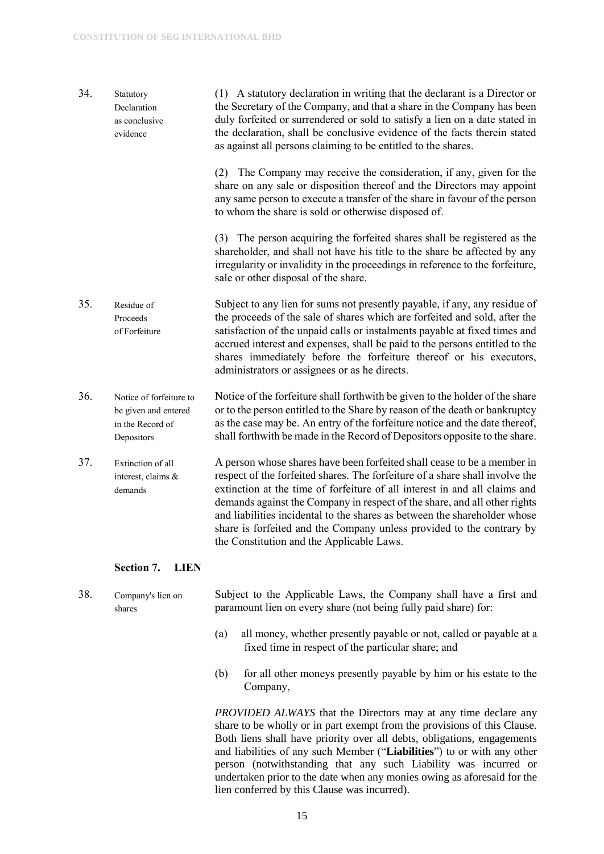- 34. Statutory Declaration as conclusive evidence (1) A statutory declaration in writing that the declarant is a Director or the Secretary of the Company, and that a share in the Company has been duly forfeited or surrendered or sold to satisfy a lien on a date stated in the declaration, shall be conclusive evidence of the facts therein stated as against all persons claiming to be entitled to the shares. (2) The Company may receive the consideration, if any, given for the share on any sale or disposition thereof and the Directors may appoint any same person to execute a transfer of the share in favour of the person to whom the share is sold or otherwise disposed of. (3) The person acquiring the forfeited shares shall be registered as the shareholder, and shall not have his title to the share be affected by any irregularity or invalidity in the proceedings in reference to the forfeiture, sale or other disposal of the share. 35. Residue of Proceeds of Forfeiture Subject to any lien for sums not presently payable, if any, any residue of the proceeds of the sale of shares which are forfeited and sold, after the satisfaction of the unpaid calls or instalments payable at fixed times and accrued interest and expenses, shall be paid to the persons entitled to the shares immediately before the forfeiture thereof or his executors, administrators or assignees or as he directs. 36. Notice of forfeiture to be given and entered in the Record of Depositors Notice of the forfeiture shall forthwith be given to the holder of the share or to the person entitled to the Share by reason of the death or bankruptcy as the case may be. An entry of the forfeiture notice and the date thereof, shall forthwith be made in the Record of Depositors opposite to the share. 37. Extinction of all interest, claims & demands A person whose shares have been forfeited shall cease to be a member in respect of the forfeited shares. The forfeiture of a share shall involve the extinction at the time of forfeiture of all interest in and all claims and demands against the Company in respect of the share, and all other rights and liabilities incidental to the shares as between the shareholder whose share is forfeited and the Company unless provided to the contrary by the Constitution and the Applicable Laws. **Section 7. LIEN**
- <span id="page-15-0"></span>38. Company's lien on shares Subject to the Applicable Laws, the Company shall have a first and paramount lien on every share (not being fully paid share) for:
	- (a) all money, whether presently payable or not, called or payable at a fixed time in respect of the particular share; and
	- (b) for all other moneys presently payable by him or his estate to the Company,

*PROVIDED ALWAYS* that the Directors may at any time declare any share to be wholly or in part exempt from the provisions of this Clause. Both liens shall have priority over all debts, obligations, engagements and liabilities of any such Member ("**Liabilities**") to or with any other person (notwithstanding that any such Liability was incurred or undertaken prior to the date when any monies owing as aforesaid for the lien conferred by this Clause was incurred).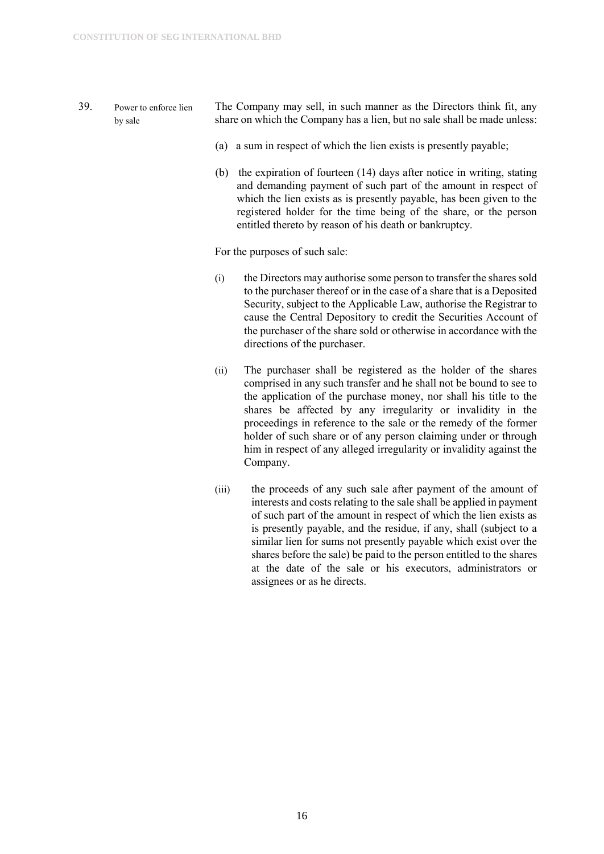- 39. Power to enforce lien by sale The Company may sell, in such manner as the Directors think fit, any share on which the Company has a lien, but no sale shall be made unless:
	- (a) a sum in respect of which the lien exists is presently payable;
	- (b) the expiration of fourteen (14) days after notice in writing, stating and demanding payment of such part of the amount in respect of which the lien exists as is presently payable, has been given to the registered holder for the time being of the share, or the person entitled thereto by reason of his death or bankruptcy.

For the purposes of such sale:

- (i) the Directors may authorise some person to transfer the shares sold to the purchaser thereof or in the case of a share that is a Deposited Security, subject to the Applicable Law, authorise the Registrar to cause the Central Depository to credit the Securities Account of the purchaser of the share sold or otherwise in accordance with the directions of the purchaser.
- (ii) The purchaser shall be registered as the holder of the shares comprised in any such transfer and he shall not be bound to see to the application of the purchase money, nor shall his title to the shares be affected by any irregularity or invalidity in the proceedings in reference to the sale or the remedy of the former holder of such share or of any person claiming under or through him in respect of any alleged irregularity or invalidity against the Company.
- (iii) the proceeds of any such sale after payment of the amount of interests and costs relating to the sale shall be applied in payment of such part of the amount in respect of which the lien exists as is presently payable, and the residue, if any, shall (subject to a similar lien for sums not presently payable which exist over the shares before the sale) be paid to the person entitled to the shares at the date of the sale or his executors, administrators or assignees or as he directs.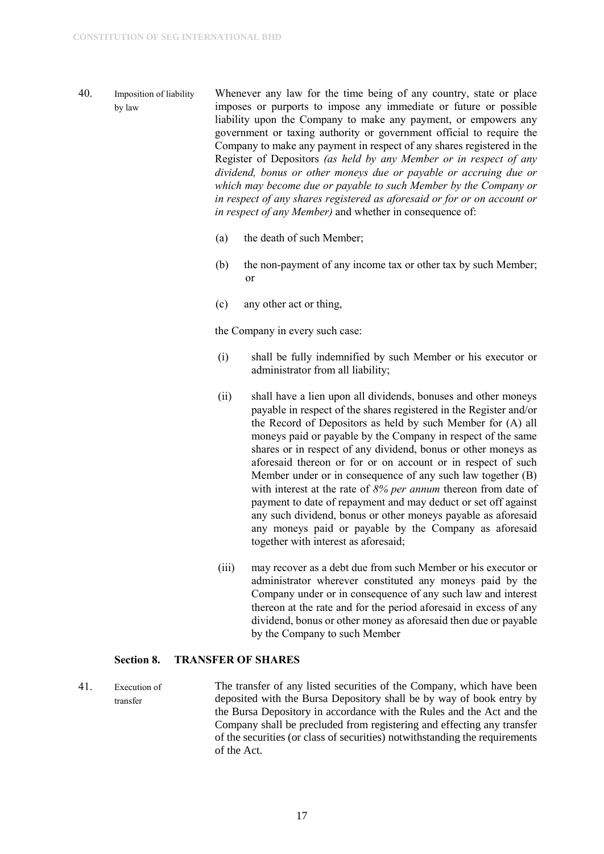- 40. Imposition of liability by law Whenever any law for the time being of any country, state or place imposes or purports to impose any immediate or future or possible liability upon the Company to make any payment, or empowers any government or taxing authority or government official to require the Company to make any payment in respect of any shares registered in the Register of Depositors *(as held by any Member or in respect of any dividend, bonus or other moneys due or payable or accruing due or which may become due or payable to such Member by the Company or in respect of any shares registered as aforesaid or for or on account or in respect of any Member)* and whether in consequence of:
	- (a) the death of such Member;
	- (b) the non-payment of any income tax or other tax by such Member; or
	- (c) any other act or thing,

the Company in every such case:

- (i) shall be fully indemnified by such Member or his executor or administrator from all liability;
- (ii) shall have a lien upon all dividends, bonuses and other moneys payable in respect of the shares registered in the Register and/or the Record of Depositors as held by such Member for (A) all moneys paid or payable by the Company in respect of the same shares or in respect of any dividend, bonus or other moneys as aforesaid thereon or for or on account or in respect of such Member under or in consequence of any such law together (B) with interest at the rate of *8% per annum* thereon from date of payment to date of repayment and may deduct or set off against any such dividend, bonus or other moneys payable as aforesaid any moneys paid or payable by the Company as aforesaid together with interest as aforesaid;
- (iii) may recover as a debt due from such Member or his executor or administrator wherever constituted any moneys paid by the Company under or in consequence of any such law and interest thereon at the rate and for the period aforesaid in excess of any dividend, bonus or other money as aforesaid then due or payable by the Company to such Member

#### <span id="page-17-0"></span>**Section 8. TRANSFER OF SHARES**

41. Execution of transfer The transfer of any listed securities of the Company, which have been deposited with the Bursa Depository shall be by way of book entry by the Bursa Depository in accordance with the Rules and the Act and the Company shall be precluded from registering and effecting any transfer of the securities (or class of securities) notwithstanding the requirements of the Act.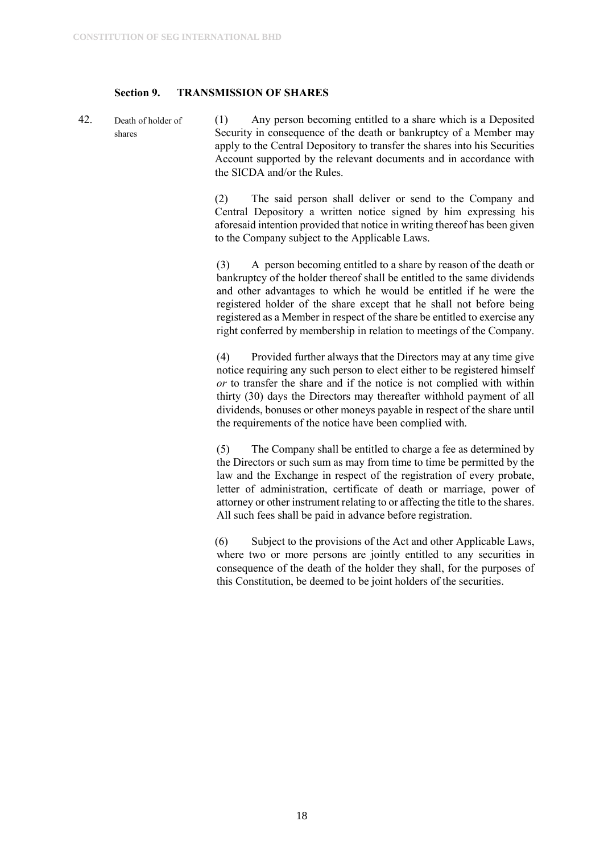#### <span id="page-18-0"></span>**Section 9. TRANSMISSION OF SHARES**

42. Death of holder of shares (1) Any person becoming entitled to a share which is a Deposited Security in consequence of the death or bankruptcy of a Member may apply to the Central Depository to transfer the shares into his Securities Account supported by the relevant documents and in accordance with the SICDA and/or the Rules.

> (2) The said person shall deliver or send to the Company and Central Depository a written notice signed by him expressing his aforesaid intention provided that notice in writing thereof has been given to the Company subject to the Applicable Laws.

> (3) A person becoming entitled to a share by reason of the death or bankruptcy of the holder thereof shall be entitled to the same dividends and other advantages to which he would be entitled if he were the registered holder of the share except that he shall not before being registered as a Member in respect of the share be entitled to exercise any right conferred by membership in relation to meetings of the Company.

> (4) Provided further always that the Directors may at any time give notice requiring any such person to elect either to be registered himself *or* to transfer the share and if the notice is not complied with within thirty (30) days the Directors may thereafter withhold payment of all dividends, bonuses or other moneys payable in respect of the share until the requirements of the notice have been complied with.

> (5) The Company shall be entitled to charge a fee as determined by the Directors or such sum as may from time to time be permitted by the law and the Exchange in respect of the registration of every probate, letter of administration, certificate of death or marriage, power of attorney or other instrument relating to or affecting the title to the shares. All such fees shall be paid in advance before registration.

> (6) Subject to the provisions of the Act and other Applicable Laws, where two or more persons are jointly entitled to any securities in consequence of the death of the holder they shall, for the purposes of this Constitution, be deemed to be joint holders of the securities.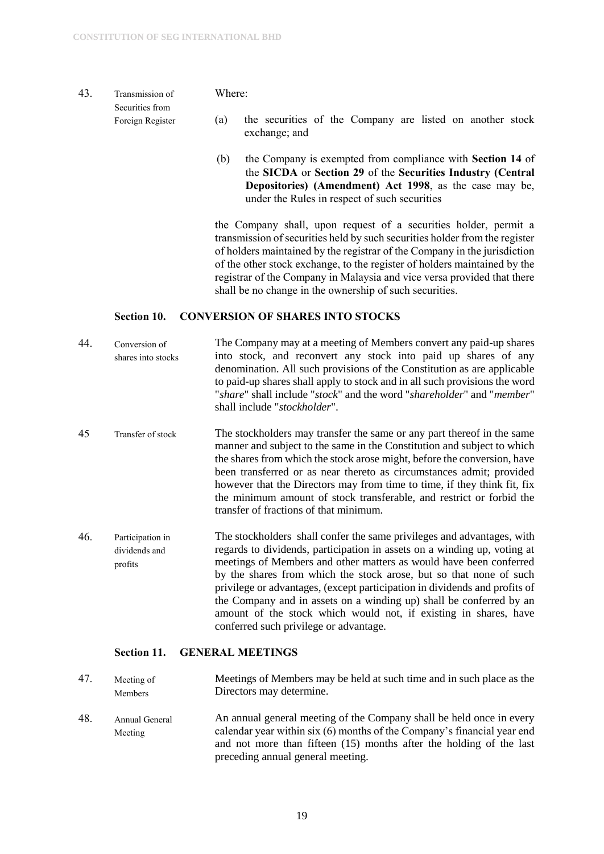#### 43. Transmission of Securities from Foreign Register

#### Where:

- (a) the securities of the Company are listed on another stock exchange; and
- (b) the Company is exempted from compliance with **Section 14** of the **SICDA** or **Section 29** of the **Securities Industry (Central Depositories) (Amendment) Act 1998**, as the case may be, under the Rules in respect of such securities

the Company shall, upon request of a securities holder, permit a transmission of securities held by such securities holder from the register of holders maintained by the registrar of the Company in the jurisdiction of the other stock exchange, to the register of holders maintained by the registrar of the Company in Malaysia and vice versa provided that there shall be no change in the ownership of such securities.

#### <span id="page-19-0"></span>**Section 10. CONVERSION OF SHARES INTO STOCKS**

- 44. Conversion of shares into stocks The Company may at a meeting of Members convert any paid-up shares into stock, and reconvert any stock into paid up shares of any denomination. All such provisions of the Constitution as are applicable to paid-up shares shall apply to stock and in all such provisions the word "*share*" shall include "*stock*" and the word "*shareholder*" and "*member*" shall include "*stockholder*".
- 45 Transfer of stock The stockholders may transfer the same or any part thereof in the same manner and subject to the same in the Constitution and subject to which the shares from which the stock arose might, before the conversion, have been transferred or as near thereto as circumstances admit; provided however that the Directors may from time to time, if they think fit, fix the minimum amount of stock transferable, and restrict or forbid the transfer of fractions of that minimum.
- 46. Participation in dividends and profits The stockholders shall confer the same privileges and advantages, with regards to dividends, participation in assets on a winding up, voting at meetings of Members and other matters as would have been conferred by the shares from which the stock arose, but so that none of such privilege or advantages, (except participation in dividends and profits of the Company and in assets on a winding up) shall be conferred by an amount of the stock which would not, if existing in shares, have conferred such privilege or advantage.

#### <span id="page-19-1"></span>**Section 11. GENERAL MEETINGS**

| 47. | Meeting of<br>Members     | Meetings of Members may be held at such time and in such place as the<br>Directors may determine.                                                                                                                                                           |
|-----|---------------------------|-------------------------------------------------------------------------------------------------------------------------------------------------------------------------------------------------------------------------------------------------------------|
| 48. | Annual General<br>Meeting | An annual general meeting of the Company shall be held once in every<br>calendar year within six (6) months of the Company's financial year end<br>and not more than fifteen (15) months after the holding of the last<br>preceding annual general meeting. |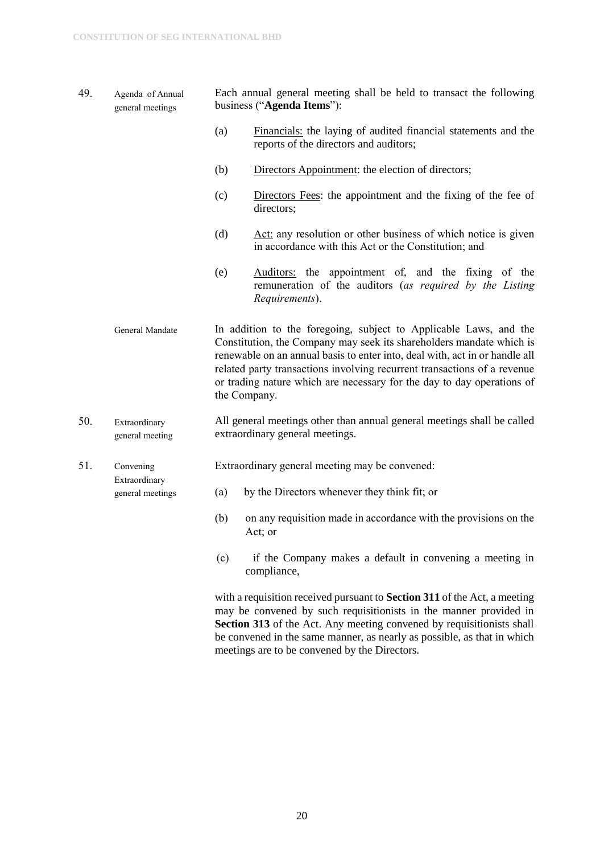- 49. Agenda of Annual general meetings Each annual general meeting shall be held to transact the following business ("**Agenda Items**"):
	- (a) Financials: the laying of audited financial statements and the reports of the directors and auditors;
	- (b) Directors Appointment: the election of directors;
	- (c) Directors Fees: the appointment and the fixing of the fee of directors;
	- (d) Act: any resolution or other business of which notice is given in accordance with this Act or the Constitution; and
	- (e) Auditors: the appointment of, and the fixing of the remuneration of the auditors (*as required by the Listing Requirements*).
	- General Mandate In addition to the foregoing, subject to Applicable Laws, and the Constitution, the Company may seek its shareholders mandate which is renewable on an annual basis to enter into, deal with, act in or handle all related party transactions involving recurrent transactions of a revenue or trading nature which are necessary for the day to day operations of the Company.
- 50. Extraordinary general meeting All general meetings other than annual general meetings shall be called extraordinary general meetings.

51. Convening Extraordinary general meetings Extraordinary general meeting may be convened:

- (a) by the Directors whenever they think fit; or
- (b) on any requisition made in accordance with the provisions on the Act; or
- (c) if the Company makes a default in convening a meeting in compliance,

with a requisition received pursuant to **Section 311** of the Act, a meeting may be convened by such requisitionists in the manner provided in **Section 313** of the Act. Any meeting convened by requisitionists shall be convened in the same manner, as nearly as possible, as that in which meetings are to be convened by the Directors.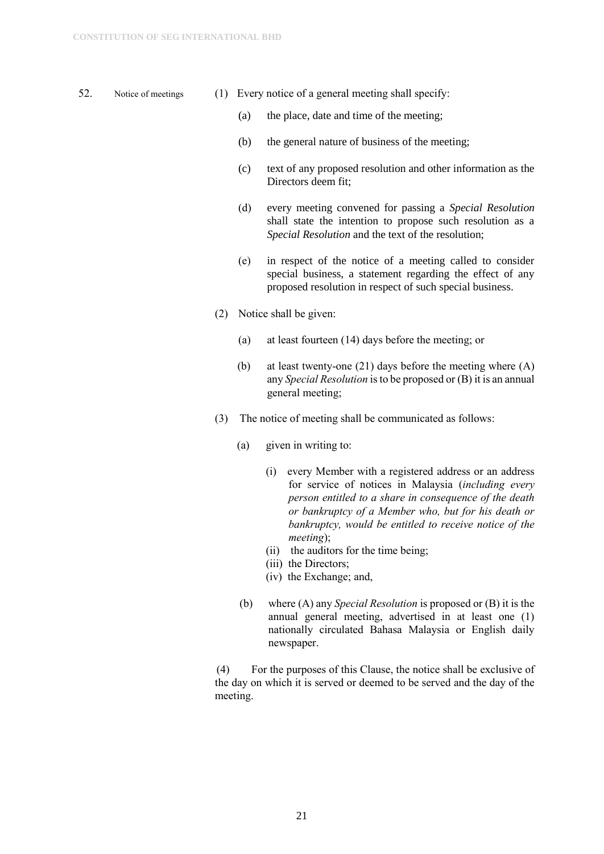- 
- 52. Notice of meetings (1) Every notice of a general meeting shall specify:
	- (a) the place, date and time of the meeting;
	- (b) the general nature of business of the meeting;
	- (c) text of any proposed resolution and other information as the Directors deem fit;
	- (d) every meeting convened for passing a *Special Resolution* shall state the intention to propose such resolution as a *Special Resolution* and the text of the resolution;
	- (e) in respect of the notice of a meeting called to consider special business, a statement regarding the effect of any proposed resolution in respect of such special business.
	- (2) Notice shall be given:
		- (a) at least fourteen (14) days before the meeting; or
		- (b) at least twenty-one (21) days before the meeting where (A) any *Special Resolution* is to be proposed or (B) it is an annual general meeting;
	- (3) The notice of meeting shall be communicated as follows:
		- (a) given in writing to:
			- (i) every Member with a registered address or an address for service of notices in Malaysia (*including every person entitled to a share in consequence of the death or bankruptcy of a Member who, but for his death or bankruptcy, would be entitled to receive notice of the meeting*);
			- (ii) the auditors for the time being;
			- (iii) the Directors;
			- (iv) the Exchange; and,
		- (b) where (A) any *Special Resolution* is proposed or (B) it is the annual general meeting, advertised in at least one (1) nationally circulated Bahasa Malaysia or English daily newspaper.

(4) For the purposes of this Clause, the notice shall be exclusive of the day on which it is served or deemed to be served and the day of the meeting.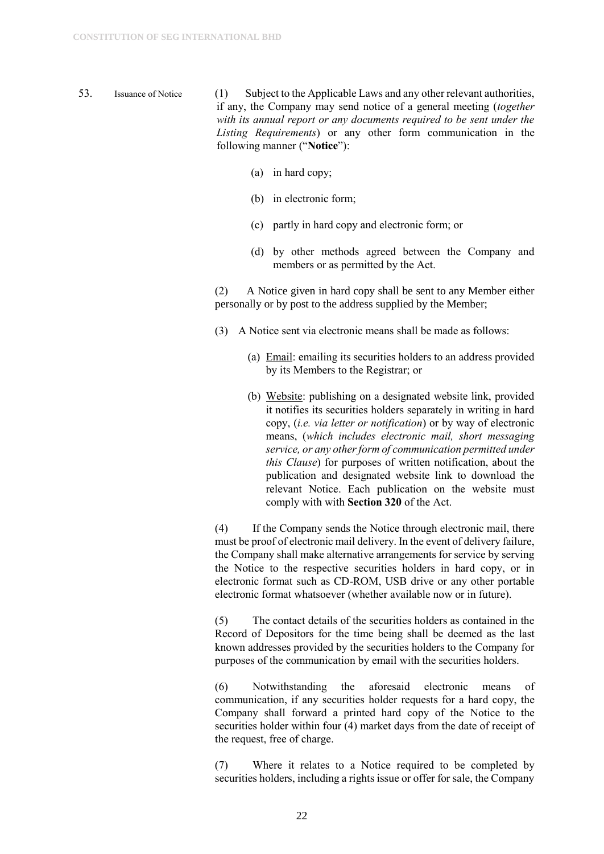- 53. Issuance of Notice (1) Subject to the Applicable Laws and any other relevant authorities, if any, the Company may send notice of a general meeting (*together with its annual report or any documents required to be sent under the Listing Requirements*) or any other form communication in the following manner ("**Notice**"):
	- (a) in hard copy;
	- (b) in electronic form;
	- (c) partly in hard copy and electronic form; or
	- (d) by other methods agreed between the Company and members or as permitted by the Act.

(2) A Notice given in hard copy shall be sent to any Member either personally or by post to the address supplied by the Member;

- (3) A Notice sent via electronic means shall be made as follows:
	- (a) Email: emailing its securities holders to an address provided by its Members to the Registrar; or
	- (b) Website: publishing on a designated website link, provided it notifies its securities holders separately in writing in hard copy, (*i.e. via letter or notification*) or by way of electronic means, (*which includes electronic mail, short messaging service, or any other form of communication permitted under this Clause*) for purposes of written notification, about the publication and designated website link to download the relevant Notice. Each publication on the website must comply with with **Section 320** of the Act.

(4) If the Company sends the Notice through electronic mail, there must be proof of electronic mail delivery. In the event of delivery failure, the Company shall make alternative arrangements for service by serving the Notice to the respective securities holders in hard copy, or in electronic format such as CD-ROM, USB drive or any other portable electronic format whatsoever (whether available now or in future).

(5) The contact details of the securities holders as contained in the Record of Depositors for the time being shall be deemed as the last known addresses provided by the securities holders to the Company for purposes of the communication by email with the securities holders.

(6) Notwithstanding the aforesaid electronic means of communication, if any securities holder requests for a hard copy, the Company shall forward a printed hard copy of the Notice to the securities holder within four (4) market days from the date of receipt of the request, free of charge.

(7) Where it relates to a Notice required to be completed by securities holders, including a rights issue or offer for sale, the Company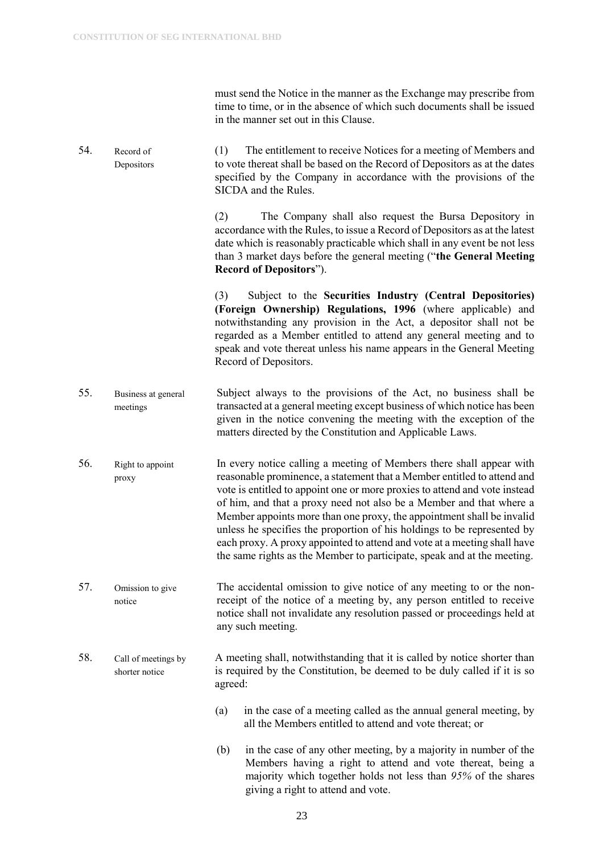must send the Notice in the manner as the Exchange may prescribe from time to time, or in the absence of which such documents shall be issued in the manner set out in this Clause.

54. Record of Depositors (1) The entitlement to receive Notices for a meeting of Members and to vote thereat shall be based on the Record of Depositors as at the dates specified by the Company in accordance with the provisions of the SICDA and the Rules.

> (2) The Company shall also request the Bursa Depository in accordance with the Rules, to issue a Record of Depositors as at the latest date which is reasonably practicable which shall in any event be not less than 3 market days before the general meeting ("**the General Meeting Record of Depositors**").

(3) Subject to the **Securities Industry (Central Depositories) (Foreign Ownership) Regulations, 1996** (where applicable) and notwithstanding any provision in the Act, a depositor shall not be regarded as a Member entitled to attend any general meeting and to speak and vote thereat unless his name appears in the General Meeting Record of Depositors.

- 55. Business at general meetings Subject always to the provisions of the Act, no business shall be transacted at a general meeting except business of which notice has been given in the notice convening the meeting with the exception of the matters directed by the Constitution and Applicable Laws.
- 56. Right to appoint proxy In every notice calling a meeting of Members there shall appear with reasonable prominence, a statement that a Member entitled to attend and vote is entitled to appoint one or more proxies to attend and vote instead of him, and that a proxy need not also be a Member and that where a Member appoints more than one proxy, the appointment shall be invalid unless he specifies the proportion of his holdings to be represented by each proxy. A proxy appointed to attend and vote at a meeting shall have the same rights as the Member to participate, speak and at the meeting.
- 57. Omission to give notice The accidental omission to give notice of any meeting to or the nonreceipt of the notice of a meeting by, any person entitled to receive notice shall not invalidate any resolution passed or proceedings held at any such meeting.
- 58. Call of meetings by shorter notice A meeting shall, notwithstanding that it is called by notice shorter than is required by the Constitution, be deemed to be duly called if it is so agreed:
	- (a) in the case of a meeting called as the annual general meeting, by all the Members entitled to attend and vote thereat; or
	- (b) in the case of any other meeting, by a majority in number of the Members having a right to attend and vote thereat, being a majority which together holds not less than *95%* of the shares giving a right to attend and vote.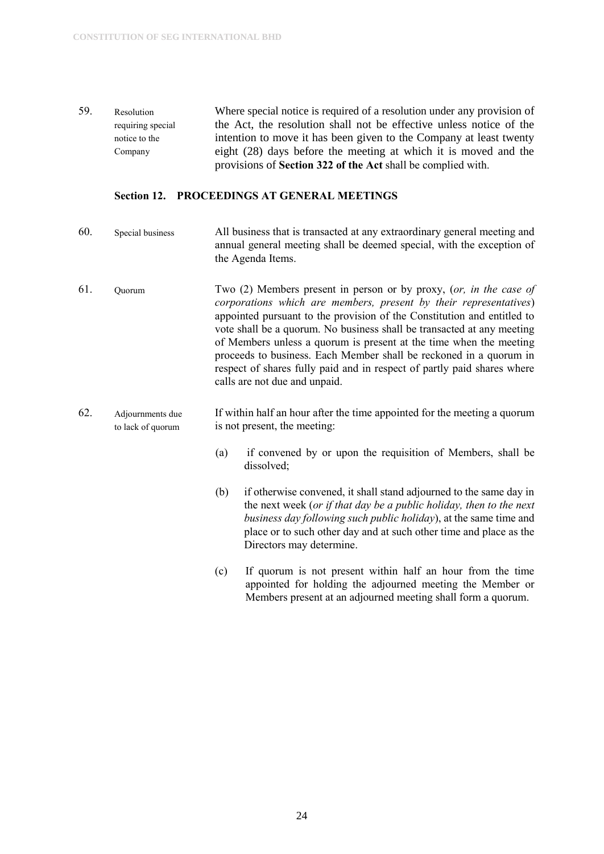59. Resolution requiring special notice to the Company Where special notice is required of a resolution under any provision of the Act, the resolution shall not be effective unless notice of the intention to move it has been given to the Company at least twenty eight (28) days before the meeting at which it is moved and the provisions of **Section 322 of the Act** shall be complied with.

#### <span id="page-24-0"></span>**Section 12. PROCEEDINGS AT GENERAL MEETINGS**

- 60. Special business All business that is transacted at any extraordinary general meeting and annual general meeting shall be deemed special, with the exception of the Agenda Items.
- 61. Quorum Two (2) Members present in person or by proxy, (*or, in the case of corporations which are members, present by their representatives*) appointed pursuant to the provision of the Constitution and entitled to vote shall be a quorum. No business shall be transacted at any meeting of Members unless a quorum is present at the time when the meeting proceeds to business. Each Member shall be reckoned in a quorum in respect of shares fully paid and in respect of partly paid shares where calls are not due and unpaid.
- 62. Adjournments due to lack of quorum If within half an hour after the time appointed for the meeting a quorum is not present, the meeting:
	- (a) if convened by or upon the requisition of Members, shall be dissolved;
	- (b) if otherwise convened, it shall stand adjourned to the same day in the next week (*or if that day be a public holiday, then to the next business day following such public holiday*), at the same time and place or to such other day and at such other time and place as the Directors may determine.
	- (c) If quorum is not present within half an hour from the time appointed for holding the adjourned meeting the Member or Members present at an adjourned meeting shall form a quorum.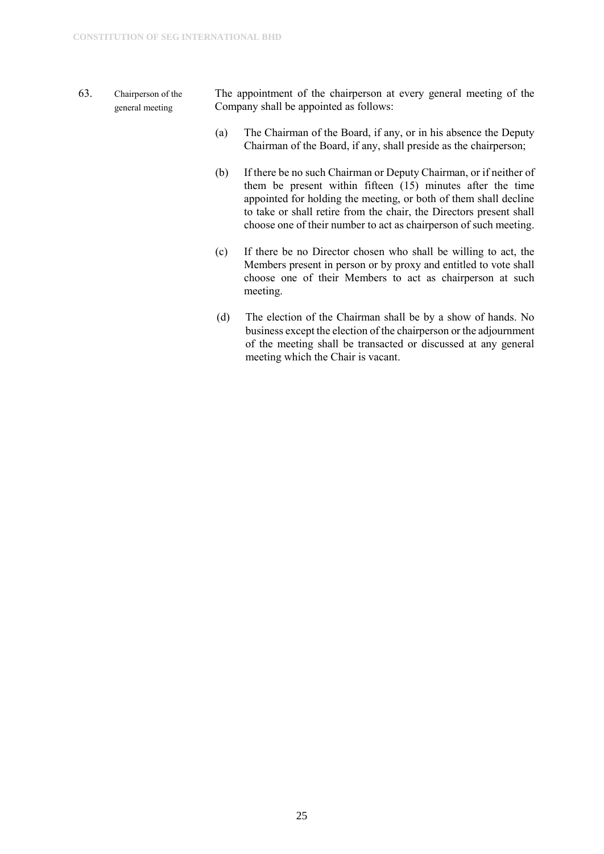- 63. Chairperson of the general meeting The appointment of the chairperson at every general meeting of the Company shall be appointed as follows:
	- (a) The Chairman of the Board, if any, or in his absence the Deputy Chairman of the Board, if any, shall preside as the chairperson;
	- (b) If there be no such Chairman or Deputy Chairman, or if neither of them be present within fifteen (15) minutes after the time appointed for holding the meeting, or both of them shall decline to take or shall retire from the chair, the Directors present shall choose one of their number to act as chairperson of such meeting.
	- (c) If there be no Director chosen who shall be willing to act, the Members present in person or by proxy and entitled to vote shall choose one of their Members to act as chairperson at such meeting.
	- (d) The election of the Chairman shall be by a show of hands. No business except the election of the chairperson or the adjournment of the meeting shall be transacted or discussed at any general meeting which the Chair is vacant.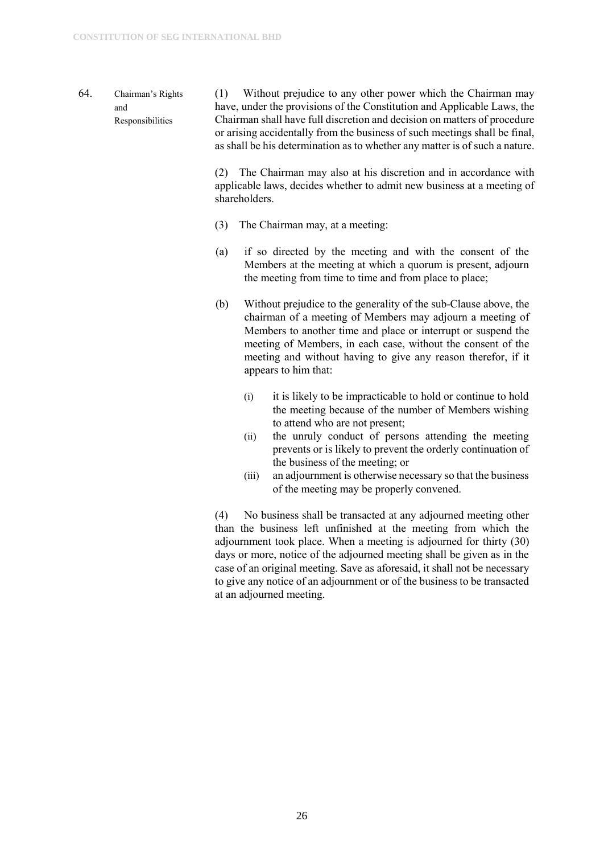64. Chairman's Rights and Responsibilities (1) Without prejudice to any other power which the Chairman may have, under the provisions of the Constitution and Applicable Laws, the Chairman shall have full discretion and decision on matters of procedure or arising accidentally from the business of such meetings shall be final, as shall be his determination as to whether any matter is of such a nature.

> (2) The Chairman may also at his discretion and in accordance with applicable laws, decides whether to admit new business at a meeting of shareholders.

- (3) The Chairman may, at a meeting:
- (a) if so directed by the meeting and with the consent of the Members at the meeting at which a quorum is present, adjourn the meeting from time to time and from place to place;
- (b) Without prejudice to the generality of the sub-Clause above, the chairman of a meeting of Members may adjourn a meeting of Members to another time and place or interrupt or suspend the meeting of Members, in each case, without the consent of the meeting and without having to give any reason therefor, if it appears to him that:
	- (i) it is likely to be impracticable to hold or continue to hold the meeting because of the number of Members wishing to attend who are not present;
	- (ii) the unruly conduct of persons attending the meeting prevents or is likely to prevent the orderly continuation of the business of the meeting; or
	- (iii) an adjournment is otherwise necessary so that the business of the meeting may be properly convened.

(4) No business shall be transacted at any adjourned meeting other than the business left unfinished at the meeting from which the adjournment took place. When a meeting is adjourned for thirty (30) days or more, notice of the adjourned meeting shall be given as in the case of an original meeting. Save as aforesaid, it shall not be necessary to give any notice of an adjournment or of the business to be transacted at an adjourned meeting.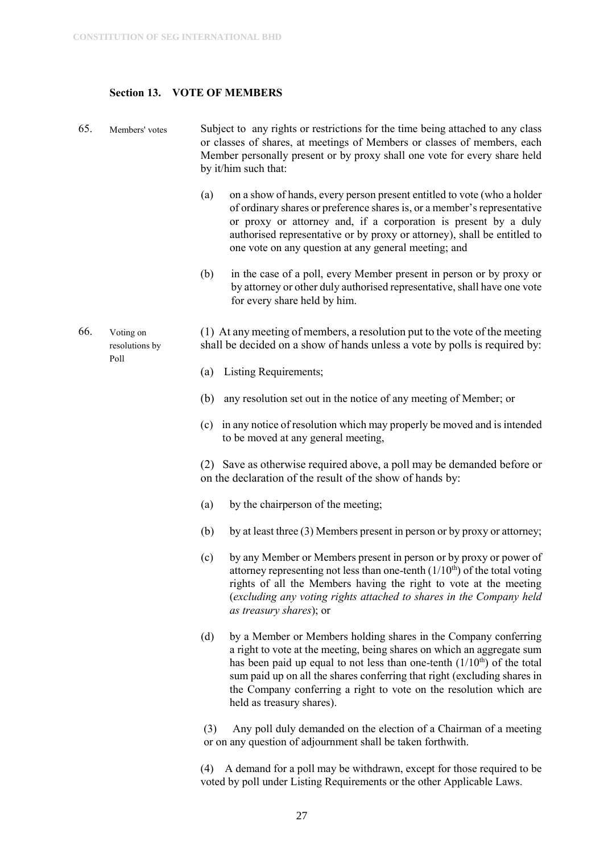#### <span id="page-27-0"></span>**Section 13. VOTE OF MEMBERS**

- 65. Members' votes Subject to any rights or restrictions for the time being attached to any class or classes of shares, at meetings of Members or classes of members, each Member personally present or by proxy shall one vote for every share held by it/him such that:
	- (a) on a show of hands, every person present entitled to vote (who a holder of ordinary shares or preference shares is, or a member's representative or proxy or attorney and, if a corporation is present by a duly authorised representative or by proxy or attorney), shall be entitled to one vote on any question at any general meeting; and
	- (b) in the case of a poll, every Member present in person or by proxy or by attorney or other duly authorised representative, shall have one vote for every share held by him.
- 66. Voting on resolutions by Poll (1) At any meeting of members, a resolution put to the vote of the meeting shall be decided on a show of hands unless a vote by polls is required by:
	- (a) Listing Requirements;
	- (b) any resolution set out in the notice of any meeting of Member; or
	- (c) in any notice of resolution which may properly be moved and is intended to be moved at any general meeting,

(2) Save as otherwise required above, a poll may be demanded before or on the declaration of the result of the show of hands by:

- (a) by the chairperson of the meeting;
- (b) by at least three (3) Members present in person or by proxy or attorney;
- (c) by any Member or Members present in person or by proxy or power of attorney representing not less than one-tenth  $(1/10<sup>th</sup>)$  of the total voting rights of all the Members having the right to vote at the meeting (*excluding any voting rights attached to shares in the Company held as treasury shares*); or
- (d) by a Member or Members holding shares in the Company conferring a right to vote at the meeting, being shares on which an aggregate sum has been paid up equal to not less than one-tenth  $(1/10<sup>th</sup>)$  of the total sum paid up on all the shares conferring that right (excluding shares in the Company conferring a right to vote on the resolution which are held as treasury shares).

(3) Any poll duly demanded on the election of a Chairman of a meeting or on any question of adjournment shall be taken forthwith.

(4) A demand for a poll may be withdrawn, except for those required to be voted by poll under Listing Requirements or the other Applicable Laws.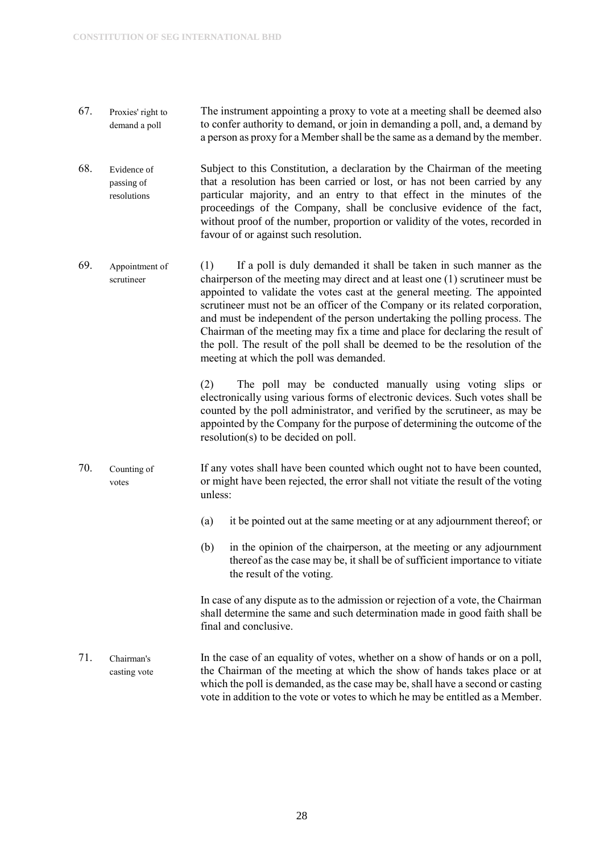- 67. Proxies' right to demand a poll The instrument appointing a proxy to vote at a meeting shall be deemed also to confer authority to demand, or join in demanding a poll, and, a demand by a person as proxy for a Member shall be the same as a demand by the member.
- 68. Evidence of passing of resolutions Subject to this Constitution, a declaration by the Chairman of the meeting that a resolution has been carried or lost, or has not been carried by any particular majority, and an entry to that effect in the minutes of the proceedings of the Company, shall be conclusive evidence of the fact, without proof of the number, proportion or validity of the votes, recorded in favour of or against such resolution.
- 69. Appointment of scrutineer (1) If a poll is duly demanded it shall be taken in such manner as the chairperson of the meeting may direct and at least one (1) scrutineer must be appointed to validate the votes cast at the general meeting. The appointed scrutineer must not be an officer of the Company or its related corporation, and must be independent of the person undertaking the polling process. The Chairman of the meeting may fix a time and place for declaring the result of the poll. The result of the poll shall be deemed to be the resolution of the meeting at which the poll was demanded.

(2) The poll may be conducted manually using voting slips or electronically using various forms of electronic devices. Such votes shall be counted by the poll administrator, and verified by the scrutineer, as may be appointed by the Company for the purpose of determining the outcome of the resolution(s) to be decided on poll.

- 70. Counting of votes If any votes shall have been counted which ought not to have been counted, or might have been rejected, the error shall not vitiate the result of the voting unless:
	- (a) it be pointed out at the same meeting or at any adjournment thereof; or
	- (b) in the opinion of the chairperson, at the meeting or any adjournment thereof as the case may be, it shall be of sufficient importance to vitiate the result of the voting.

In case of any dispute as to the admission or rejection of a vote, the Chairman shall determine the same and such determination made in good faith shall be final and conclusive.

71. Chairman's casting vote In the case of an equality of votes, whether on a show of hands or on a poll, the Chairman of the meeting at which the show of hands takes place or at which the poll is demanded, as the case may be, shall have a second or casting vote in addition to the vote or votes to which he may be entitled as a Member.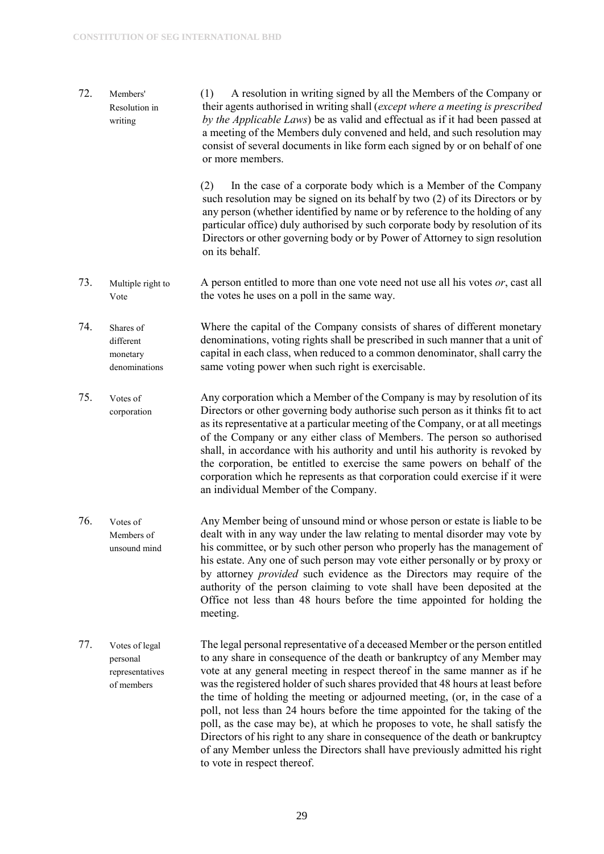- 72. Members' Resolution in writing (1) A resolution in writing signed by all the Members of the Company or their agents authorised in writing shall (*except where a meeting is prescribed by the Applicable Laws*) be as valid and effectual as if it had been passed at a meeting of the Members duly convened and held, and such resolution may consist of several documents in like form each signed by or on behalf of one or more members.
	- (2) In the case of a corporate body which is a Member of the Company such resolution may be signed on its behalf by two (2) of its Directors or by any person (whether identified by name or by reference to the holding of any particular office) duly authorised by such corporate body by resolution of its Directors or other governing body or by Power of Attorney to sign resolution on its behalf.
- 73. Multiple right to Vote A person entitled to more than one vote need not use all his votes *or*, cast all the votes he uses on a poll in the same way.
- 74. Shares of different monetary denominations Where the capital of the Company consists of shares of different monetary denominations, voting rights shall be prescribed in such manner that a unit of capital in each class, when reduced to a common denominator, shall carry the same voting power when such right is exercisable.
- 75. Votes of corporation Any corporation which a Member of the Company is may by resolution of its Directors or other governing body authorise such person as it thinks fit to act as its representative at a particular meeting of the Company, or at all meetings of the Company or any either class of Members. The person so authorised shall, in accordance with his authority and until his authority is revoked by the corporation, be entitled to exercise the same powers on behalf of the corporation which he represents as that corporation could exercise if it were an individual Member of the Company.
- 76. Votes of Members of unsound mind Any Member being of unsound mind or whose person or estate is liable to be dealt with in any way under the law relating to mental disorder may vote by his committee, or by such other person who properly has the management of his estate. Any one of such person may vote either personally or by proxy or by attorney *provided* such evidence as the Directors may require of the authority of the person claiming to vote shall have been deposited at the Office not less than 48 hours before the time appointed for holding the meeting.
- 77. Votes of legal personal representatives of members The legal personal representative of a deceased Member or the person entitled to any share in consequence of the death or bankruptcy of any Member may vote at any general meeting in respect thereof in the same manner as if he was the registered holder of such shares provided that 48 hours at least before the time of holding the meeting or adjourned meeting, (or, in the case of a poll, not less than 24 hours before the time appointed for the taking of the poll, as the case may be), at which he proposes to vote, he shall satisfy the Directors of his right to any share in consequence of the death or bankruptcy of any Member unless the Directors shall have previously admitted his right to vote in respect thereof.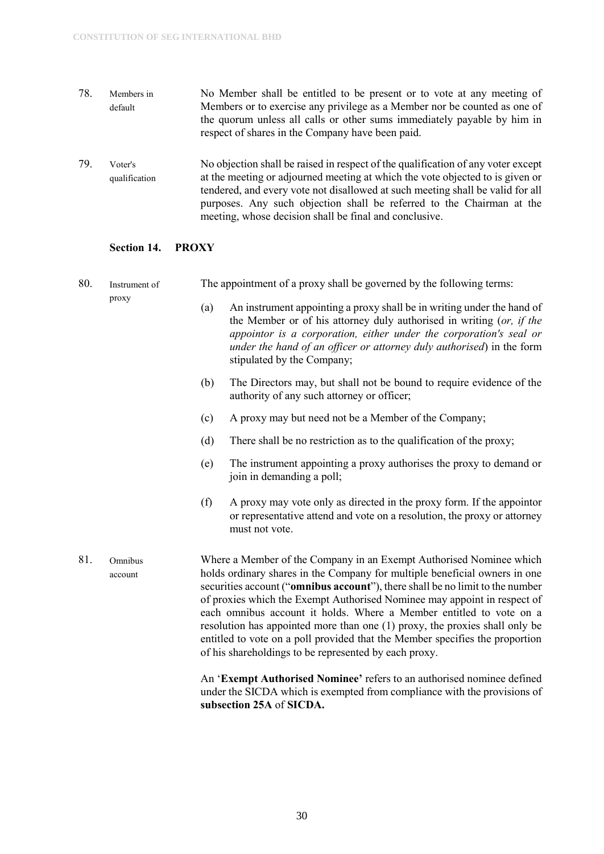- 78. Members in default No Member shall be entitled to be present or to vote at any meeting of Members or to exercise any privilege as a Member nor be counted as one of the quorum unless all calls or other sums immediately payable by him in respect of shares in the Company have been paid.
- 79. Voter's qualification No objection shall be raised in respect of the qualification of any voter except at the meeting or adjourned meeting at which the vote objected to is given or tendered, and every vote not disallowed at such meeting shall be valid for all purposes. Any such objection shall be referred to the Chairman at the meeting, whose decision shall be final and conclusive.

#### <span id="page-30-0"></span>**Section 14. PROXY**

| 80. | Instrument of<br>proxy | The appointment of a proxy shall be governed by the following terms:                                                                                                                                                                                                                                                                                                                                                                                                                                                                                                                                                                                                                    |  |  |
|-----|------------------------|-----------------------------------------------------------------------------------------------------------------------------------------------------------------------------------------------------------------------------------------------------------------------------------------------------------------------------------------------------------------------------------------------------------------------------------------------------------------------------------------------------------------------------------------------------------------------------------------------------------------------------------------------------------------------------------------|--|--|
|     |                        | An instrument appointing a proxy shall be in writing under the hand of<br>(a)<br>the Member or of his attorney duly authorised in writing (or, if the<br>appointor is a corporation, either under the corporation's seal or<br>under the hand of an officer or attorney duly authorised) in the form<br>stipulated by the Company;                                                                                                                                                                                                                                                                                                                                                      |  |  |
|     |                        | The Directors may, but shall not be bound to require evidence of the<br>(b)<br>authority of any such attorney or officer;                                                                                                                                                                                                                                                                                                                                                                                                                                                                                                                                                               |  |  |
|     |                        | A proxy may but need not be a Member of the Company;<br>(c)                                                                                                                                                                                                                                                                                                                                                                                                                                                                                                                                                                                                                             |  |  |
|     |                        | (d)<br>There shall be no restriction as to the qualification of the proxy;                                                                                                                                                                                                                                                                                                                                                                                                                                                                                                                                                                                                              |  |  |
|     |                        | The instrument appointing a proxy authorises the proxy to demand or<br>(e)<br>join in demanding a poll;                                                                                                                                                                                                                                                                                                                                                                                                                                                                                                                                                                                 |  |  |
|     |                        | (f)<br>A proxy may vote only as directed in the proxy form. If the appoint or<br>or representative attend and vote on a resolution, the proxy or attorney<br>must not vote.                                                                                                                                                                                                                                                                                                                                                                                                                                                                                                             |  |  |
| 81. | Omnibus<br>account     | Where a Member of the Company in an Exempt Authorised Nominee which<br>holds ordinary shares in the Company for multiple beneficial owners in one<br>securities account ("omnibus account"), there shall be no limit to the number<br>of proxies which the Exempt Authorised Nominee may appoint in respect of<br>each omnibus account it holds. Where a Member entitled to vote on a<br>resolution has appointed more than one (1) proxy, the proxies shall only be<br>entitled to vote on a poll provided that the Member specifies the proportion<br>of his shareholdings to be represented by each proxy.<br>An 'Exempt Authorised Nominee' refers to an authorised nominee defined |  |  |
|     |                        | under the SICDA which is exempted from compliance with the provisions of                                                                                                                                                                                                                                                                                                                                                                                                                                                                                                                                                                                                                |  |  |

**subsection 25A** of **SICDA.**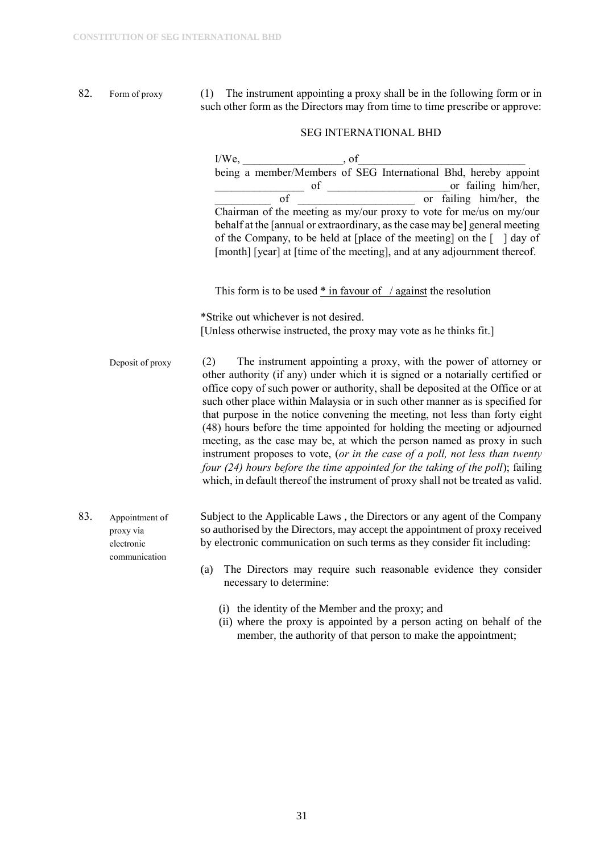82. Form of proxy (1) The instrument appointing a proxy shall be in the following form or in such other form as the Directors may from time to time prescribe or approve:

#### SEG INTERNATIONAL BHD

|     |                                                            | I/We, of being a member/Members of SEG International Bhd, hereby appoint                                                                                                                                                                                                                                                                                                                                                                                                                                                                                                                                                                                                                                                                                                                                                 |
|-----|------------------------------------------------------------|--------------------------------------------------------------------------------------------------------------------------------------------------------------------------------------------------------------------------------------------------------------------------------------------------------------------------------------------------------------------------------------------------------------------------------------------------------------------------------------------------------------------------------------------------------------------------------------------------------------------------------------------------------------------------------------------------------------------------------------------------------------------------------------------------------------------------|
|     |                                                            |                                                                                                                                                                                                                                                                                                                                                                                                                                                                                                                                                                                                                                                                                                                                                                                                                          |
|     |                                                            | of or failing him/her,<br>of or failing him/her, the chairman of the meeting as my/our proxy to vote for me/us on my/our<br>behalf at the [annual or extraordinary, as the case may be] general meeting<br>of the Company, to be held at [place of the meeting] on the $\lceil \ \ \rceil$ day of<br>[month] [year] at [time of the meeting], and at any adjournment thereof.                                                                                                                                                                                                                                                                                                                                                                                                                                            |
|     |                                                            | This form is to be used $*$ in favour of / against the resolution                                                                                                                                                                                                                                                                                                                                                                                                                                                                                                                                                                                                                                                                                                                                                        |
|     |                                                            | *Strike out whichever is not desired.                                                                                                                                                                                                                                                                                                                                                                                                                                                                                                                                                                                                                                                                                                                                                                                    |
|     |                                                            | [Unless otherwise instructed, the proxy may vote as he thinks fit.]                                                                                                                                                                                                                                                                                                                                                                                                                                                                                                                                                                                                                                                                                                                                                      |
|     | Deposit of proxy                                           | The instrument appointing a proxy, with the power of attorney or<br>(2)<br>other authority (if any) under which it is signed or a notarially certified or<br>office copy of such power or authority, shall be deposited at the Office or at<br>such other place within Malaysia or in such other manner as is specified for<br>that purpose in the notice convening the meeting, not less than forty eight<br>(48) hours before the time appointed for holding the meeting or adjourned<br>meeting, as the case may be, at which the person named as proxy in such<br>instrument proposes to vote, (or in the case of a poll, not less than twenty<br>four (24) hours before the time appointed for the taking of the poll); failing<br>which, in default thereof the instrument of proxy shall not be treated as valid. |
| 83. | Appointment of<br>proxy via<br>electronic<br>communication | Subject to the Applicable Laws, the Directors or any agent of the Company<br>so authorised by the Directors, may accept the appointment of proxy received<br>by electronic communication on such terms as they consider fit including:                                                                                                                                                                                                                                                                                                                                                                                                                                                                                                                                                                                   |
|     |                                                            | The Directors may require such reasonable evidence they consider<br>(a)<br>necessary to determine:                                                                                                                                                                                                                                                                                                                                                                                                                                                                                                                                                                                                                                                                                                                       |
|     |                                                            | (i) the identity of the Member and the proxy; and                                                                                                                                                                                                                                                                                                                                                                                                                                                                                                                                                                                                                                                                                                                                                                        |

(ii) where the proxy is appointed by a person acting on behalf of the member, the authority of that person to make the appointment;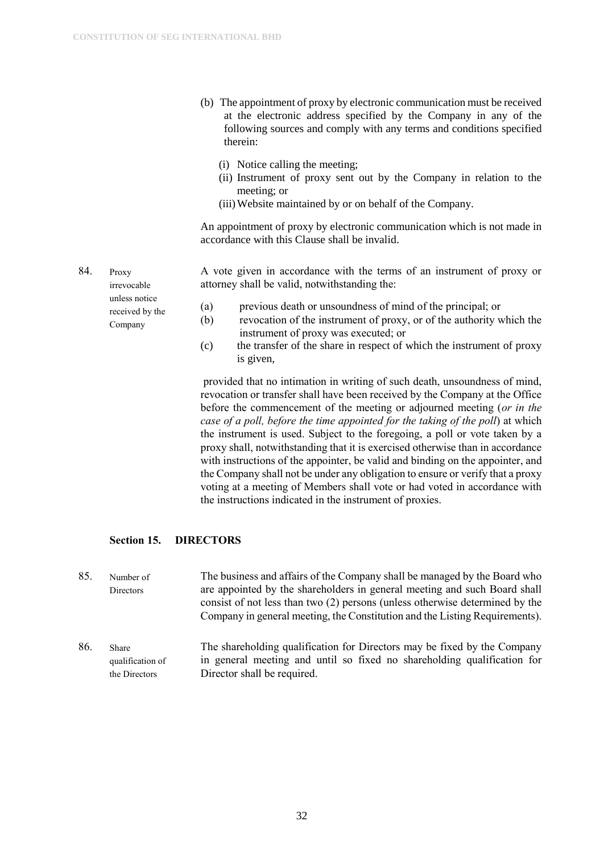- (b) The appointment of proxy by electronic communication must be received at the electronic address specified by the Company in any of the following sources and comply with any terms and conditions specified therein:
	- (i) Notice calling the meeting;
	- (ii) Instrument of proxy sent out by the Company in relation to the meeting; or
	- (iii)Website maintained by or on behalf of the Company.

An appointment of proxy by electronic communication which is not made in accordance with this Clause shall be invalid.

A vote given in accordance with the terms of an instrument of proxy or attorney shall be valid, notwithstanding the:

- (a) previous death or unsoundness of mind of the principal; or
- (b) revocation of the instrument of proxy, or of the authority which the instrument of proxy was executed; or
- (c) the transfer of the share in respect of which the instrument of proxy is given,

provided that no intimation in writing of such death, unsoundness of mind, revocation or transfer shall have been received by the Company at the Office before the commencement of the meeting or adjourned meeting (*or in the case of a poll, before the time appointed for the taking of the poll*) at which the instrument is used. Subject to the foregoing, a poll or vote taken by a proxy shall, notwithstanding that it is exercised otherwise than in accordance with instructions of the appointer, be valid and binding on the appointer, and the Company shall not be under any obligation to ensure or verify that a proxy voting at a meeting of Members shall vote or had voted in accordance with the instructions indicated in the instrument of proxies.

#### <span id="page-32-0"></span>**Section 15. DIRECTORS**

85. Number of Directors The business and affairs of the Company shall be managed by the Board who are appointed by the shareholders in general meeting and such Board shall consist of not less than two (2) persons (unless otherwise determined by the Company in general meeting, the Constitution and the Listing Requirements).

86. Share qualification of the Directors The shareholding qualification for Directors may be fixed by the Company in general meeting and until so fixed no shareholding qualification for Director shall be required.

84. Proxy irrevocable unless notice received by the Company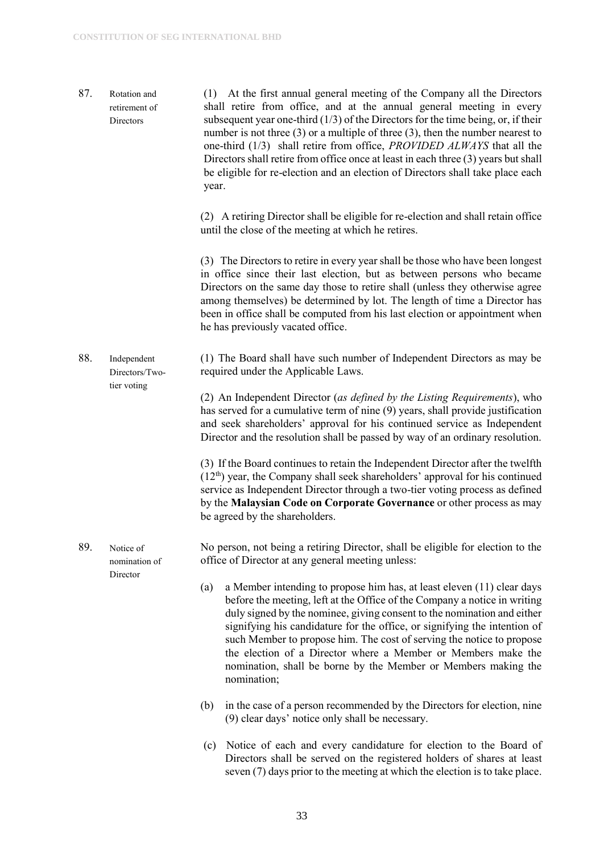87. Rotation and retirement of **Directors** (1) At the first annual general meeting of the Company all the Directors shall retire from office, and at the annual general meeting in every subsequent year one-third (1/3) of the Directors for the time being, or, if their number is not three (3) or a multiple of three (3), then the number nearest to one-third (1/3) shall retire from office, *PROVIDED ALWAYS* that all the Directors shall retire from office once at least in each three (3) years but shall be eligible for re-election and an election of Directors shall take place each year.

> (2) A retiring Director shall be eligible for re-election and shall retain office until the close of the meeting at which he retires.

> (3) The Directors to retire in every year shall be those who have been longest in office since their last election, but as between persons who became Directors on the same day those to retire shall (unless they otherwise agree among themselves) be determined by lot. The length of time a Director has been in office shall be computed from his last election or appointment when he has previously vacated office.

88. Independent Directors/Twotier voting (1) The Board shall have such number of Independent Directors as may be required under the Applicable Laws.

> (2) An Independent Director (*as defined by the Listing Requirements*), who has served for a cumulative term of nine (9) years, shall provide justification and seek shareholders' approval for his continued service as Independent Director and the resolution shall be passed by way of an ordinary resolution.

> (3) If the Board continues to retain the Independent Director after the twelfth  $(12<sup>th</sup>)$  year, the Company shall seek shareholders' approval for his continued service as Independent Director through a two-tier voting process as defined by the **Malaysian Code on Corporate Governance** or other process as may be agreed by the shareholders.

- 89. Notice of nomination of Director No person, not being a retiring Director, shall be eligible for election to the office of Director at any general meeting unless:
	- (a) a Member intending to propose him has, at least eleven (11) clear days before the meeting, left at the Office of the Company a notice in writing duly signed by the nominee, giving consent to the nomination and either signifying his candidature for the office, or signifying the intention of such Member to propose him. The cost of serving the notice to propose the election of a Director where a Member or Members make the nomination, shall be borne by the Member or Members making the nomination;
	- (b) in the case of a person recommended by the Directors for election, nine (9) clear days' notice only shall be necessary.
	- (c) Notice of each and every candidature for election to the Board of Directors shall be served on the registered holders of shares at least seven (7) days prior to the meeting at which the election is to take place.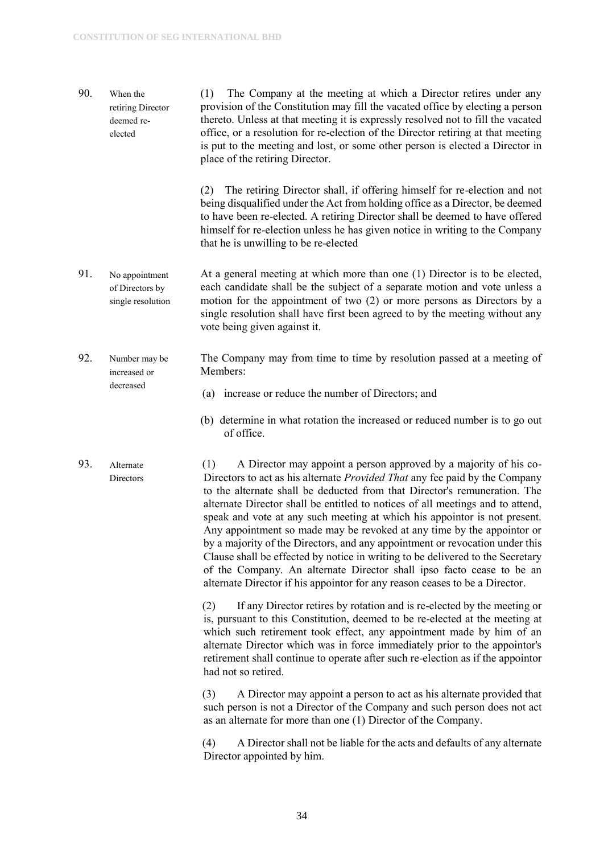decreased

90. When the retiring Director deemed reelected (1) The Company at the meeting at which a Director retires under any provision of the Constitution may fill the vacated office by electing a person thereto. Unless at that meeting it is expressly resolved not to fill the vacated office, or a resolution for re-election of the Director retiring at that meeting is put to the meeting and lost, or some other person is elected a Director in place of the retiring Director.

> (2) The retiring Director shall, if offering himself for re-election and not being disqualified under the Act from holding office as a Director, be deemed to have been re-elected. A retiring Director shall be deemed to have offered himself for re-election unless he has given notice in writing to the Company that he is unwilling to be re-elected

- 91. No appointment of Directors by single resolution At a general meeting at which more than one (1) Director is to be elected, each candidate shall be the subject of a separate motion and vote unless a motion for the appointment of two (2) or more persons as Directors by a single resolution shall have first been agreed to by the meeting without any vote being given against it.
- 92. Number may be increased or The Company may from time to time by resolution passed at a meeting of Members:
	- (a) increase or reduce the number of Directors; and
	- (b) determine in what rotation the increased or reduced number is to go out of office.
- 93. Alternate Directors (1) A Director may appoint a person approved by a majority of his co-Directors to act as his alternate *Provided That* any fee paid by the Company to the alternate shall be deducted from that Director's remuneration. The alternate Director shall be entitled to notices of all meetings and to attend, speak and vote at any such meeting at which his appointor is not present. Any appointment so made may be revoked at any time by the appointor or by a majority of the Directors, and any appointment or revocation under this Clause shall be effected by notice in writing to be delivered to the Secretary of the Company. An alternate Director shall ipso facto cease to be an alternate Director if his appointor for any reason ceases to be a Director.

(2) If any Director retires by rotation and is re-elected by the meeting or is, pursuant to this Constitution, deemed to be re-elected at the meeting at which such retirement took effect, any appointment made by him of an alternate Director which was in force immediately prior to the appointor's retirement shall continue to operate after such re-election as if the appointor had not so retired.

(3) A Director may appoint a person to act as his alternate provided that such person is not a Director of the Company and such person does not act as an alternate for more than one (1) Director of the Company.

(4) A Director shall not be liable for the acts and defaults of any alternate Director appointed by him.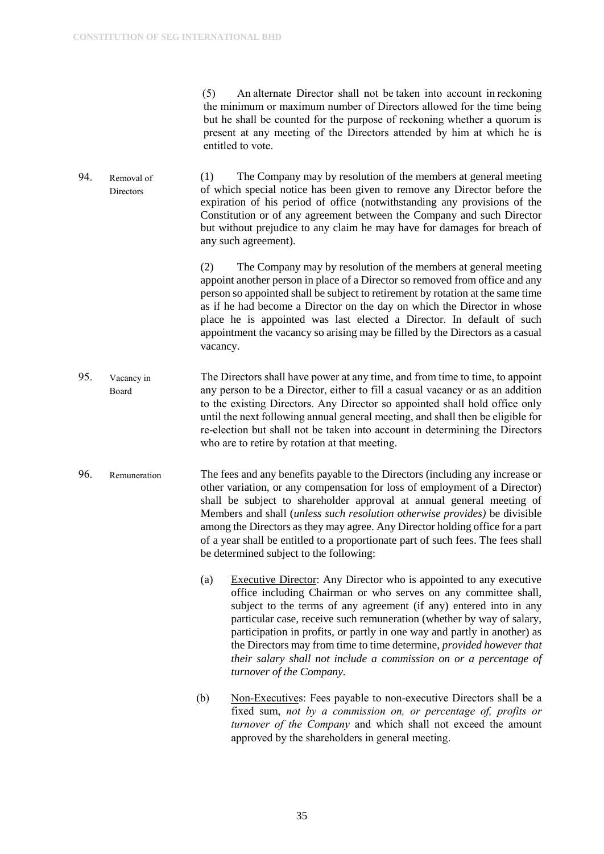(5) An alternate Director shall not be taken into account in reckoning the minimum or maximum number of Directors allowed for the time being but he shall be counted for the purpose of reckoning whether a quorum is present at any meeting of the Directors attended by him at which he is entitled to vote.

94. Removal of Directors (1) The Company may by resolution of the members at general meeting of which special notice has been given to remove any Director before the expiration of his period of office (notwithstanding any provisions of the Constitution or of any agreement between the Company and such Director but without prejudice to any claim he may have for damages for breach of any such agreement).

> (2) The Company may by resolution of the members at general meeting appoint another person in place of a Director so removed from office and any person so appointed shall be subject to retirement by rotation at the same time as if he had become a Director on the day on which the Director in whose place he is appointed was last elected a Director. In default of such appointment the vacancy so arising may be filled by the Directors as a casual vacancy.

- 95. Vacancy in Board The Directors shall have power at any time, and from time to time, to appoint any person to be a Director, either to fill a casual vacancy or as an addition to the existing Directors. Any Director so appointed shall hold office only until the next following annual general meeting, and shall then be eligible for re-election but shall not be taken into account in determining the Directors who are to retire by rotation at that meeting.
- 96. Remuneration The fees and any benefits payable to the Directors (including any increase or other variation, or any compensation for loss of employment of a Director) shall be subject to shareholder approval at annual general meeting of Members and shall (*unless such resolution otherwise provides)* be divisible among the Directors as they may agree. Any Director holding office for a part of a year shall be entitled to a proportionate part of such fees. The fees shall be determined subject to the following:
	- (a) Executive Director: Any Director who is appointed to any executive office including Chairman or who serves on any committee shall, subject to the terms of any agreement (if any) entered into in any particular case, receive such remuneration (whether by way of salary, participation in profits, or partly in one way and partly in another) as the Directors may from time to time determine, *provided however that their salary shall not include a commission on or a percentage of turnover of the Company.*
	- (b) Non-Executives: Fees payable to non-executive Directors shall be a fixed sum, *not by a commission on, or percentage of, profits or turnover of the Company* and which shall not exceed the amount approved by the shareholders in general meeting.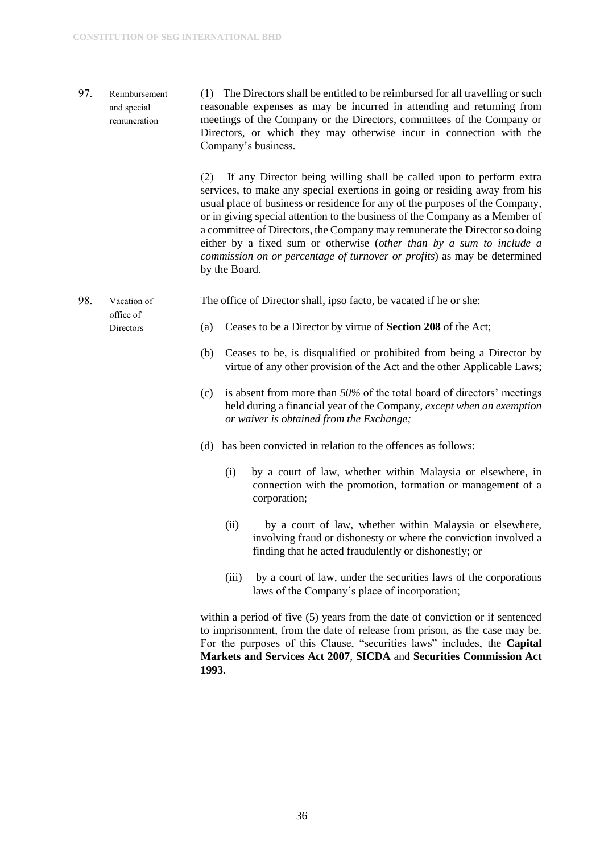97. Reimbursement and special remuneration (1) The Directors shall be entitled to be reimbursed for all travelling or such reasonable expenses as may be incurred in attending and returning from meetings of the Company or the Directors, committees of the Company or Directors, or which they may otherwise incur in connection with the Company's business.

> (2) If any Director being willing shall be called upon to perform extra services, to make any special exertions in going or residing away from his usual place of business or residence for any of the purposes of the Company, or in giving special attention to the business of the Company as a Member of a committee of Directors, the Company may remunerate the Director so doing either by a fixed sum or otherwise (*other than by a sum to include a commission on or percentage of turnover or profits*) as may be determined by the Board.

98. Vacation of The office of Director shall, ipso facto, be vacated if he or she:

- office of Directors
- (a) Ceases to be a Director by virtue of **Section 208** of the Act;
- (b) Ceases to be, is disqualified or prohibited from being a Director by virtue of any other provision of the Act and the other Applicable Laws;
- (c) is absent from more than *50%* of the total board of directors' meetings held during a financial year of the Company, *except when an exemption or waiver is obtained from the Exchange;*
- (d) has been convicted in relation to the offences as follows:
	- (i) by a court of law, whether within Malaysia or elsewhere, in connection with the promotion, formation or management of a corporation;
	- (ii) by a court of law, whether within Malaysia or elsewhere, involving fraud or dishonesty or where the conviction involved a finding that he acted fraudulently or dishonestly; or
	- (iii) by a court of law, under the securities laws of the corporations laws of the Company's place of incorporation;

within a period of five (5) years from the date of conviction or if sentenced to imprisonment, from the date of release from prison, as the case may be. For the purposes of this Clause, "securities laws" includes, the **Capital Markets and Services Act 2007**, **SICDA** and **Securities Commission Act 1993.**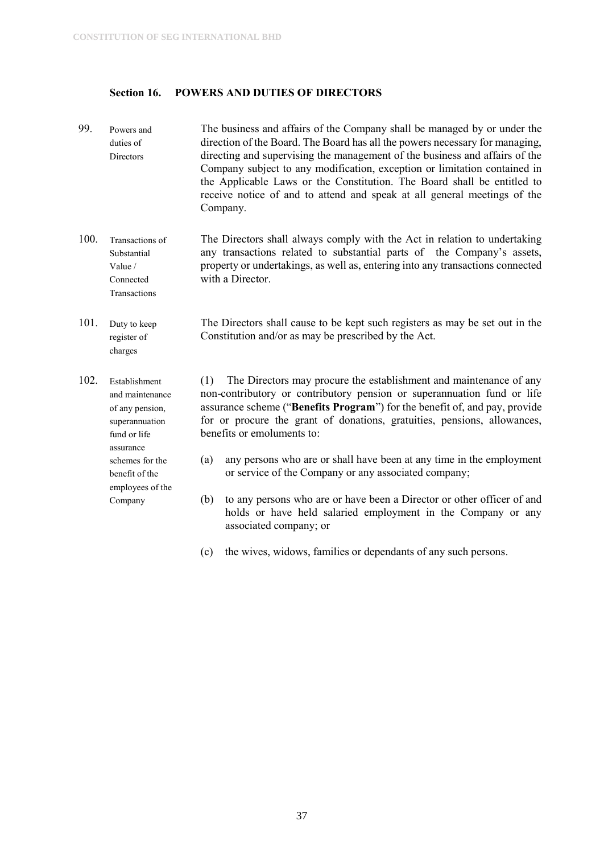employees of the Company

#### <span id="page-37-0"></span>**Section 16. POWERS AND DUTIES OF DIRECTORS**

- 99. Powers and duties of Directors The business and affairs of the Company shall be managed by or under the direction of the Board. The Board has all the powers necessary for managing, directing and supervising the management of the business and affairs of the Company subject to any modification, exception or limitation contained in the Applicable Laws or the Constitution. The Board shall be entitled to receive notice of and to attend and speak at all general meetings of the Company.
- 100. Transactions of Substantial Value / Connected Transactions The Directors shall always comply with the Act in relation to undertaking any transactions related to substantial parts of the Company's assets, property or undertakings, as well as, entering into any transactions connected with a Director.
- 101. Duty to keep register of charges The Directors shall cause to be kept such registers as may be set out in the Constitution and/or as may be prescribed by the Act.
- 102. Establishment and maintenance of any pension, superannuation fund or life assurance schemes for the benefit of the (1) The Directors may procure the establishment and maintenance of any non-contributory or contributory pension or superannuation fund or life assurance scheme ("**Benefits Program**") for the benefit of, and pay, provide for or procure the grant of donations, gratuities, pensions, allowances, benefits or emoluments to: (a) any persons who are or shall have been at any time in the employment or service of the Company or any associated company;
	- (b) to any persons who are or have been a Director or other officer of and holds or have held salaried employment in the Company or any associated company; or
	- (c) the wives, widows, families or dependants of any such persons.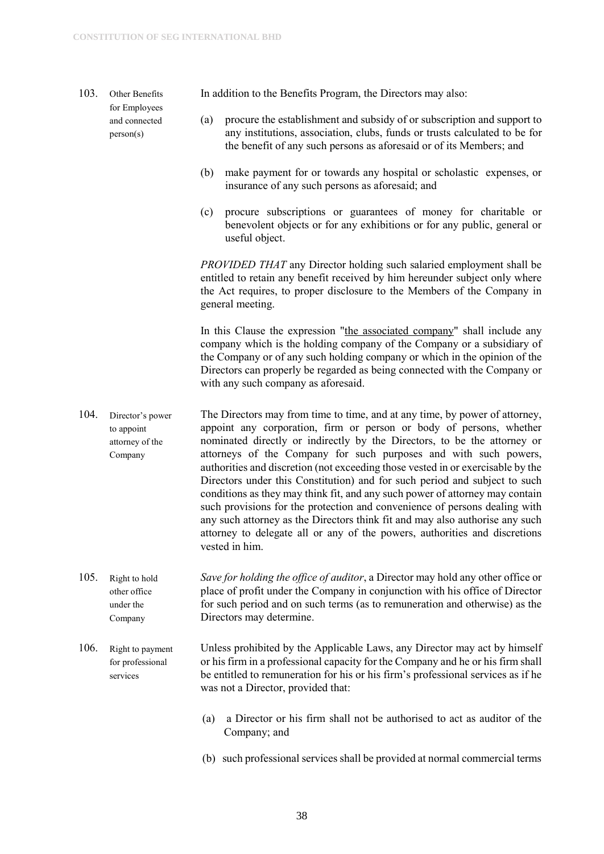103. Other Benefits for Employees and connected person(s)

In addition to the Benefits Program, the Directors may also:

- (a) procure the establishment and subsidy of or subscription and support to any institutions, association, clubs, funds or trusts calculated to be for the benefit of any such persons as aforesaid or of its Members; and
- (b) make payment for or towards any hospital or scholastic expenses, or insurance of any such persons as aforesaid; and
- (c) procure subscriptions or guarantees of money for charitable or benevolent objects or for any exhibitions or for any public, general or useful object.

*PROVIDED THAT* any Director holding such salaried employment shall be entitled to retain any benefit received by him hereunder subject only where the Act requires, to proper disclosure to the Members of the Company in general meeting.

In this Clause the expression "the associated company" shall include any company which is the holding company of the Company or a subsidiary of the Company or of any such holding company or which in the opinion of the Directors can properly be regarded as being connected with the Company or with any such company as aforesaid.

- 104. Director's power to appoint attorney of the Company The Directors may from time to time, and at any time, by power of attorney, appoint any corporation, firm or person or body of persons, whether nominated directly or indirectly by the Directors, to be the attorney or attorneys of the Company for such purposes and with such powers, authorities and discretion (not exceeding those vested in or exercisable by the Directors under this Constitution) and for such period and subject to such conditions as they may think fit, and any such power of attorney may contain such provisions for the protection and convenience of persons dealing with any such attorney as the Directors think fit and may also authorise any such attorney to delegate all or any of the powers, authorities and discretions vested in him.
- 105. Right to hold other office under the Company *Save for holding the office of auditor*, a Director may hold any other office or place of profit under the Company in conjunction with his office of Director for such period and on such terms (as to remuneration and otherwise) as the Directors may determine.
- 106. Right to payment for professional services Unless prohibited by the Applicable Laws, any Director may act by himself or his firm in a professional capacity for the Company and he or his firm shall be entitled to remuneration for his or his firm's professional services as if he was not a Director, provided that:
	- (a) a Director or his firm shall not be authorised to act as auditor of the Company; and
	- (b) such professional services shall be provided at normal commercial terms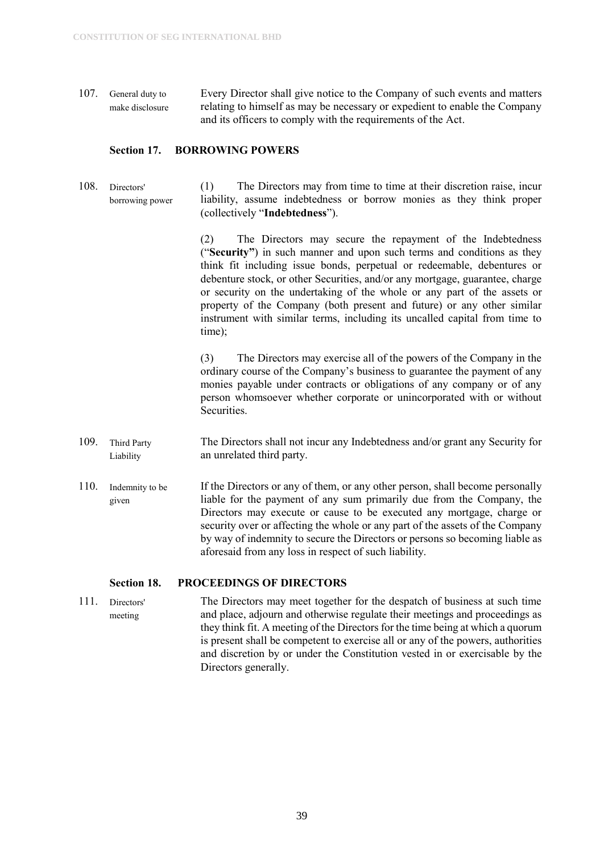107. General duty to make disclosure Every Director shall give notice to the Company of such events and matters relating to himself as may be necessary or expedient to enable the Company and its officers to comply with the requirements of the Act.

#### <span id="page-39-0"></span>**Section 17. BORROWING POWERS**

108. Directors' borrowing power (1) The Directors may from time to time at their discretion raise, incur liability, assume indebtedness or borrow monies as they think proper (collectively "**Indebtedness**").

> (2) The Directors may secure the repayment of the Indebtedness ("**Security"**) in such manner and upon such terms and conditions as they think fit including issue bonds, perpetual or redeemable, debentures or debenture stock, or other Securities, and/or any mortgage, guarantee, charge or security on the undertaking of the whole or any part of the assets or property of the Company (both present and future) or any other similar instrument with similar terms, including its uncalled capital from time to time);

> (3) The Directors may exercise all of the powers of the Company in the ordinary course of the Company's business to guarantee the payment of any monies payable under contracts or obligations of any company or of any person whomsoever whether corporate or unincorporated with or without **Securities**

- 109. Third Party Liability The Directors shall not incur any Indebtedness and/or grant any Security for an unrelated third party.
- 110. Indemnity to be given If the Directors or any of them, or any other person, shall become personally liable for the payment of any sum primarily due from the Company, the Directors may execute or cause to be executed any mortgage, charge or security over or affecting the whole or any part of the assets of the Company by way of indemnity to secure the Directors or persons so becoming liable as aforesaid from any loss in respect of such liability.

#### <span id="page-39-1"></span>**Section 18. PROCEEDINGS OF DIRECTORS**

111. Directors' meeting The Directors may meet together for the despatch of business at such time and place, adjourn and otherwise regulate their meetings and proceedings as they think fit. A meeting of the Directors for the time being at which a quorum is present shall be competent to exercise all or any of the powers, authorities and discretion by or under the Constitution vested in or exercisable by the Directors generally.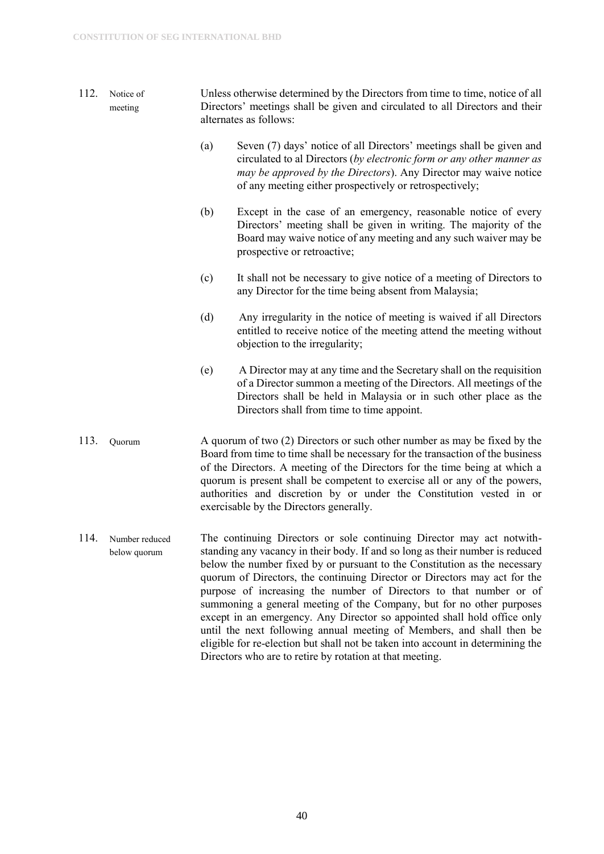- 112. Notice of meeting Unless otherwise determined by the Directors from time to time, notice of all Directors' meetings shall be given and circulated to all Directors and their alternates as follows:
	- (a) Seven (7) days' notice of all Directors' meetings shall be given and circulated to al Directors (*by electronic form or any other manner as may be approved by the Directors*). Any Director may waive notice of any meeting either prospectively or retrospectively;
	- (b) Except in the case of an emergency, reasonable notice of every Directors' meeting shall be given in writing. The majority of the Board may waive notice of any meeting and any such waiver may be prospective or retroactive;
	- (c) It shall not be necessary to give notice of a meeting of Directors to any Director for the time being absent from Malaysia;
	- (d) Any irregularity in the notice of meeting is waived if all Directors entitled to receive notice of the meeting attend the meeting without objection to the irregularity;
	- (e) A Director may at any time and the Secretary shall on the requisition of a Director summon a meeting of the Directors. All meetings of the Directors shall be held in Malaysia or in such other place as the Directors shall from time to time appoint.
- 113. Quorum A quorum of two (2) Directors or such other number as may be fixed by the Board from time to time shall be necessary for the transaction of the business of the Directors. A meeting of the Directors for the time being at which a quorum is present shall be competent to exercise all or any of the powers, authorities and discretion by or under the Constitution vested in or exercisable by the Directors generally.
- 114. Number reduced below quorum The continuing Directors or sole continuing Director may act notwithstanding any vacancy in their body. If and so long as their number is reduced below the number fixed by or pursuant to the Constitution as the necessary quorum of Directors, the continuing Director or Directors may act for the purpose of increasing the number of Directors to that number or of summoning a general meeting of the Company, but for no other purposes except in an emergency. Any Director so appointed shall hold office only until the next following annual meeting of Members, and shall then be eligible for re-election but shall not be taken into account in determining the Directors who are to retire by rotation at that meeting.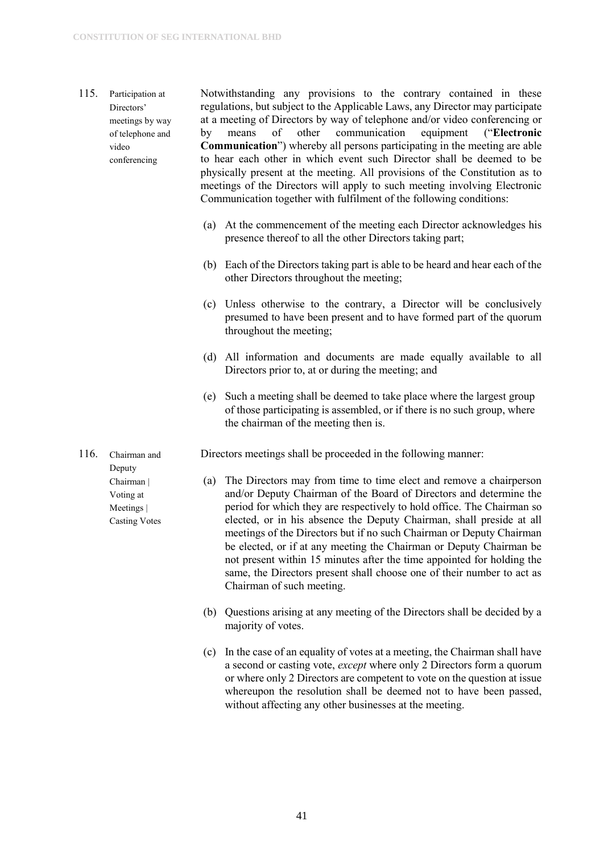#### 115. Participation at Directors' meetings by way of telephone and video conferencing

Notwithstanding any provisions to the contrary contained in these regulations, but subject to the Applicable Laws, any Director may participate at a meeting of Directors by way of telephone and/or video conferencing or by means of other communication equipment ("**Electronic Communication**") whereby all persons participating in the meeting are able to hear each other in which event such Director shall be deemed to be physically present at the meeting. All provisions of the Constitution as to meetings of the Directors will apply to such meeting involving Electronic Communication together with fulfilment of the following conditions:

- (a) At the commencement of the meeting each Director acknowledges his presence thereof to all the other Directors taking part;
- (b) Each of the Directors taking part is able to be heard and hear each of the other Directors throughout the meeting;
- (c) Unless otherwise to the contrary, a Director will be conclusively presumed to have been present and to have formed part of the quorum throughout the meeting;
- (d) All information and documents are made equally available to all Directors prior to, at or during the meeting; and
- (e) Such a meeting shall be deemed to take place where the largest group of those participating is assembled, or if there is no such group, where the chairman of the meeting then is.

Directors meetings shall be proceeded in the following manner:

- (a) The Directors may from time to time elect and remove a chairperson and/or Deputy Chairman of the Board of Directors and determine the period for which they are respectively to hold office. The Chairman so elected, or in his absence the Deputy Chairman, shall preside at all meetings of the Directors but if no such Chairman or Deputy Chairman be elected, or if at any meeting the Chairman or Deputy Chairman be not present within 15 minutes after the time appointed for holding the same, the Directors present shall choose one of their number to act as Chairman of such meeting.
- (b) Questions arising at any meeting of the Directors shall be decided by a majority of votes.
- (c) In the case of an equality of votes at a meeting, the Chairman shall have a second or casting vote, *except* where only 2 Directors form a quorum or where only 2 Directors are competent to vote on the question at issue whereupon the resolution shall be deemed not to have been passed, without affecting any other businesses at the meeting.

116. Chairman and Deputy Chairman | Voting at Meetings | Casting Votes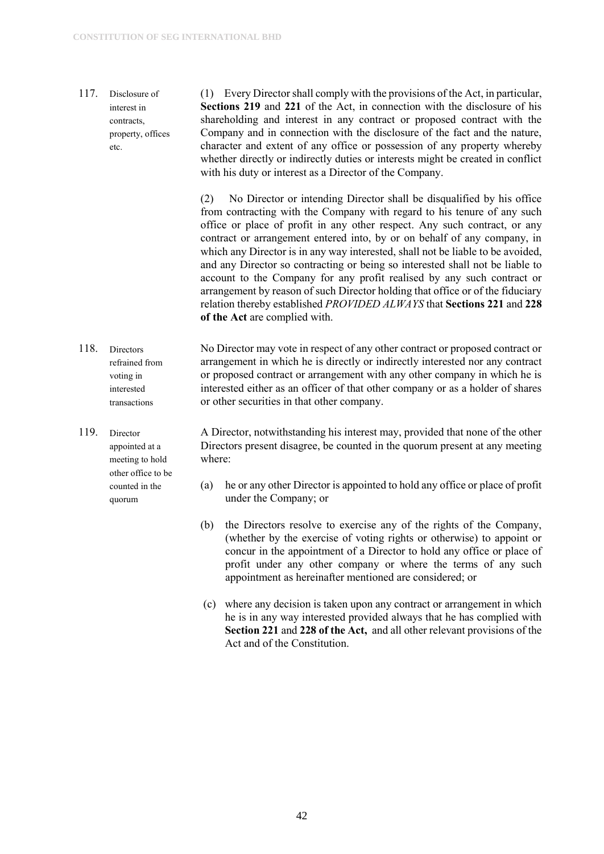117. Disclosure of interest in contracts, property, offices etc.

(1) Every Director shall comply with the provisions of the Act, in particular, **Sections 219** and **221** of the Act, in connection with the disclosure of his shareholding and interest in any contract or proposed contract with the Company and in connection with the disclosure of the fact and the nature, character and extent of any office or possession of any property whereby whether directly or indirectly duties or interests might be created in conflict with his duty or interest as a Director of the Company.

(2) No Director or intending Director shall be disqualified by his office from contracting with the Company with regard to his tenure of any such office or place of profit in any other respect. Any such contract, or any contract or arrangement entered into, by or on behalf of any company, in which any Director is in any way interested, shall not be liable to be avoided, and any Director so contracting or being so interested shall not be liable to account to the Company for any profit realised by any such contract or arrangement by reason of such Director holding that office or of the fiduciary relation thereby established *PROVIDED ALWAYS* that **Sections 221** and **228 of the Act** are complied with.

- 118. Directors refrained from voting in interested transactions No Director may vote in respect of any other contract or proposed contract or arrangement in which he is directly or indirectly interested nor any contract or proposed contract or arrangement with any other company in which he is interested either as an officer of that other company or as a holder of shares or other securities in that other company.
- 119. Director appointed at a meeting to hold other office to be counted in the quorum

A Director, notwithstanding his interest may, provided that none of the other Directors present disagree, be counted in the quorum present at any meeting where:

- (a) he or any other Director is appointed to hold any office or place of profit under the Company; or
- (b) the Directors resolve to exercise any of the rights of the Company, (whether by the exercise of voting rights or otherwise) to appoint or concur in the appointment of a Director to hold any office or place of profit under any other company or where the terms of any such appointment as hereinafter mentioned are considered; or
- (c) where any decision is taken upon any contract or arrangement in which he is in any way interested provided always that he has complied with **Section 221** and **228 of the Act,** and all other relevant provisions of the Act and of the Constitution.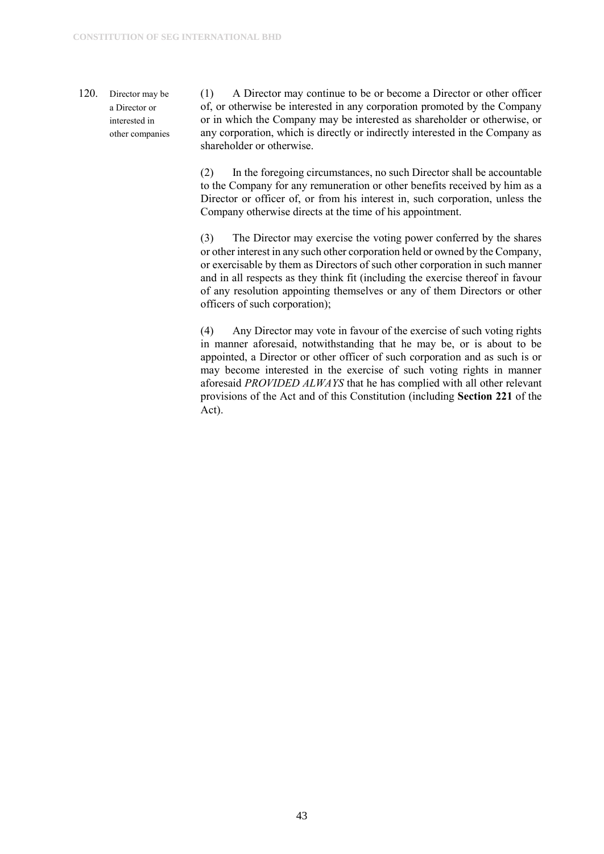#### 120. Director may be a Director or interested in other companies

(1) A Director may continue to be or become a Director or other officer of, or otherwise be interested in any corporation promoted by the Company or in which the Company may be interested as shareholder or otherwise, or any corporation, which is directly or indirectly interested in the Company as shareholder or otherwise.

(2) In the foregoing circumstances, no such Director shall be accountable to the Company for any remuneration or other benefits received by him as a Director or officer of, or from his interest in, such corporation, unless the Company otherwise directs at the time of his appointment.

(3) The Director may exercise the voting power conferred by the shares or other interest in any such other corporation held or owned by the Company, or exercisable by them as Directors of such other corporation in such manner and in all respects as they think fit (including the exercise thereof in favour of any resolution appointing themselves or any of them Directors or other officers of such corporation);

(4) Any Director may vote in favour of the exercise of such voting rights in manner aforesaid, notwithstanding that he may be, or is about to be appointed, a Director or other officer of such corporation and as such is or may become interested in the exercise of such voting rights in manner aforesaid *PROVIDED ALWAYS* that he has complied with all other relevant provisions of the Act and of this Constitution (including **Section 221** of the Act).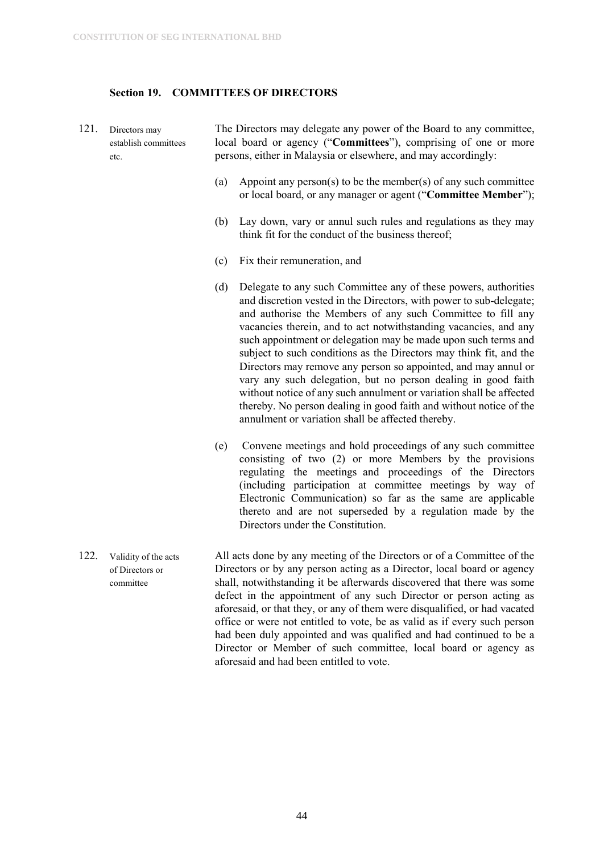#### <span id="page-44-0"></span>**Section 19. COMMITTEES OF DIRECTORS**

- 121. Directors may establish committees etc. The Directors may delegate any power of the Board to any committee, local board or agency ("**Committees**"), comprising of one or more persons, either in Malaysia or elsewhere, and may accordingly:
	- (a) Appoint any person(s) to be the member(s) of any such committee or local board, or any manager or agent ("**Committee Member**");
	- (b) Lay down, vary or annul such rules and regulations as they may think fit for the conduct of the business thereof;
	- (c) Fix their remuneration, and
	- (d) Delegate to any such Committee any of these powers, authorities and discretion vested in the Directors, with power to sub-delegate; and authorise the Members of any such Committee to fill any vacancies therein, and to act notwithstanding vacancies, and any such appointment or delegation may be made upon such terms and subject to such conditions as the Directors may think fit, and the Directors may remove any person so appointed, and may annul or vary any such delegation, but no person dealing in good faith without notice of any such annulment or variation shall be affected thereby. No person dealing in good faith and without notice of the annulment or variation shall be affected thereby.
	- (e) Convene meetings and hold proceedings of any such committee consisting of two (2) or more Members by the provisions regulating the meetings and proceedings of the Directors (including participation at committee meetings by way of Electronic Communication) so far as the same are applicable thereto and are not superseded by a regulation made by the Directors under the Constitution.
- 122. Validity of the acts of Directors or committee All acts done by any meeting of the Directors or of a Committee of the Directors or by any person acting as a Director, local board or agency shall, notwithstanding it be afterwards discovered that there was some defect in the appointment of any such Director or person acting as aforesaid, or that they, or any of them were disqualified, or had vacated office or were not entitled to vote, be as valid as if every such person had been duly appointed and was qualified and had continued to be a Director or Member of such committee, local board or agency as aforesaid and had been entitled to vote.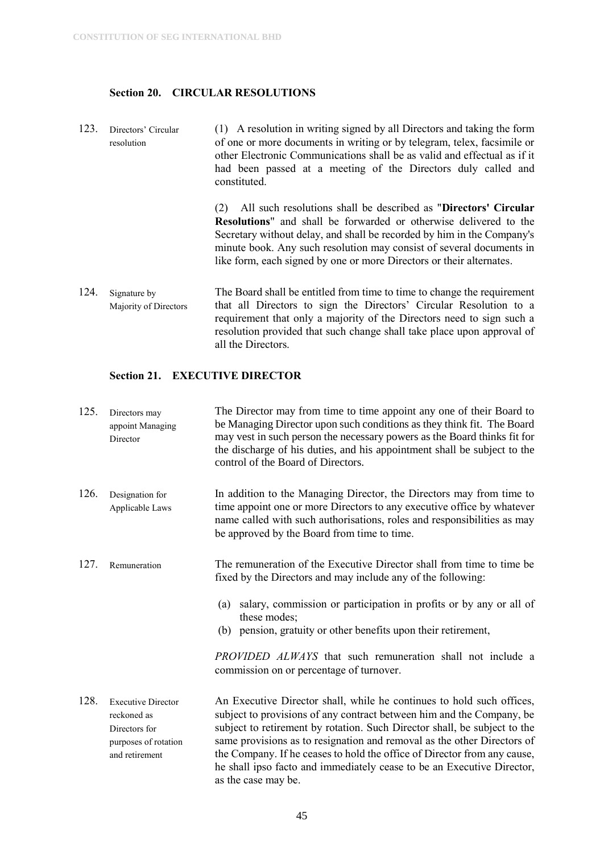#### <span id="page-45-0"></span>**Section 20. CIRCULAR RESOLUTIONS**

123. Directors' Circular resolution (1) A resolution in writing signed by all Directors and taking the form of one or more documents in writing or by telegram, telex, facsimile or other Electronic Communications shall be as valid and effectual as if it had been passed at a meeting of the Directors duly called and constituted.

> (2) All such resolutions shall be described as "**Directors' Circular Resolutions**" and shall be forwarded or otherwise delivered to the Secretary without delay, and shall be recorded by him in the Company's minute book. Any such resolution may consist of several documents in like form, each signed by one or more Directors or their alternates.

124. Signature by Majority of Directors The Board shall be entitled from time to time to change the requirement that all Directors to sign the Directors' Circular Resolution to a requirement that only a majority of the Directors need to sign such a resolution provided that such change shall take place upon approval of all the Directors.

#### <span id="page-45-1"></span>**Section 21. EXECUTIVE DIRECTOR**

| 125. | Directors may<br>appoint Managing<br>Director                                                       | The Director may from time to time appoint any one of their Board to<br>be Managing Director upon such conditions as they think fit. The Board<br>may vest in such person the necessary powers as the Board thinks fit for<br>the discharge of his duties, and his appointment shall be subject to the<br>control of the Board of Directors.                                                                                                                                        |
|------|-----------------------------------------------------------------------------------------------------|-------------------------------------------------------------------------------------------------------------------------------------------------------------------------------------------------------------------------------------------------------------------------------------------------------------------------------------------------------------------------------------------------------------------------------------------------------------------------------------|
| 126. | Designation for<br>Applicable Laws                                                                  | In addition to the Managing Director, the Directors may from time to<br>time appoint one or more Directors to any executive office by whatever<br>name called with such authorisations, roles and responsibilities as may<br>be approved by the Board from time to time.                                                                                                                                                                                                            |
| 127. | Remuneration                                                                                        | The remuneration of the Executive Director shall from time to time be.<br>fixed by the Directors and may include any of the following:<br>salary, commission or participation in profits or by any or all of<br>(a)<br>these modes;<br>(b) pension, gratuity or other benefits upon their retirement,<br>PROVIDED ALWAYS that such remuneration shall not include a<br>commission on or percentage of turnover.                                                                     |
| 128. | <b>Executive Director</b><br>reckoned as<br>Directors for<br>purposes of rotation<br>and retirement | An Executive Director shall, while he continues to hold such offices,<br>subject to provisions of any contract between him and the Company, be<br>subject to retirement by rotation. Such Director shall, be subject to the<br>same provisions as to resignation and removal as the other Directors of<br>the Company. If he ceases to hold the office of Director from any cause,<br>he shall ipso facto and immediately cease to be an Executive Director,<br>as the case may be. |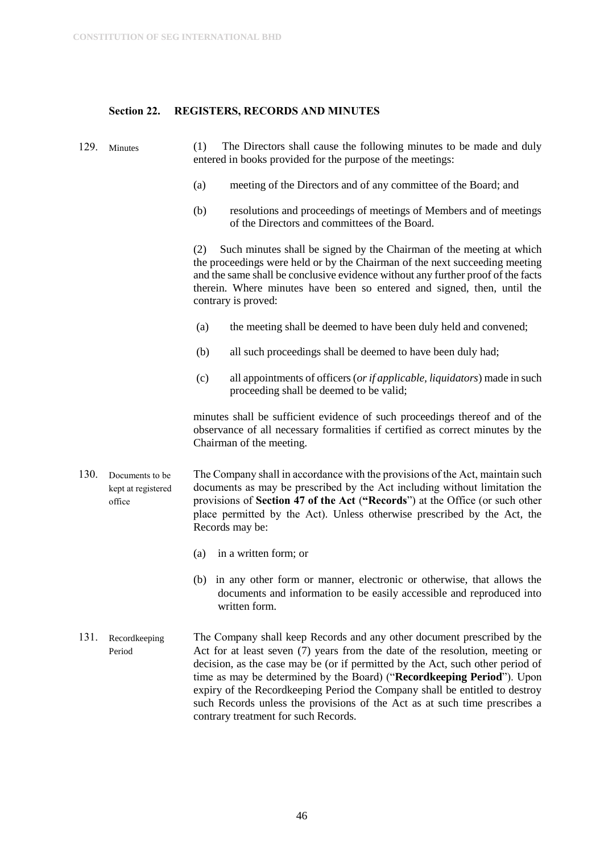#### <span id="page-46-0"></span>**Section 22. REGISTERS, RECORDS AND MINUTES**

129. Minutes (1) The Directors shall cause the following minutes to be made and duly entered in books provided for the purpose of the meetings:

- (a) meeting of the Directors and of any committee of the Board; and
- (b) resolutions and proceedings of meetings of Members and of meetings of the Directors and committees of the Board.

(2) Such minutes shall be signed by the Chairman of the meeting at which the proceedings were held or by the Chairman of the next succeeding meeting and the same shall be conclusive evidence without any further proof of the facts therein. Where minutes have been so entered and signed, then, until the contrary is proved:

- (a) the meeting shall be deemed to have been duly held and convened;
- (b) all such proceedings shall be deemed to have been duly had;
- (c) all appointments of officers (*or if applicable, liquidators*) made in such proceeding shall be deemed to be valid;

minutes shall be sufficient evidence of such proceedings thereof and of the observance of all necessary formalities if certified as correct minutes by the Chairman of the meeting.

130. Documents to be kept at registered office The Company shall in accordance with the provisions of the Act, maintain such documents as may be prescribed by the Act including without limitation the provisions of **Section 47 of the Act** (**"Records**") at the Office (or such other place permitted by the Act). Unless otherwise prescribed by the Act, the Records may be:

- (a) in a written form; or
- (b) in any other form or manner, electronic or otherwise, that allows the documents and information to be easily accessible and reproduced into written form.
- 131. Recordkeeping Period The Company shall keep Records and any other document prescribed by the Act for at least seven (7) years from the date of the resolution, meeting or decision, as the case may be (or if permitted by the Act, such other period of time as may be determined by the Board) ("**Recordkeeping Period**"). Upon expiry of the Recordkeeping Period the Company shall be entitled to destroy such Records unless the provisions of the Act as at such time prescribes a contrary treatment for such Records.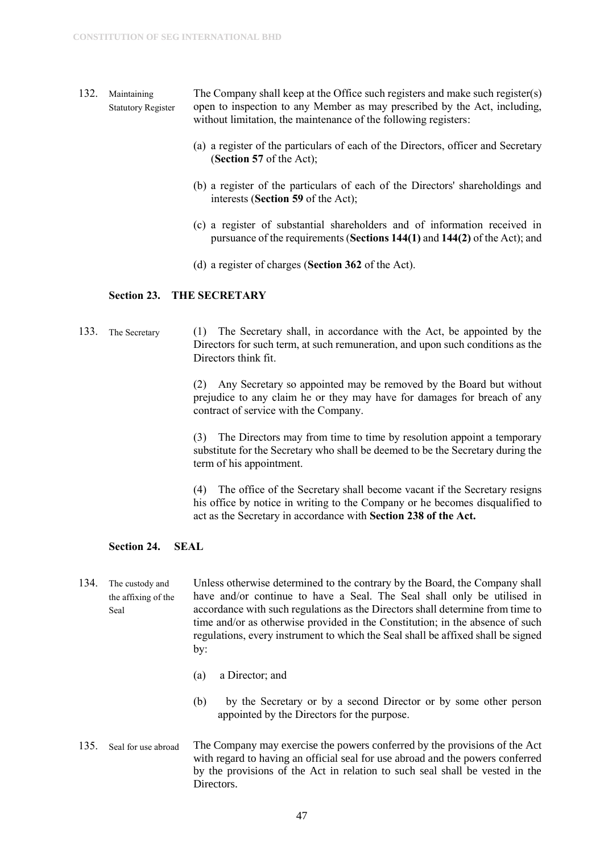- 132. Maintaining Statutory Register The Company shall keep at the Office such registers and make such register(s) open to inspection to any Member as may prescribed by the Act, including, without limitation, the maintenance of the following registers:
	- (a) a register of the particulars of each of the Directors, officer and Secretary (**Section 57** of the Act);
	- (b) a register of the particulars of each of the Directors' shareholdings and interests (**Section 59** of the Act);
	- (c) a register of substantial shareholders and of information received in pursuance of the requirements (**Sections 144(1)** and **144(2)** of the Act); and
	- (d) a register of charges (**Section 362** of the Act).

#### <span id="page-47-0"></span>**Section 23. THE SECRETARY**

133. The Secretary (1) The Secretary shall, in accordance with the Act, be appointed by the Directors for such term, at such remuneration, and upon such conditions as the Directors think fit.

> (2) Any Secretary so appointed may be removed by the Board but without prejudice to any claim he or they may have for damages for breach of any contract of service with the Company.

> (3) The Directors may from time to time by resolution appoint a temporary substitute for the Secretary who shall be deemed to be the Secretary during the term of his appointment.

> (4) The office of the Secretary shall become vacant if the Secretary resigns his office by notice in writing to the Company or he becomes disqualified to act as the Secretary in accordance with **Section 238 of the Act.**

#### <span id="page-47-1"></span>**Section 24. SEAL**

- 134. The custody and the affixing of the Seal Unless otherwise determined to the contrary by the Board, the Company shall have and/or continue to have a Seal. The Seal shall only be utilised in accordance with such regulations as the Directors shall determine from time to time and/or as otherwise provided in the Constitution; in the absence of such regulations, every instrument to which the Seal shall be affixed shall be signed by:
	- (a) a Director; and
	- (b) by the Secretary or by a second Director or by some other person appointed by the Directors for the purpose.
- 135. Seal for use abroad The Company may exercise the powers conferred by the provisions of the Act with regard to having an official seal for use abroad and the powers conferred by the provisions of the Act in relation to such seal shall be vested in the Directors.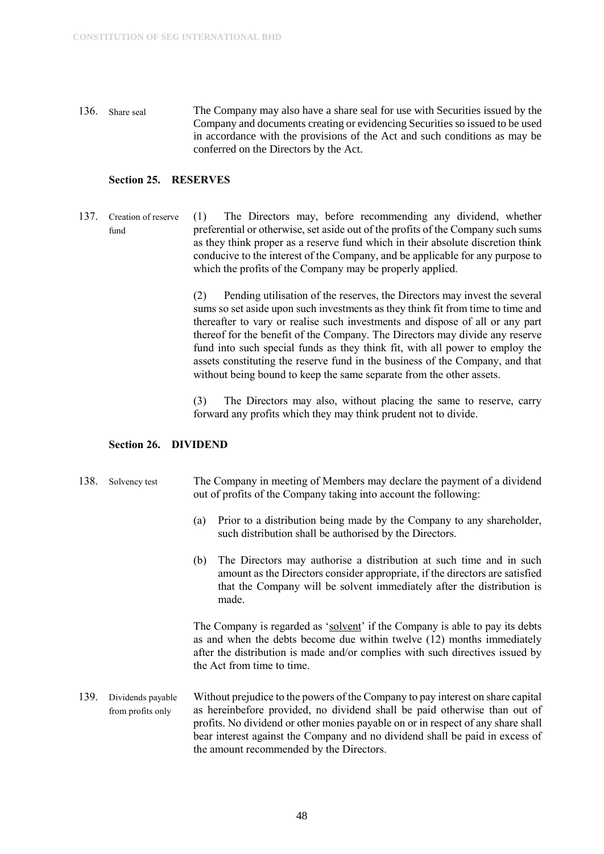136. Share seal The Company may also have a share seal for use with Securities issued by the Company and documents creating or evidencing Securities so issued to be used in accordance with the provisions of the Act and such conditions as may be conferred on the Directors by the Act.

#### <span id="page-48-0"></span>**Section 25. RESERVES**

137. Creation of reserve fund (1) The Directors may, before recommending any dividend, whether preferential or otherwise, set aside out of the profits of the Company such sums as they think proper as a reserve fund which in their absolute discretion think conducive to the interest of the Company, and be applicable for any purpose to which the profits of the Company may be properly applied.

> (2) Pending utilisation of the reserves, the Directors may invest the several sums so set aside upon such investments as they think fit from time to time and thereafter to vary or realise such investments and dispose of all or any part thereof for the benefit of the Company. The Directors may divide any reserve fund into such special funds as they think fit, with all power to employ the assets constituting the reserve fund in the business of the Company, and that without being bound to keep the same separate from the other assets.

> (3) The Directors may also, without placing the same to reserve, carry forward any profits which they may think prudent not to divide.

#### <span id="page-48-1"></span>**Section 26. DIVIDEND**

#### 138. Solvency test The Company in meeting of Members may declare the payment of a dividend out of profits of the Company taking into account the following:

- (a) Prior to a distribution being made by the Company to any shareholder, such distribution shall be authorised by the Directors.
- (b) The Directors may authorise a distribution at such time and in such amount as the Directors consider appropriate, if the directors are satisfied that the Company will be solvent immediately after the distribution is made.

The Company is regarded as 'solvent' if the Company is able to pay its debts as and when the debts become due within twelve (12) months immediately after the distribution is made and/or complies with such directives issued by the Act from time to time.

139. Dividends payable from profits only Without prejudice to the powers of the Company to pay interest on share capital as hereinbefore provided, no dividend shall be paid otherwise than out of profits. No dividend or other monies payable on or in respect of any share shall bear interest against the Company and no dividend shall be paid in excess of the amount recommended by the Directors.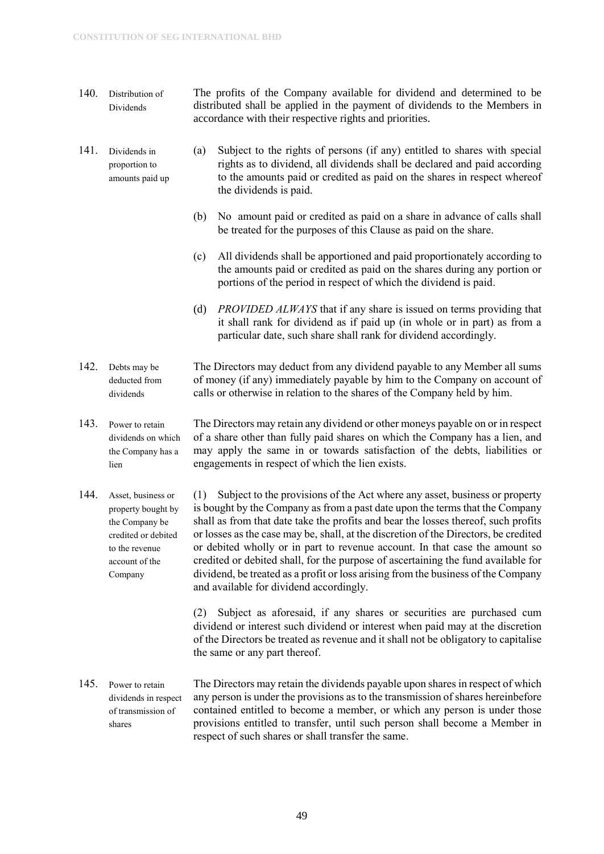- 140. Distribution of Dividends The profits of the Company available for dividend and determined to be distributed shall be applied in the payment of dividends to the Members in accordance with their respective rights and priorities.
- 141. Dividends in proportion to amounts paid up
- (a) Subject to the rights of persons (if any) entitled to shares with special rights as to dividend, all dividends shall be declared and paid according to the amounts paid or credited as paid on the shares in respect whereof the dividends is paid.
- (b) No amount paid or credited as paid on a share in advance of calls shall be treated for the purposes of this Clause as paid on the share.
- (c) All dividends shall be apportioned and paid proportionately according to the amounts paid or credited as paid on the shares during any portion or portions of the period in respect of which the dividend is paid.
- (d) *PROVIDED ALWAYS* that if any share is issued on terms providing that it shall rank for dividend as if paid up (in whole or in part) as from a particular date, such share shall rank for dividend accordingly.
- 142. Debts may be deducted from dividends The Directors may deduct from any dividend payable to any Member all sums of money (if any) immediately payable by him to the Company on account of calls or otherwise in relation to the shares of the Company held by him.
- 143. Power to retain dividends on which the Company has a lien The Directors may retain any dividend or other moneys payable on or in respect of a share other than fully paid shares on which the Company has a lien, and may apply the same in or towards satisfaction of the debts, liabilities or engagements in respect of which the lien exists.
- 144. Asset, business or property bought by the Company be credited or debited to the revenue account of the Company (1) Subject to the provisions of the Act where any asset, business or property is bought by the Company as from a past date upon the terms that the Company shall as from that date take the profits and bear the losses thereof, such profits or losses as the case may be, shall, at the discretion of the Directors, be credited or debited wholly or in part to revenue account. In that case the amount so credited or debited shall, for the purpose of ascertaining the fund available for dividend, be treated as a profit or loss arising from the business of the Company and available for dividend accordingly.

(2) Subject as aforesaid, if any shares or securities are purchased cum dividend or interest such dividend or interest when paid may at the discretion of the Directors be treated as revenue and it shall not be obligatory to capitalise the same or any part thereof.

145. Power to retain dividends in respect of transmission of shares The Directors may retain the dividends payable upon shares in respect of which any person is under the provisions as to the transmission of shares hereinbefore contained entitled to become a member, or which any person is under those provisions entitled to transfer, until such person shall become a Member in respect of such shares or shall transfer the same.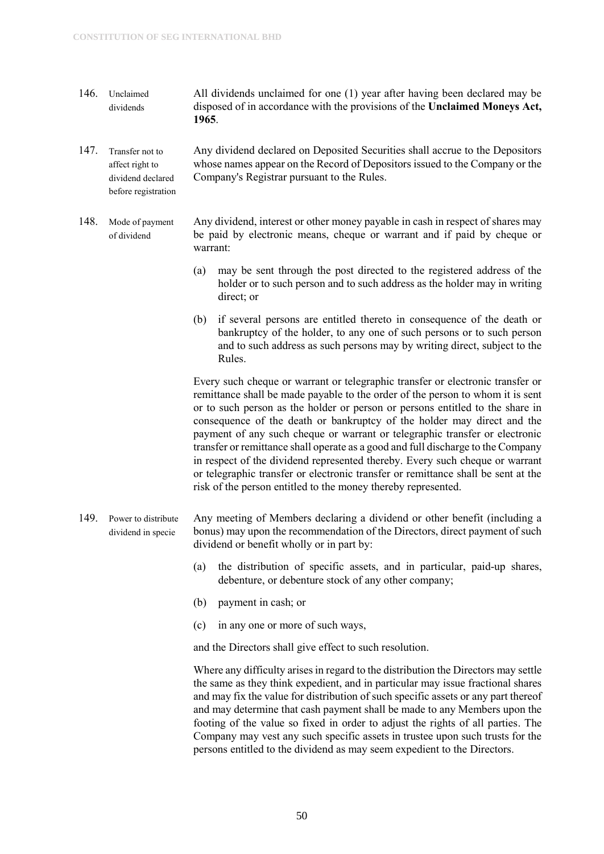- 146. Unclaimed dividends All dividends unclaimed for one (1) year after having been declared may be disposed of in accordance with the provisions of the **Unclaimed Moneys Act, 1965**.
- 147. Transfer not to affect right to dividend declared before registration Any dividend declared on Deposited Securities shall accrue to the Depositors whose names appear on the Record of Depositors issued to the Company or the Company's Registrar pursuant to the Rules.
- 148. Mode of payment of dividend Any dividend, interest or other money payable in cash in respect of shares may be paid by electronic means, cheque or warrant and if paid by cheque or warrant:
	- (a) may be sent through the post directed to the registered address of the holder or to such person and to such address as the holder may in writing direct; or
	- (b) if several persons are entitled thereto in consequence of the death or bankruptcy of the holder, to any one of such persons or to such person and to such address as such persons may by writing direct, subject to the Rules.

Every such cheque or warrant or telegraphic transfer or electronic transfer or remittance shall be made payable to the order of the person to whom it is sent or to such person as the holder or person or persons entitled to the share in consequence of the death or bankruptcy of the holder may direct and the payment of any such cheque or warrant or telegraphic transfer or electronic transfer or remittance shall operate as a good and full discharge to the Company in respect of the dividend represented thereby. Every such cheque or warrant or telegraphic transfer or electronic transfer or remittance shall be sent at the risk of the person entitled to the money thereby represented.

- 149. Power to distribute dividend in specie Any meeting of Members declaring a dividend or other benefit (including a bonus) may upon the recommendation of the Directors, direct payment of such dividend or benefit wholly or in part by:
	- (a) the distribution of specific assets, and in particular, paid-up shares, debenture, or debenture stock of any other company;
	- (b) payment in cash; or
	- (c) in any one or more of such ways,

and the Directors shall give effect to such resolution.

Where any difficulty arises in regard to the distribution the Directors may settle the same as they think expedient, and in particular may issue fractional shares and may fix the value for distribution of such specific assets or any part thereof and may determine that cash payment shall be made to any Members upon the footing of the value so fixed in order to adjust the rights of all parties. The Company may vest any such specific assets in trustee upon such trusts for the persons entitled to the dividend as may seem expedient to the Directors.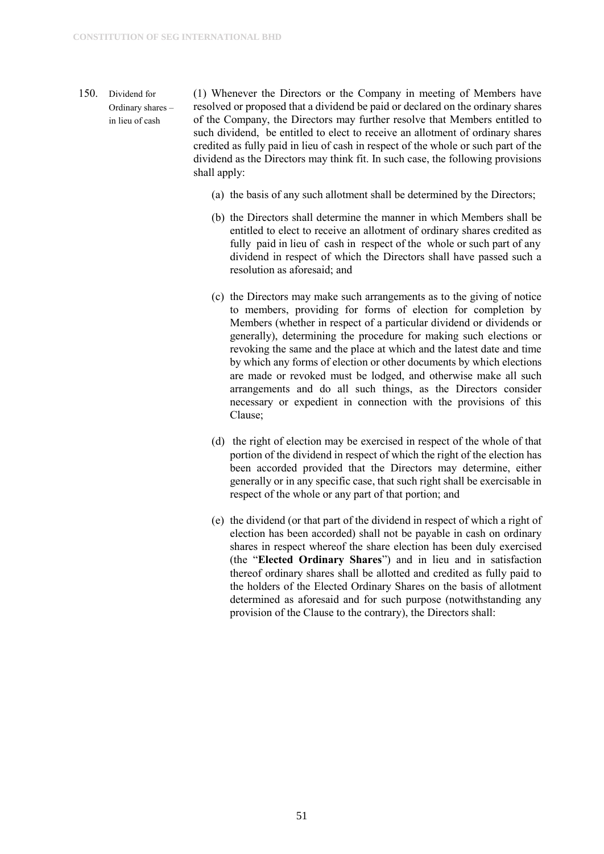- 150. Dividend for Ordinary shares – in lieu of cash (1) Whenever the Directors or the Company in meeting of Members have resolved or proposed that a dividend be paid or declared on the ordinary shares of the Company, the Directors may further resolve that Members entitled to such dividend, be entitled to elect to receive an allotment of ordinary shares credited as fully paid in lieu of cash in respect of the whole or such part of the dividend as the Directors may think fit. In such case, the following provisions shall apply:
	- (a) the basis of any such allotment shall be determined by the Directors;
	- (b) the Directors shall determine the manner in which Members shall be entitled to elect to receive an allotment of ordinary shares credited as fully paid in lieu of cash in respect of the whole or such part of any dividend in respect of which the Directors shall have passed such a resolution as aforesaid; and
	- (c) the Directors may make such arrangements as to the giving of notice to members, providing for forms of election for completion by Members (whether in respect of a particular dividend or dividends or generally), determining the procedure for making such elections or revoking the same and the place at which and the latest date and time by which any forms of election or other documents by which elections are made or revoked must be lodged, and otherwise make all such arrangements and do all such things, as the Directors consider necessary or expedient in connection with the provisions of this Clause;
	- (d) the right of election may be exercised in respect of the whole of that portion of the dividend in respect of which the right of the election has been accorded provided that the Directors may determine, either generally or in any specific case, that such right shall be exercisable in respect of the whole or any part of that portion; and
	- (e) the dividend (or that part of the dividend in respect of which a right of election has been accorded) shall not be payable in cash on ordinary shares in respect whereof the share election has been duly exercised (the "**Elected Ordinary Shares**") and in lieu and in satisfaction thereof ordinary shares shall be allotted and credited as fully paid to the holders of the Elected Ordinary Shares on the basis of allotment determined as aforesaid and for such purpose (notwithstanding any provision of the Clause to the contrary), the Directors shall: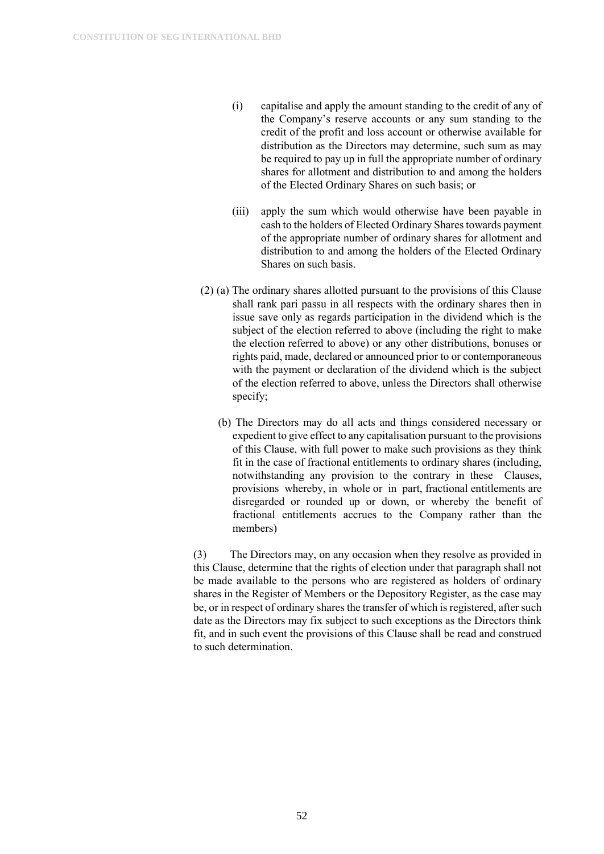- (i) capitalise and apply the amount standing to the credit of any of the Company's reserve accounts or any sum standing to the credit of the profit and loss account or otherwise available for distribution as the Directors may determine, such sum as may be required to pay up in full the appropriate number of ordinary shares for allotment and distribution to and among the holders of the Elected Ordinary Shares on such basis; or
- (iii) apply the sum which would otherwise have been payable in cash to the holders of Elected Ordinary Shares towards payment of the appropriate number of ordinary shares for allotment and distribution to and among the holders of the Elected Ordinary Shares on such basis.
- (2) (a) The ordinary shares allotted pursuant to the provisions of this Clause shall rank pari passu in all respects with the ordinary shares then in issue save only as regards participation in the dividend which is the subject of the election referred to above (including the right to make the election referred to above) or any other distributions, bonuses or rights paid, made, declared or announced prior to or contemporaneous with the payment or declaration of the dividend which is the subject of the election referred to above, unless the Directors shall otherwise specify;
	- (b) The Directors may do all acts and things considered necessary or expedient to give effect to any capitalisation pursuant to the provisions of this Clause, with full power to make such provisions as they think fit in the case of fractional entitlements to ordinary shares (including, notwithstanding any provision to the contrary in these Clauses, provisions whereby, in whole or in part, fractional entitlements are disregarded or rounded up or down, or whereby the benefit of fractional entitlements accrues to the Company rather than the members)

(3) The Directors may, on any occasion when they resolve as provided in this Clause, determine that the rights of election under that paragraph shall not be made available to the persons who are registered as holders of ordinary shares in the Register of Members or the Depository Register, as the case may be, or in respect of ordinary shares the transfer of which is registered, after such date as the Directors may fix subject to such exceptions as the Directors think fit, and in such event the provisions of this Clause shall be read and construed to such determination.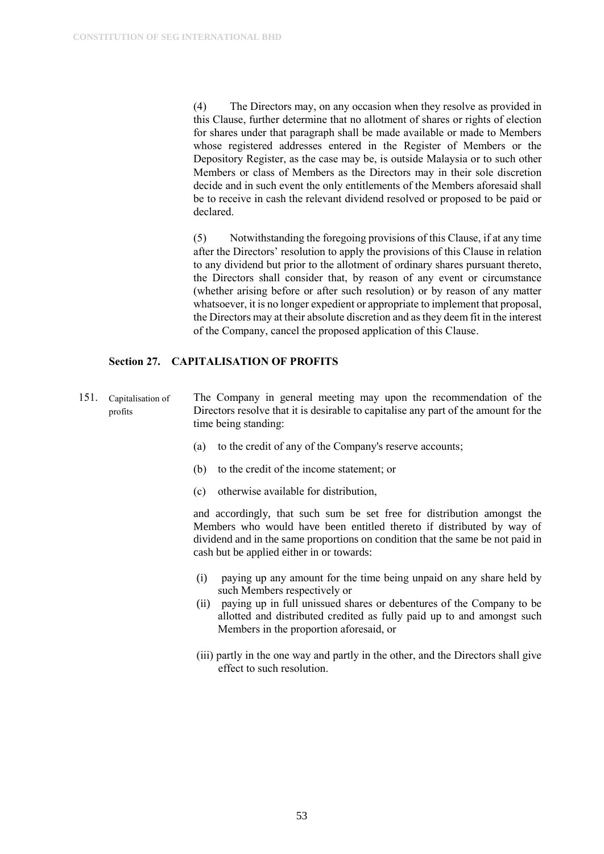(4) The Directors may, on any occasion when they resolve as provided in this Clause, further determine that no allotment of shares or rights of election for shares under that paragraph shall be made available or made to Members whose registered addresses entered in the Register of Members or the Depository Register, as the case may be, is outside Malaysia or to such other Members or class of Members as the Directors may in their sole discretion decide and in such event the only entitlements of the Members aforesaid shall be to receive in cash the relevant dividend resolved or proposed to be paid or declared.

(5) Notwithstanding the foregoing provisions of this Clause, if at any time after the Directors' resolution to apply the provisions of this Clause in relation to any dividend but prior to the allotment of ordinary shares pursuant thereto, the Directors shall consider that, by reason of any event or circumstance (whether arising before or after such resolution) or by reason of any matter whatsoever, it is no longer expedient or appropriate to implement that proposal, the Directors may at their absolute discretion and as they deem fit in the interest of the Company, cancel the proposed application of this Clause.

#### <span id="page-53-0"></span>**Section 27. CAPITALISATION OF PROFITS**

- 151. Capitalisation of profits The Company in general meeting may upon the recommendation of the Directors resolve that it is desirable to capitalise any part of the amount for the time being standing:
	- (a) to the credit of any of the Company's reserve accounts;
	- (b) to the credit of the income statement; or
	- (c) otherwise available for distribution,

and accordingly, that such sum be set free for distribution amongst the Members who would have been entitled thereto if distributed by way of dividend and in the same proportions on condition that the same be not paid in cash but be applied either in or towards:

- (i) paying up any amount for the time being unpaid on any share held by such Members respectively or
- (ii) paying up in full unissued shares or debentures of the Company to be allotted and distributed credited as fully paid up to and amongst such Members in the proportion aforesaid, or
- (iii) partly in the one way and partly in the other, and the Directors shall give effect to such resolution.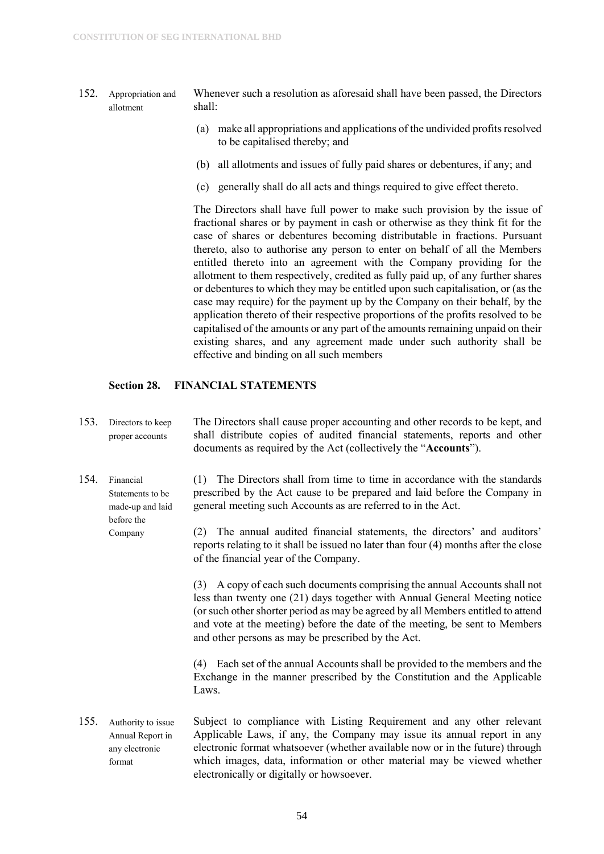- 152. Appropriation and allotment Whenever such a resolution as aforesaid shall have been passed, the Directors shall:
	- (a) make all appropriations and applications of the undivided profits resolved to be capitalised thereby; and
	- (b) all allotments and issues of fully paid shares or debentures, if any; and
	- (c) generally shall do all acts and things required to give effect thereto.

The Directors shall have full power to make such provision by the issue of fractional shares or by payment in cash or otherwise as they think fit for the case of shares or debentures becoming distributable in fractions. Pursuant thereto, also to authorise any person to enter on behalf of all the Members entitled thereto into an agreement with the Company providing for the allotment to them respectively, credited as fully paid up, of any further shares or debentures to which they may be entitled upon such capitalisation, or (as the case may require) for the payment up by the Company on their behalf, by the application thereto of their respective proportions of the profits resolved to be capitalised of the amounts or any part of the amounts remaining unpaid on their existing shares, and any agreement made under such authority shall be effective and binding on all such members

#### <span id="page-54-0"></span>**Section 28. FINANCIAL STATEMENTS**

Company

- 153. Directors to keep proper accounts The Directors shall cause proper accounting and other records to be kept, and shall distribute copies of audited financial statements, reports and other documents as required by the Act (collectively the "**Accounts**").
- 154. Financial Statements to be made-up and laid before the (1) The Directors shall from time to time in accordance with the standards prescribed by the Act cause to be prepared and laid before the Company in general meeting such Accounts as are referred to in the Act.
	- (2) The annual audited financial statements, the directors' and auditors' reports relating to it shall be issued no later than four (4) months after the close of the financial year of the Company.

(3) A copy of each such documents comprising the annual Accounts shall not less than twenty one (21) days together with Annual General Meeting notice (or such other shorter period as may be agreed by all Members entitled to attend and vote at the meeting) before the date of the meeting, be sent to Members and other persons as may be prescribed by the Act.

(4) Each set of the annual Accounts shall be provided to the members and the Exchange in the manner prescribed by the Constitution and the Applicable Laws.

155. Authority to issue Annual Report in any electronic format Subject to compliance with Listing Requirement and any other relevant Applicable Laws, if any, the Company may issue its annual report in any electronic format whatsoever (whether available now or in the future) through which images, data, information or other material may be viewed whether electronically or digitally or howsoever.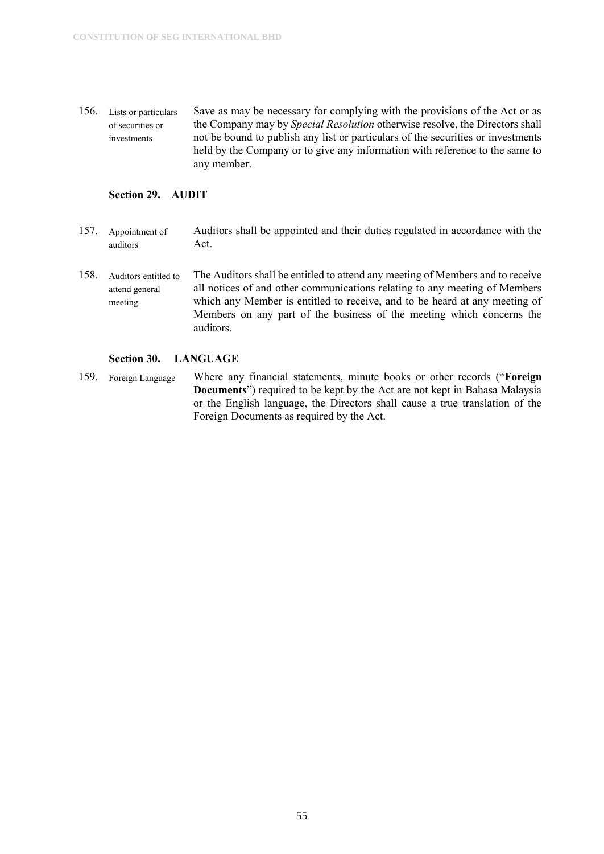156. Lists or particulars of securities or investments Save as may be necessary for complying with the provisions of the Act or as the Company may by *Special Resolution* otherwise resolve, the Directors shall not be bound to publish any list or particulars of the securities or investments held by the Company or to give any information with reference to the same to any member.

#### <span id="page-55-0"></span>**Section 29. AUDIT**

- 157. Appointment of auditors Auditors shall be appointed and their duties regulated in accordance with the Act.
- 158. Auditors entitled to attend general meeting The Auditors shall be entitled to attend any meeting of Members and to receive all notices of and other communications relating to any meeting of Members which any Member is entitled to receive, and to be heard at any meeting of Members on any part of the business of the meeting which concerns the auditors.

#### <span id="page-55-1"></span>**Section 30. LANGUAGE**

159. Foreign Language Where any financial statements, minute books or other records ("**Foreign Documents**") required to be kept by the Act are not kept in Bahasa Malaysia or the English language, the Directors shall cause a true translation of the Foreign Documents as required by the Act.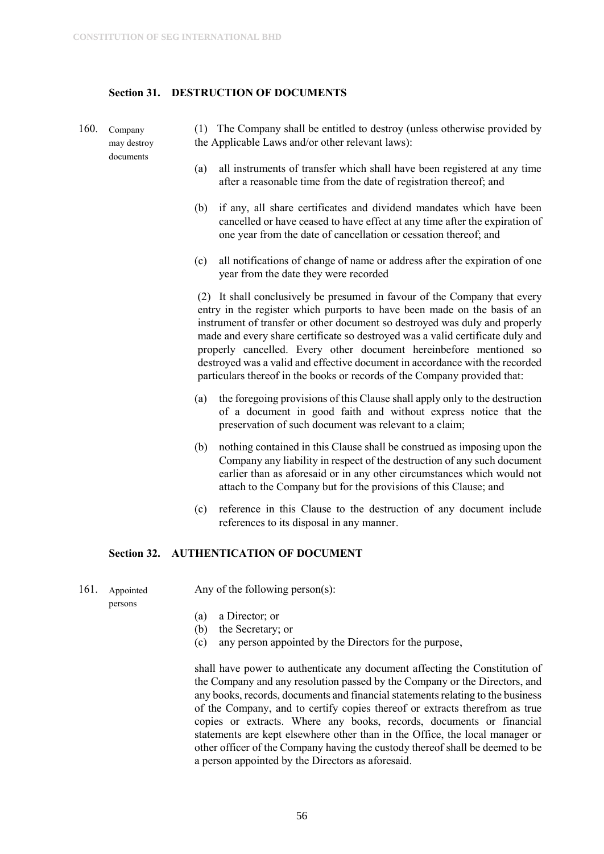#### <span id="page-56-0"></span>**Section 31. DESTRUCTION OF DOCUMENTS**

- 160. Company may destroy documents (1) The Company shall be entitled to destroy (unless otherwise provided by the Applicable Laws and/or other relevant laws):
	- (a) all instruments of transfer which shall have been registered at any time after a reasonable time from the date of registration thereof; and
	- (b) if any, all share certificates and dividend mandates which have been cancelled or have ceased to have effect at any time after the expiration of one year from the date of cancellation or cessation thereof; and
	- (c) all notifications of change of name or address after the expiration of one year from the date they were recorded

(2) It shall conclusively be presumed in favour of the Company that every entry in the register which purports to have been made on the basis of an instrument of transfer or other document so destroyed was duly and properly made and every share certificate so destroyed was a valid certificate duly and properly cancelled. Every other document hereinbefore mentioned so destroyed was a valid and effective document in accordance with the recorded particulars thereof in the books or records of the Company provided that:

- (a) the foregoing provisions of this Clause shall apply only to the destruction of a document in good faith and without express notice that the preservation of such document was relevant to a claim;
- (b) nothing contained in this Clause shall be construed as imposing upon the Company any liability in respect of the destruction of any such document earlier than as aforesaid or in any other circumstances which would not attach to the Company but for the provisions of this Clause; and
- (c) reference in this Clause to the destruction of any document include references to its disposal in any manner.

#### <span id="page-56-1"></span>**Section 32. AUTHENTICATION OF DOCUMENT**

161. Appointed Any of the following person(s):

persons

- (a) a Director; or
- (b) the Secretary; or
- (c) any person appointed by the Directors for the purpose,

shall have power to authenticate any document affecting the Constitution of the Company and any resolution passed by the Company or the Directors, and any books, records, documents and financial statements relating to the business of the Company, and to certify copies thereof or extracts therefrom as true copies or extracts. Where any books, records, documents or financial statements are kept elsewhere other than in the Office, the local manager or other officer of the Company having the custody thereof shall be deemed to be a person appointed by the Directors as aforesaid.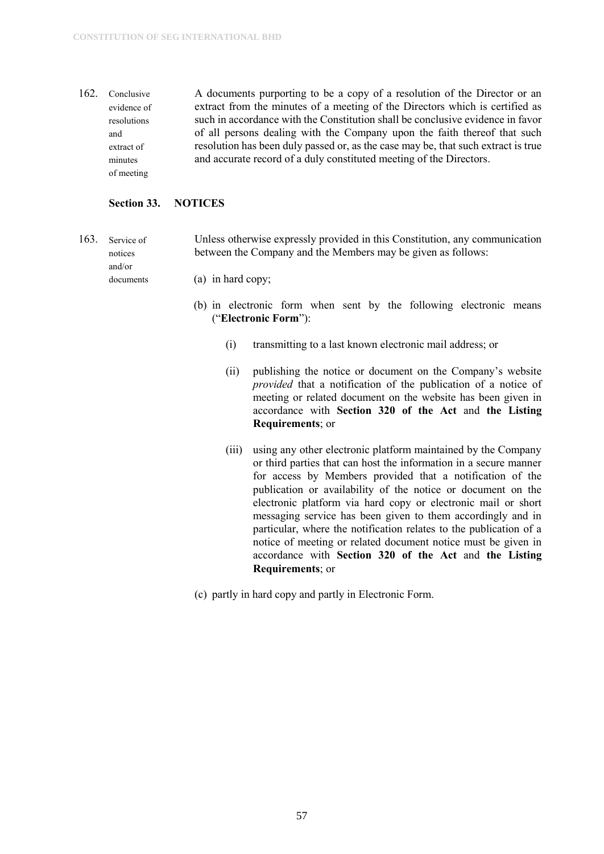162. Conclusive evidence of resolutions and extract of minutes of meeting A documents purporting to be a copy of a resolution of the Director or an extract from the minutes of a meeting of the Directors which is certified as such in accordance with the Constitution shall be conclusive evidence in favor of all persons dealing with the Company upon the faith thereof that such resolution has been duly passed or, as the case may be, that such extract is true and accurate record of a duly constituted meeting of the Directors.

#### <span id="page-57-0"></span>**Section 33. NOTICES**

documents

- 163. Service of notices and/or Unless otherwise expressly provided in this Constitution, any communication between the Company and the Members may be given as follows:
	- (a) in hard copy;
		- (b) in electronic form when sent by the following electronic means ("**Electronic Form**"):
			- (i) transmitting to a last known electronic mail address; or
			- (ii) publishing the notice or document on the Company's website *provided* that a notification of the publication of a notice of meeting or related document on the website has been given in accordance with **Section 320 of the Act** and **the Listing Requirements**; or
			- (iii) using any other electronic platform maintained by the Company or third parties that can host the information in a secure manner for access by Members provided that a notification of the publication or availability of the notice or document on the electronic platform via hard copy or electronic mail or short messaging service has been given to them accordingly and in particular, where the notification relates to the publication of a notice of meeting or related document notice must be given in accordance with **Section 320 of the Act** and **the Listing Requirements**; or
		- (c) partly in hard copy and partly in Electronic Form.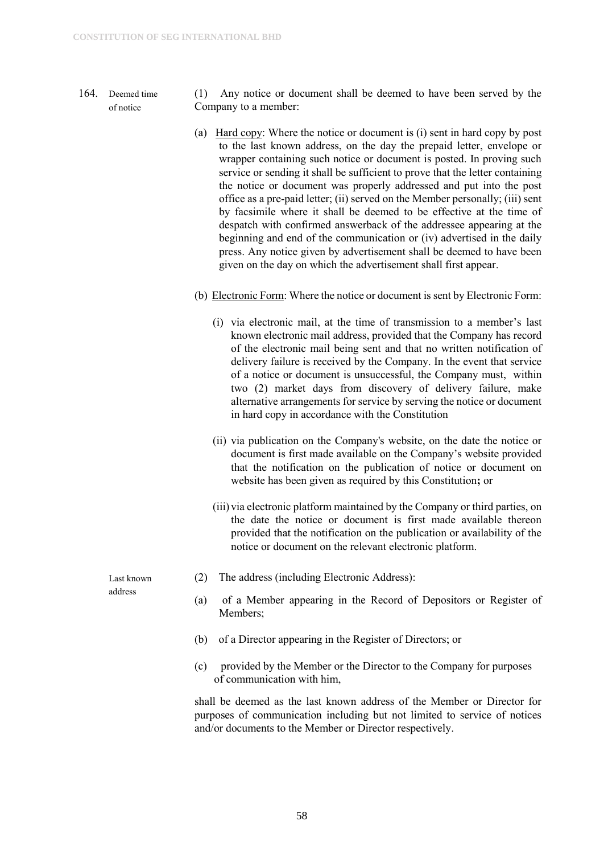#### 164. Deemed time of notice

- (1) Any notice or document shall be deemed to have been served by the Company to a member:
- (a) Hard copy: Where the notice or document is (i) sent in hard copy by post to the last known address, on the day the prepaid letter, envelope or wrapper containing such notice or document is posted. In proving such service or sending it shall be sufficient to prove that the letter containing the notice or document was properly addressed and put into the post office as a pre-paid letter; (ii) served on the Member personally; (iii) sent by facsimile where it shall be deemed to be effective at the time of despatch with confirmed answerback of the addressee appearing at the beginning and end of the communication or (iv) advertised in the daily press. Any notice given by advertisement shall be deemed to have been given on the day on which the advertisement shall first appear.
- (b) Electronic Form: Where the notice or document is sent by Electronic Form:
	- (i) via electronic mail, at the time of transmission to a member's last known electronic mail address, provided that the Company has record of the electronic mail being sent and that no written notification of delivery failure is received by the Company. In the event that service of a notice or document is unsuccessful, the Company must, within two (2) market days from discovery of delivery failure, make alternative arrangements for service by serving the notice or document in hard copy in accordance with the Constitution
	- (ii) via publication on the Company's website, on the date the notice or document is first made available on the Company's website provided that the notification on the publication of notice or document on website has been given as required by this Constitution**;** or
	- (iii) via electronic platform maintained by the Company or third parties, on the date the notice or document is first made available thereon provided that the notification on the publication or availability of the notice or document on the relevant electronic platform.
- (2) The address (including Electronic Address):
- (a) of a Member appearing in the Record of Depositors or Register of Members;
- (b) of a Director appearing in the Register of Directors; or
- (c) provided by the Member or the Director to the Company for purposes of communication with him,

shall be deemed as the last known address of the Member or Director for purposes of communication including but not limited to service of notices and/or documents to the Member or Director respectively.

Last known address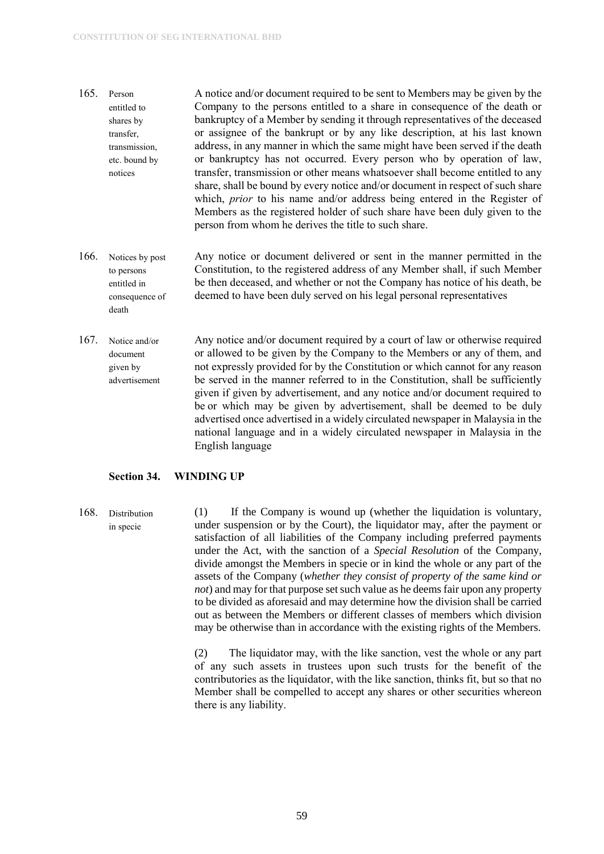- 165. Person entitled to shares by transfer, transmission, etc. bound by notices A notice and/or document required to be sent to Members may be given by the Company to the persons entitled to a share in consequence of the death or bankruptcy of a Member by sending it through representatives of the deceased or assignee of the bankrupt or by any like description, at his last known address, in any manner in which the same might have been served if the death or bankruptcy has not occurred. Every person who by operation of law, transfer, transmission or other means whatsoever shall become entitled to any share, shall be bound by every notice and/or document in respect of such share which, *prior* to his name and/or address being entered in the Register of Members as the registered holder of such share have been duly given to the person from whom he derives the title to such share.
- 166. Notices by post to persons entitled in consequence of death Any notice or document delivered or sent in the manner permitted in the Constitution, to the registered address of any Member shall, if such Member be then deceased, and whether or not the Company has notice of his death, be deemed to have been duly served on his legal personal representatives
- 167. Notice and/or document given by advertisement Any notice and/or document required by a court of law or otherwise required or allowed to be given by the Company to the Members or any of them, and not expressly provided for by the Constitution or which cannot for any reason be served in the manner referred to in the Constitution, shall be sufficiently given if given by advertisement, and any notice and/or document required to be or which may be given by advertisement, shall be deemed to be duly advertised once advertised in a widely circulated newspaper in Malaysia in the national language and in a widely circulated newspaper in Malaysia in the English language

#### <span id="page-59-0"></span>**Section 34. WINDING UP**

168. Distribution in specie (1) If the Company is wound up (whether the liquidation is voluntary, under suspension or by the Court), the liquidator may, after the payment or satisfaction of all liabilities of the Company including preferred payments under the Act, with the sanction of a *Special Resolution* of the Company, divide amongst the Members in specie or in kind the whole or any part of the assets of the Company (*whether they consist of property of the same kind or not*) and may for that purpose set such value as he deems fair upon any property to be divided as aforesaid and may determine how the division shall be carried out as between the Members or different classes of members which division may be otherwise than in accordance with the existing rights of the Members.

> (2) The liquidator may, with the like sanction, vest the whole or any part of any such assets in trustees upon such trusts for the benefit of the contributories as the liquidator, with the like sanction, thinks fit, but so that no Member shall be compelled to accept any shares or other securities whereon there is any liability.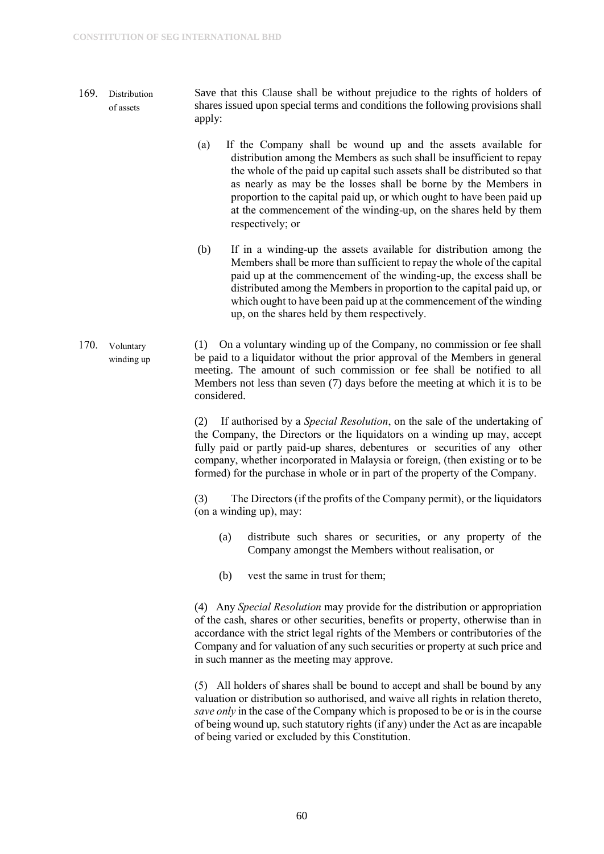- 169. Distribution of assets Save that this Clause shall be without prejudice to the rights of holders of shares issued upon special terms and conditions the following provisions shall apply:
	- (a) If the Company shall be wound up and the assets available for distribution among the Members as such shall be insufficient to repay the whole of the paid up capital such assets shall be distributed so that as nearly as may be the losses shall be borne by the Members in proportion to the capital paid up, or which ought to have been paid up at the commencement of the winding-up, on the shares held by them respectively; or
	- (b) If in a winding-up the assets available for distribution among the Members shall be more than sufficient to repay the whole of the capital paid up at the commencement of the winding-up, the excess shall be distributed among the Members in proportion to the capital paid up, or which ought to have been paid up at the commencement of the winding up, on the shares held by them respectively.
- 170. Voluntary winding up (1) On a voluntary winding up of the Company, no commission or fee shall be paid to a liquidator without the prior approval of the Members in general meeting. The amount of such commission or fee shall be notified to all Members not less than seven (7) days before the meeting at which it is to be considered.

(2) If authorised by a *Special Resolution*, on the sale of the undertaking of the Company, the Directors or the liquidators on a winding up may, accept fully paid or partly paid-up shares, debentures or securities of any other company, whether incorporated in Malaysia or foreign, (then existing or to be formed) for the purchase in whole or in part of the property of the Company.

(3) The Directors (if the profits of the Company permit), or the liquidators (on a winding up), may:

- (a) distribute such shares or securities, or any property of the Company amongst the Members without realisation, or
- (b) vest the same in trust for them;

(4) Any *Special Resolution* may provide for the distribution or appropriation of the cash, shares or other securities, benefits or property, otherwise than in accordance with the strict legal rights of the Members or contributories of the Company and for valuation of any such securities or property at such price and in such manner as the meeting may approve.

(5) All holders of shares shall be bound to accept and shall be bound by any valuation or distribution so authorised, and waive all rights in relation thereto, *save only* in the case of the Company which is proposed to be or is in the course of being wound up, such statutory rights (if any) under the Act as are incapable of being varied or excluded by this Constitution.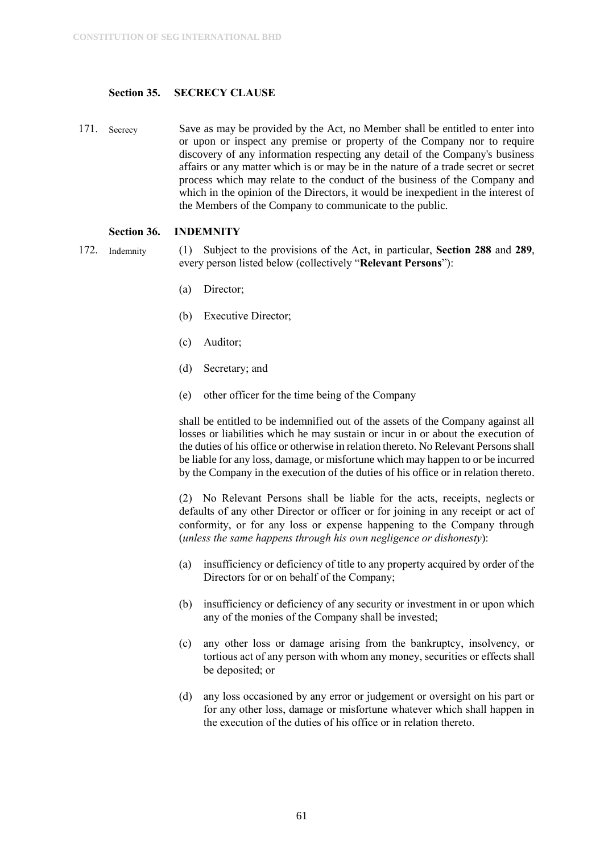#### <span id="page-61-0"></span>**Section 35. SECRECY CLAUSE**

171. Secrecy Save as may be provided by the Act, no Member shall be entitled to enter into or upon or inspect any premise or property of the Company nor to require discovery of any information respecting any detail of the Company's business affairs or any matter which is or may be in the nature of a trade secret or secret process which may relate to the conduct of the business of the Company and which in the opinion of the Directors, it would be inexpedient in the interest of the Members of the Company to communicate to the public.

#### <span id="page-61-1"></span>**Section 36. INDEMNITY**

- 172. Indemnity (1) Subject to the provisions of the Act, in particular, **Section 288** and **289**, every person listed below (collectively "**Relevant Persons**"):
	- (a) Director;
	- (b) Executive Director;
	- (c) Auditor;
	- (d) Secretary; and
	- (e) other officer for the time being of the Company

shall be entitled to be indemnified out of the assets of the Company against all losses or liabilities which he may sustain or incur in or about the execution of the duties of his office or otherwise in relation thereto. No Relevant Persons shall be liable for any loss, damage, or misfortune which may happen to or be incurred by the Company in the execution of the duties of his office or in relation thereto.

(2) No Relevant Persons shall be liable for the acts, receipts, neglects or defaults of any other Director or officer or for joining in any receipt or act of conformity, or for any loss or expense happening to the Company through (*unless the same happens through his own negligence or dishonesty*):

- (a) insufficiency or deficiency of title to any property acquired by order of the Directors for or on behalf of the Company;
- (b) insufficiency or deficiency of any security or investment in or upon which any of the monies of the Company shall be invested;
- (c) any other loss or damage arising from the bankruptcy, insolvency, or tortious act of any person with whom any money, securities or effects shall be deposited; or
- (d) any loss occasioned by any error or judgement or oversight on his part or for any other loss, damage or misfortune whatever which shall happen in the execution of the duties of his office or in relation thereto.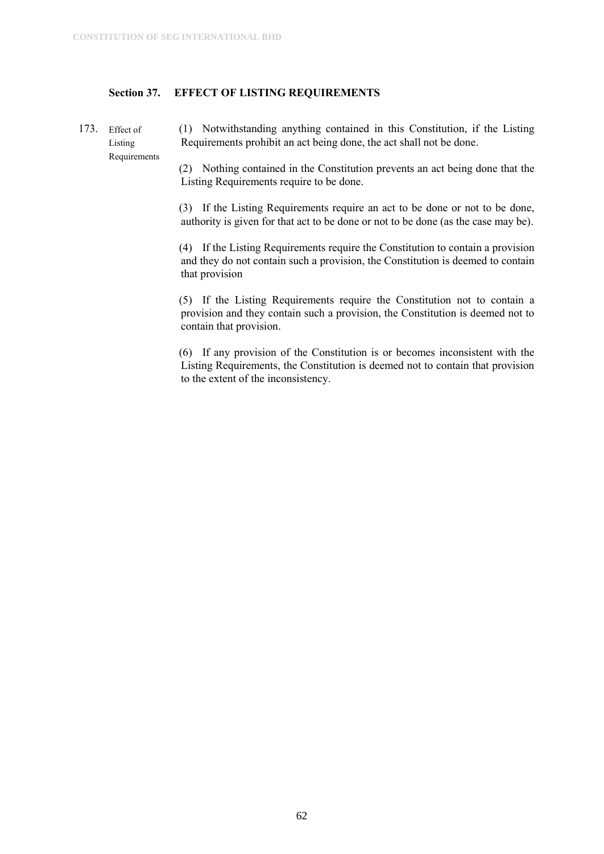#### <span id="page-62-0"></span>**Section 37. EFFECT OF LISTING REQUIREMENTS**

173. Effect of Listing Requirements (1) Notwithstanding anything contained in this Constitution, if the Listing Requirements prohibit an act being done, the act shall not be done.

(2) Nothing contained in the Constitution prevents an act being done that the Listing Requirements require to be done.

(3) If the Listing Requirements require an act to be done or not to be done, authority is given for that act to be done or not to be done (as the case may be).

(4) If the Listing Requirements require the Constitution to contain a provision and they do not contain such a provision, the Constitution is deemed to contain that provision

(5) If the Listing Requirements require the Constitution not to contain a provision and they contain such a provision, the Constitution is deemed not to contain that provision.

(6) If any provision of the Constitution is or becomes inconsistent with the Listing Requirements, the Constitution is deemed not to contain that provision to the extent of the inconsistency.